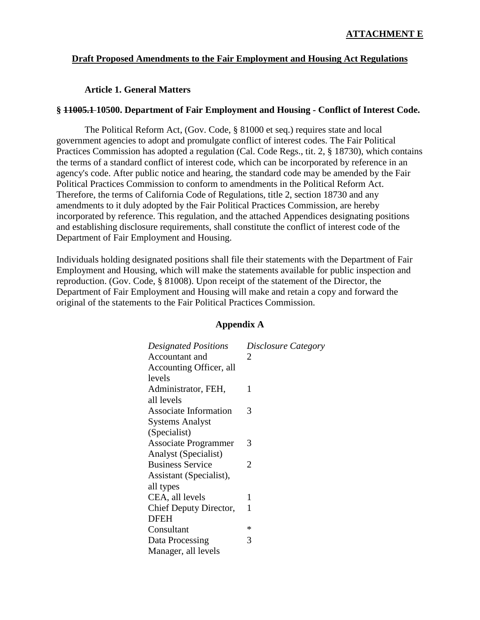## **Draft Proposed Amendments to the Fair Employment and Housing Act Regulations**

## **Article 1. General Matters**

## **§ 11005.1 10500. Department of Fair Employment and Housing - Conflict of Interest Code.**

The Political Reform Act, (Gov. Code, § 81000 et seq.) requires state and local government agencies to adopt and promulgate conflict of interest codes. The Fair Political Practices Commission has adopted a regulation (Cal. Code Regs., tit. 2, § 18730), which contains the terms of a standard conflict of interest code, which can be incorporated by reference in an agency's code. After public notice and hearing, the standard code may be amended by the Fair Political Practices Commission to conform to amendments in the Political Reform Act. Therefore, the terms of California Code of Regulations, title 2, section 18730 and any amendments to it duly adopted by the Fair Political Practices Commission, are hereby incorporated by reference. This regulation, and the attached Appendices designating positions and establishing disclosure requirements, shall constitute the conflict of interest code of the Department of Fair Employment and Housing.

Individuals holding designated positions shall file their statements with the Department of Fair Employment and Housing, which will make the statements available for public inspection and reproduction. (Gov. Code, § 81008). Upon receipt of the statement of the Director, the Department of Fair Employment and Housing will make and retain a copy and forward the original of the statements to the Fair Political Practices Commission.

## **Appendix A**

| <b>Designated Positions</b><br>Accountant and<br>Accounting Officer, all | Disclosure Category<br>2 |
|--------------------------------------------------------------------------|--------------------------|
| levels                                                                   |                          |
| Administrator, FEH,                                                      | 1                        |
| all levels                                                               |                          |
| <b>Associate Information</b>                                             | 3                        |
| <b>Systems Analyst</b>                                                   |                          |
| (Specialist)                                                             |                          |
| <b>Associate Programmer</b>                                              | 3                        |
| Analyst (Specialist)                                                     |                          |
| <b>Business Service</b>                                                  | $\mathcal{D}_{\cdot}$    |
| Assistant (Specialist),                                                  |                          |
| all types                                                                |                          |
| CEA, all levels                                                          | 1                        |
| Chief Deputy Director,                                                   | 1                        |
| <b>DFEH</b>                                                              |                          |
| Consultant                                                               | ∗                        |
| Data Processing                                                          | 3                        |
| Manager, all levels                                                      |                          |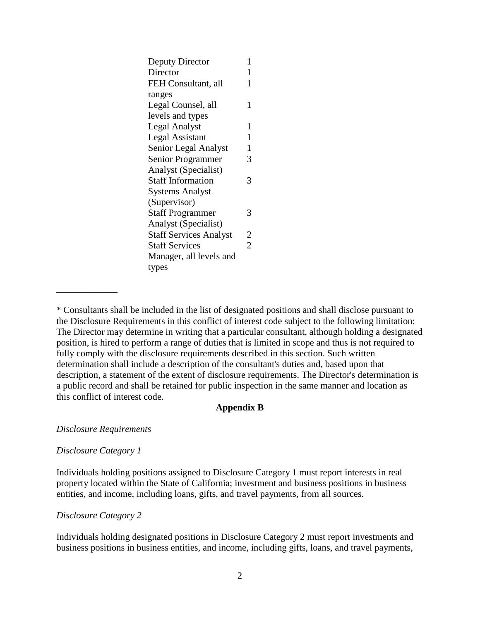Deputy Director 1 Director 1 FEH Consultant, all ranges 1 Legal Counsel, all levels and types 1 Legal Analyst 1 Legal Assistant 1 Senior Legal Analyst 1 Senior Programmer Analyst (Specialist) 3 Staff Information Systems Analyst (Supervisor) 3 Staff Programmer Analyst (Specialist) 3 Staff Services Analyst 2 Staff Services Manager, all levels and types 2

## **Appendix B**

## *Disclosure Requirements*

### *Disclosure Category 1*

\_\_\_\_\_\_\_\_\_\_\_\_\_

Individuals holding positions assigned to Disclosure Category 1 must report interests in real property located within the State of California; investment and business positions in business entities, and income, including loans, gifts, and travel payments, from all sources.

### *Disclosure Category 2*

Individuals holding designated positions in Disclosure Category 2 must report investments and business positions in business entities, and income, including gifts, loans, and travel payments,

<sup>\*</sup> Consultants shall be included in the list of designated positions and shall disclose pursuant to the Disclosure Requirements in this conflict of interest code subject to the following limitation: The Director may determine in writing that a particular consultant, although holding a designated position, is hired to perform a range of duties that is limited in scope and thus is not required to fully comply with the disclosure requirements described in this section. Such written determination shall include a description of the consultant's duties and, based upon that description, a statement of the extent of disclosure requirements. The Director's determination is a public record and shall be retained for public inspection in the same manner and location as this conflict of interest code.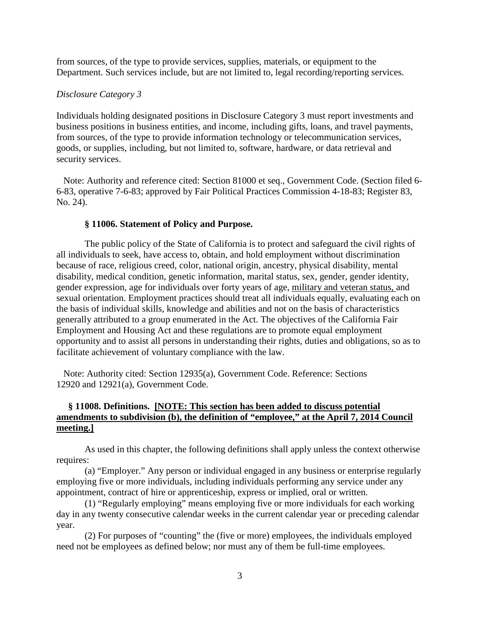from sources, of the type to provide services, supplies, materials, or equipment to the Department. Such services include, but are not limited to, legal recording/reporting services.

## *Disclosure Category 3*

Individuals holding designated positions in Disclosure Category 3 must report investments and business positions in business entities, and income, including gifts, loans, and travel payments, from sources, of the type to provide information technology or telecommunication services, goods, or supplies, including, but not limited to, software, hardware, or data retrieval and security services.

Note: Authority and reference cited: Section 81000 et seq., Government Code. (Section filed 6- 6-83, operative 7-6-83; approved by Fair Political Practices Commission 4-18-83; Register 83, No. 24).

# **§ 11006. Statement of Policy and Purpose.**

The public policy of the State of California is to protect and safeguard the civil rights of all individuals to seek, have access to, obtain, and hold employment without discrimination because of race, religious creed, color, national origin, ancestry, physical disability, mental disability, medical condition, genetic information, marital status, sex, gender, gender identity, gender expression, age for individuals over forty years of age, military and veteran status, and sexual orientation. Employment practices should treat all individuals equally, evaluating each on the basis of individual skills, knowledge and abilities and not on the basis of characteristics generally attributed to a group enumerated in the Act. The objectives of the California Fair Employment and Housing Act and these regulations are to promote equal employment opportunity and to assist all persons in understanding their rights, duties and obligations, so as to facilitate achievement of voluntary compliance with the law.

Note: Authority cited: Section 12935(a), Government Code. Reference: Sections 12920 and 12921(a), Government Code.

# **§ 11008. Definitions. [NOTE: This section has been added to discuss potential amendments to subdivision (b), the definition of "employee," at the April 7, 2014 Council meeting.]**

As used in this chapter, the following definitions shall apply unless the context otherwise requires:

(a) "Employer." Any person or individual engaged in any business or enterprise regularly employing five or more individuals, including individuals performing any service under any appointment, contract of hire or apprenticeship, express or implied, oral or written.

(1) "Regularly employing" means employing five or more individuals for each working day in any twenty consecutive calendar weeks in the current calendar year or preceding calendar year.

(2) For purposes of "counting" the (five or more) employees, the individuals employed need not be employees as defined below; nor must any of them be full-time employees.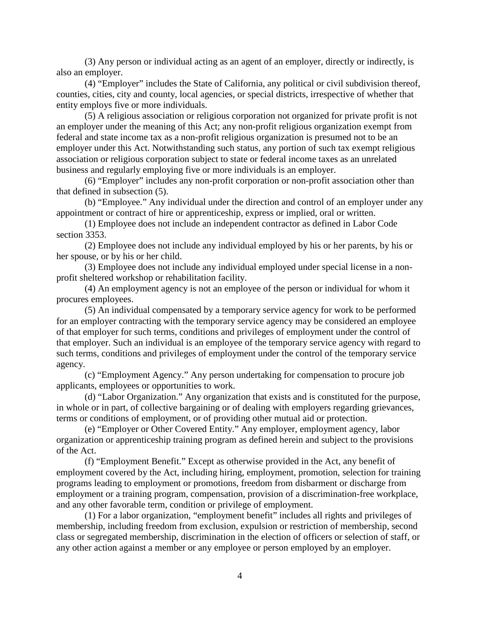(3) Any person or individual acting as an agent of an employer, directly or indirectly, is also an employer.

(4) "Employer" includes the State of California, any political or civil subdivision thereof, counties, cities, city and county, local agencies, or special districts, irrespective of whether that entity employs five or more individuals.

(5) A religious association or religious corporation not organized for private profit is not an employer under the meaning of this Act; any non-profit religious organization exempt from federal and state income tax as a non-profit religious organization is presumed not to be an employer under this Act. Notwithstanding such status, any portion of such tax exempt religious association or religious corporation subject to state or federal income taxes as an unrelated business and regularly employing five or more individuals is an employer.

(6) "Employer" includes any non-profit corporation or non-profit association other than that defined in subsection (5).

(b) "Employee." Any individual under the direction and control of an employer under any appointment or contract of hire or apprenticeship, express or implied, oral or written.

(1) Employee does not include an independent contractor as defined in Labor Code section 3353.

(2) Employee does not include any individual employed by his or her parents, by his or her spouse, or by his or her child.

(3) Employee does not include any individual employed under special license in a nonprofit sheltered workshop or rehabilitation facility.

(4) An employment agency is not an employee of the person or individual for whom it procures employees.

(5) An individual compensated by a temporary service agency for work to be performed for an employer contracting with the temporary service agency may be considered an employee of that employer for such terms, conditions and privileges of employment under the control of that employer. Such an individual is an employee of the temporary service agency with regard to such terms, conditions and privileges of employment under the control of the temporary service agency.

(c) "Employment Agency." Any person undertaking for compensation to procure job applicants, employees or opportunities to work.

(d) "Labor Organization." Any organization that exists and is constituted for the purpose, in whole or in part, of collective bargaining or of dealing with employers regarding grievances, terms or conditions of employment, or of providing other mutual aid or protection.

(e) "Employer or Other Covered Entity." Any employer, employment agency, labor organization or apprenticeship training program as defined herein and subject to the provisions of the Act.

(f) "Employment Benefit." Except as otherwise provided in the Act, any benefit of employment covered by the Act, including hiring, employment, promotion, selection for training programs leading to employment or promotions, freedom from disbarment or discharge from employment or a training program, compensation, provision of a discrimination-free workplace, and any other favorable term, condition or privilege of employment.

(1) For a labor organization, "employment benefit" includes all rights and privileges of membership, including freedom from exclusion, expulsion or restriction of membership, second class or segregated membership, discrimination in the election of officers or selection of staff, or any other action against a member or any employee or person employed by an employer.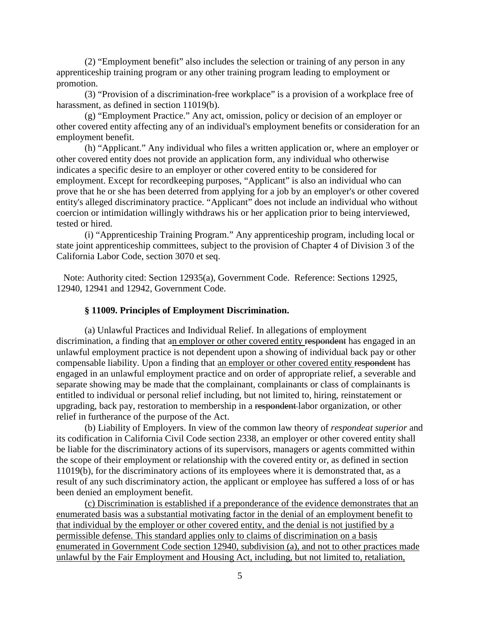(2) "Employment benefit" also includes the selection or training of any person in any apprenticeship training program or any other training program leading to employment or promotion.

(3) "Provision of a discrimination-free workplace" is a provision of a workplace free of harassment, as defined in section 11019(b).

(g) "Employment Practice." Any act, omission, policy or decision of an employer or other covered entity affecting any of an individual's employment benefits or consideration for an employment benefit.

(h) "Applicant." Any individual who files a written application or, where an employer or other covered entity does not provide an application form, any individual who otherwise indicates a specific desire to an employer or other covered entity to be considered for employment. Except for recordkeeping purposes, "Applicant" is also an individual who can prove that he or she has been deterred from applying for a job by an employer's or other covered entity's alleged discriminatory practice. "Applicant" does not include an individual who without coercion or intimidation willingly withdraws his or her application prior to being interviewed, tested or hired.

(i) "Apprenticeship Training Program." Any apprenticeship program, including local or state joint apprenticeship committees, subject to the provision of Chapter 4 of Division 3 of the California Labor Code, section 3070 et seq.

Note: Authority cited: Section 12935(a), Government Code. Reference: Sections 12925, 12940, 12941 and 12942, Government Code.

#### **§ 11009. Principles of Employment Discrimination.**

(a) Unlawful Practices and Individual Relief. In allegations of employment discrimination, a finding that an employer or other covered entity respondent has engaged in an unlawful employment practice is not dependent upon a showing of individual back pay or other compensable liability. Upon a finding that an employer or other covered entity respondent has engaged in an unlawful employment practice and on order of appropriate relief, a severable and separate showing may be made that the complainant, complainants or class of complainants is entitled to individual or personal relief including, but not limited to, hiring, reinstatement or upgrading, back pay, restoration to membership in a respondent labor organization, or other relief in furtherance of the purpose of the Act.

(b) Liability of Employers. In view of the common law theory of *respondeat superior* and its codification in California Civil Code section 2338, an employer or other covered entity shall be liable for the discriminatory actions of its supervisors, managers or agents committed within the scope of their employment or relationship with the covered entity or, as defined in section 11019(b), for the discriminatory actions of its employees where it is demonstrated that, as a result of any such discriminatory action, the applicant or employee has suffered a loss of or has been denied an employment benefit.

(c) Discrimination is established if a preponderance of the evidence demonstrates that an enumerated basis was a substantial motivating factor in the denial of an employment benefit to that individual by the employer or other covered entity, and the denial is not justified by a permissible defense. This standard applies only to claims of discrimination on a basis enumerated in Government Code section 12940, subdivision (a), and not to other practices made unlawful by the Fair Employment and Housing Act, including, but not limited to, retaliation,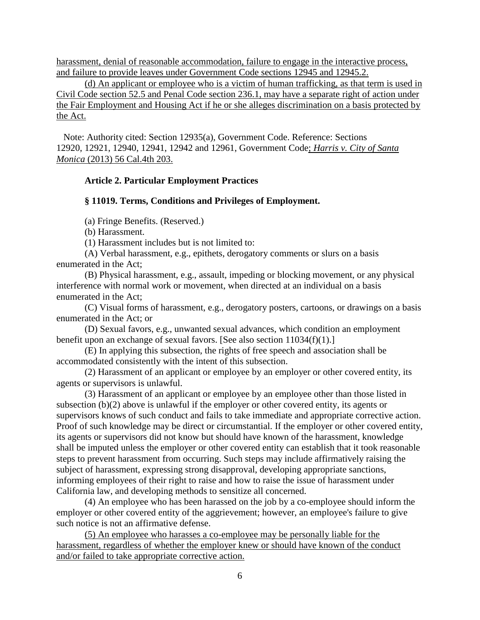harassment, denial of reasonable accommodation, failure to engage in the interactive process, and failure to provide leaves under Government Code sections 12945 and 12945.2.

(d) An applicant or employee who is a victim of human trafficking, as that term is used in Civil Code section 52.5 and Penal Code section 236.1, may have a separate right of action under the Fair Employment and Housing Act if he or she alleges discrimination on a basis protected by the Act.

Note: Authority cited: Section 12935(a), Government Code. Reference: Sections 12920, 12921, 12940, 12941, 12942 and 12961, Government Code; *Harris v. City of Santa Monica* (2013) 56 Cal.4th 203.

## **Article 2. Particular Employment Practices**

### **§ 11019. Terms, Conditions and Privileges of Employment.**

(a) Fringe Benefits. (Reserved.)

(b) Harassment.

(1) Harassment includes but is not limited to:

(A) Verbal harassment, e.g., epithets, derogatory comments or slurs on a basis enumerated in the Act;

(B) Physical harassment, e.g., assault, impeding or blocking movement, or any physical interference with normal work or movement, when directed at an individual on a basis enumerated in the Act;

(C) Visual forms of harassment, e.g., derogatory posters, cartoons, or drawings on a basis enumerated in the Act; or

(D) Sexual favors, e.g., unwanted sexual advances, which condition an employment benefit upon an exchange of sexual favors. [See also section 11034(f)(1).]

(E) In applying this subsection, the rights of free speech and association shall be accommodated consistently with the intent of this subsection.

(2) Harassment of an applicant or employee by an employer or other covered entity, its agents or supervisors is unlawful.

(3) Harassment of an applicant or employee by an employee other than those listed in subsection (b)(2) above is unlawful if the employer or other covered entity, its agents or supervisors knows of such conduct and fails to take immediate and appropriate corrective action. Proof of such knowledge may be direct or circumstantial. If the employer or other covered entity, its agents or supervisors did not know but should have known of the harassment, knowledge shall be imputed unless the employer or other covered entity can establish that it took reasonable steps to prevent harassment from occurring. Such steps may include affirmatively raising the subject of harassment, expressing strong disapproval, developing appropriate sanctions, informing employees of their right to raise and how to raise the issue of harassment under California law, and developing methods to sensitize all concerned.

(4) An employee who has been harassed on the job by a co-employee should inform the employer or other covered entity of the aggrievement; however, an employee's failure to give such notice is not an affirmative defense.

(5) An employee who harasses a co-employee may be personally liable for the harassment, regardless of whether the employer knew or should have known of the conduct and/or failed to take appropriate corrective action.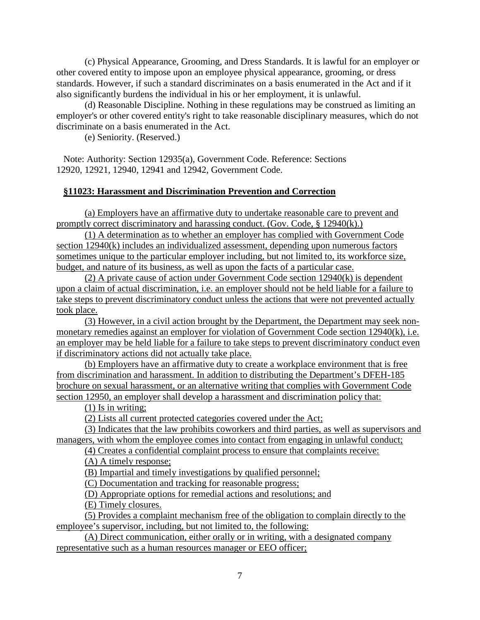(c) Physical Appearance, Grooming, and Dress Standards. It is lawful for an employer or other covered entity to impose upon an employee physical appearance, grooming, or dress standards. However, if such a standard discriminates on a basis enumerated in the Act and if it also significantly burdens the individual in his or her employment, it is unlawful.

(d) Reasonable Discipline. Nothing in these regulations may be construed as limiting an employer's or other covered entity's right to take reasonable disciplinary measures, which do not discriminate on a basis enumerated in the Act.

(e) Seniority. (Reserved.)

Note: Authority: Section 12935(a), Government Code. Reference: Sections 12920, 12921, 12940, 12941 and 12942, Government Code.

# **§11023: Harassment and Discrimination Prevention and Correction**

(a) Employers have an affirmative duty to undertake reasonable care to prevent and promptly correct discriminatory and harassing conduct. (Gov. Code, § 12940(k).)

(1) A determination as to whether an employer has complied with Government Code section 12940(k) includes an individualized assessment, depending upon numerous factors sometimes unique to the particular employer including, but not limited to, its workforce size, budget, and nature of its business, as well as upon the facts of a particular case.

(2) A private cause of action under Government Code section 12940(k) is dependent upon a claim of actual discrimination, i.e. an employer should not be held liable for a failure to take steps to prevent discriminatory conduct unless the actions that were not prevented actually took place.

(3) However, in a civil action brought by the Department, the Department may seek nonmonetary remedies against an employer for violation of Government Code section 12940(k), i.e. an employer may be held liable for a failure to take steps to prevent discriminatory conduct even if discriminatory actions did not actually take place.

(b) Employers have an affirmative duty to create a workplace environment that is free from discrimination and harassment. In addition to distributing the Department's DFEH-185 brochure on sexual harassment, or an alternative writing that complies with Government Code section 12950, an employer shall develop a harassment and discrimination policy that:

(1) Is in writing;

(2) Lists all current protected categories covered under the Act;

(3) Indicates that the law prohibits coworkers and third parties, as well as supervisors and managers, with whom the employee comes into contact from engaging in unlawful conduct;

(4) Creates a confidential complaint process to ensure that complaints receive:

(A) A timely response;

(B) Impartial and timely investigations by qualified personnel;

(C) Documentation and tracking for reasonable progress;

(D) Appropriate options for remedial actions and resolutions; and

(E) Timely closures.

(5) Provides a complaint mechanism free of the obligation to complain directly to the employee's supervisor, including, but not limited to, the following:

(A) Direct communication, either orally or in writing, with a designated company representative such as a human resources manager or EEO officer;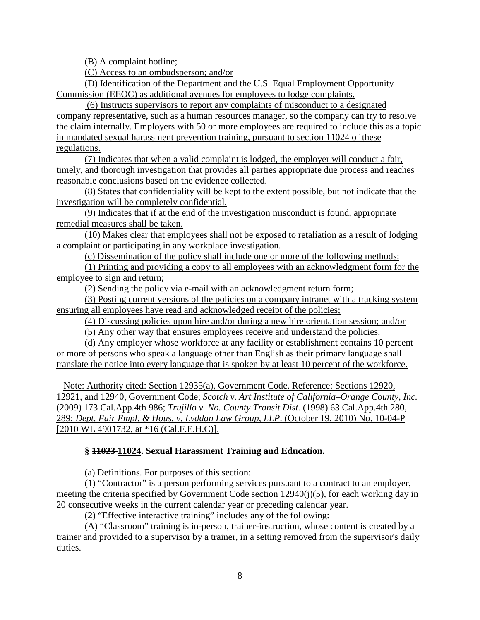(B) A complaint hotline;

(C) Access to an ombudsperson; and/or

(D) Identification of the Department and the U.S. Equal Employment Opportunity Commission (EEOC) as additional avenues for employees to lodge complaints.

(6) Instructs supervisors to report any complaints of misconduct to a designated company representative, such as a human resources manager, so the company can try to resolve the claim internally. Employers with 50 or more employees are required to include this as a topic in mandated sexual harassment prevention training, pursuant to section 11024 of these regulations.

(7) Indicates that when a valid complaint is lodged, the employer will conduct a fair, timely, and thorough investigation that provides all parties appropriate due process and reaches reasonable conclusions based on the evidence collected.

(8) States that confidentiality will be kept to the extent possible, but not indicate that the investigation will be completely confidential.

(9) Indicates that if at the end of the investigation misconduct is found, appropriate remedial measures shall be taken.

(10) Makes clear that employees shall not be exposed to retaliation as a result of lodging a complaint or participating in any workplace investigation.

(c) Dissemination of the policy shall include one or more of the following methods:

(1) Printing and providing a copy to all employees with an acknowledgment form for the employee to sign and return;

(2) Sending the policy via e-mail with an acknowledgment return form;

(3) Posting current versions of the policies on a company intranet with a tracking system ensuring all employees have read and acknowledged receipt of the policies;

(4) Discussing policies upon hire and/or during a new hire orientation session; and/or

(5) Any other way that ensures employees receive and understand the policies.

(d) Any employer whose workforce at any facility or establishment contains 10 percent or more of persons who speak a language other than English as their primary language shall translate the notice into every language that is spoken by at least 10 percent of the workforce.

Note: Authority cited: Section 12935(a), Government Code. Reference: Sections 12920, 12921, and 12940, Government Code; *Scotch v. Art Institute of California–Orange County, Inc.*  (2009) 173 Cal.App.4th 986; *Trujillo v. No. County Transit Dist.* (1998) 63 Cal.App.4th 280, 289; *Dept. Fair Empl. & Hous. v. Lyddan Law Group, LLP*. (October 19, 2010) No. 10-04-P [2010 WL 4901732, at \*16 (Cal.F.E.H.C)].

# **§ 11023 11024. Sexual Harassment Training and Education.**

(a) Definitions. For purposes of this section:

(1) "Contractor" is a person performing services pursuant to a contract to an employer, meeting the criteria specified by Government Code section 12940(j)(5), for each working day in 20 consecutive weeks in the current calendar year or preceding calendar year.

(2) "Effective interactive training" includes any of the following:

(A) "Classroom" training is in-person, trainer-instruction, whose content is created by a trainer and provided to a supervisor by a trainer, in a setting removed from the supervisor's daily duties.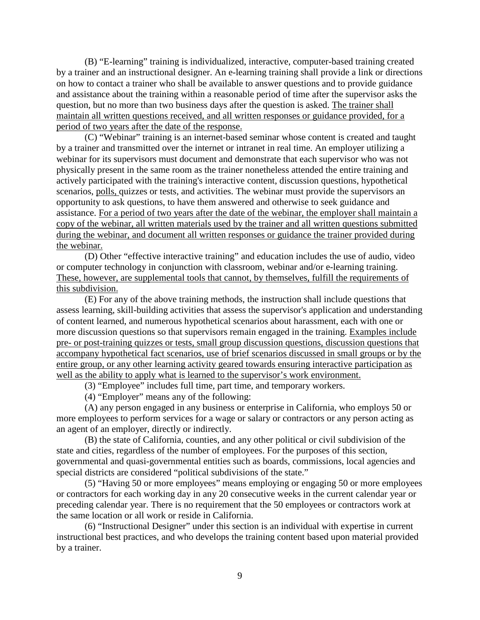(B) "E-learning" training is individualized, interactive, computer-based training created by a trainer and an instructional designer. An e-learning training shall provide a link or directions on how to contact a trainer who shall be available to answer questions and to provide guidance and assistance about the training within a reasonable period of time after the supervisor asks the question, but no more than two business days after the question is asked. The trainer shall maintain all written questions received, and all written responses or guidance provided, for a period of two years after the date of the response.

(C) "Webinar" training is an internet-based seminar whose content is created and taught by a trainer and transmitted over the internet or intranet in real time. An employer utilizing a webinar for its supervisors must document and demonstrate that each supervisor who was not physically present in the same room as the trainer nonetheless attended the entire training and actively participated with the training's interactive content, discussion questions, hypothetical scenarios, polls, quizzes or tests, and activities. The webinar must provide the supervisors an opportunity to ask questions, to have them answered and otherwise to seek guidance and assistance. For a period of two years after the date of the webinar, the employer shall maintain a copy of the webinar, all written materials used by the trainer and all written questions submitted during the webinar, and document all written responses or guidance the trainer provided during the webinar.

(D) Other "effective interactive training" and education includes the use of audio, video or computer technology in conjunction with classroom, webinar and/or e-learning training. These, however, are supplemental tools that cannot, by themselves, fulfill the requirements of this subdivision.

(E) For any of the above training methods, the instruction shall include questions that assess learning, skill-building activities that assess the supervisor's application and understanding of content learned, and numerous hypothetical scenarios about harassment, each with one or more discussion questions so that supervisors remain engaged in the training. Examples include pre- or post-training quizzes or tests, small group discussion questions, discussion questions that accompany hypothetical fact scenarios, use of brief scenarios discussed in small groups or by the entire group, or any other learning activity geared towards ensuring interactive participation as well as the ability to apply what is learned to the supervisor's work environment.

(3) "Employee" includes full time, part time, and temporary workers.

(4) "Employer" means any of the following:

(A) any person engaged in any business or enterprise in California, who employs 50 or more employees to perform services for a wage or salary or contractors or any person acting as an agent of an employer, directly or indirectly.

(B) the state of California, counties, and any other political or civil subdivision of the state and cities, regardless of the number of employees. For the purposes of this section, governmental and quasi-governmental entities such as boards, commissions, local agencies and special districts are considered "political subdivisions of the state."

(5) "Having 50 or more employees" means employing or engaging 50 or more employees or contractors for each working day in any 20 consecutive weeks in the current calendar year or preceding calendar year. There is no requirement that the 50 employees or contractors work at the same location or all work or reside in California.

(6) "Instructional Designer" under this section is an individual with expertise in current instructional best practices, and who develops the training content based upon material provided by a trainer.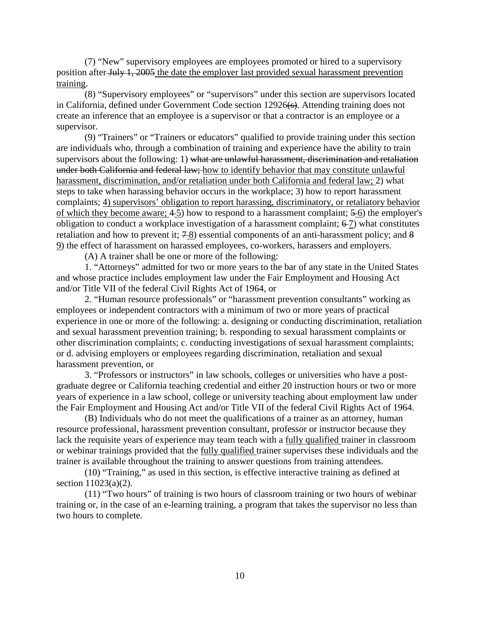(7) "New" supervisory employees are employees promoted or hired to a supervisory position after July 1, 2005 the date the employer last provided sexual harassment prevention training.

(8) "Supervisory employees" or "supervisors" under this section are supervisors located in California, defined under Government Code section 12926(s). Attending training does not create an inference that an employee is a supervisor or that a contractor is an employee or a supervisor.

(9) "Trainers" or "Trainers or educators" qualified to provide training under this section are individuals who, through a combination of training and experience have the ability to train supervisors about the following: 1) what are unlawful harassment, discrimination and retaliation under both California and federal law; how to identify behavior that may constitute unlawful harassment, discrimination, and/or retaliation under both California and federal law; 2) what steps to take when harassing behavior occurs in the workplace; 3) how to report harassment complaints; 4) supervisors' obligation to report harassing, discriminatory, or retaliatory behavior of which they become aware; 4 5) how to respond to a harassment complaint; 5 6) the employer's obligation to conduct a workplace investigation of a harassment complaint;  $6-7$ ) what constitutes retaliation and how to prevent it;  $7-8$ ) essential components of an anti-harassment policy; and 8 9) the effect of harassment on harassed employees, co-workers, harassers and employers.

(A) A trainer shall be one or more of the following:

1. "Attorneys" admitted for two or more years to the bar of any state in the United States and whose practice includes employment law under the Fair Employment and Housing Act and/or Title VII of the federal Civil Rights Act of 1964, or

2. "Human resource professionals" or "harassment prevention consultants" working as employees or independent contractors with a minimum of two or more years of practical experience in one or more of the following: a. designing or conducting discrimination, retaliation and sexual harassment prevention training; b. responding to sexual harassment complaints or other discrimination complaints; c. conducting investigations of sexual harassment complaints; or d. advising employers or employees regarding discrimination, retaliation and sexual harassment prevention, or

3. "Professors or instructors" in law schools, colleges or universities who have a postgraduate degree or California teaching credential and either 20 instruction hours or two or more years of experience in a law school, college or university teaching about employment law under the Fair Employment and Housing Act and/or Title VII of the federal Civil Rights Act of 1964.

(B) Individuals who do not meet the qualifications of a trainer as an attorney, human resource professional, harassment prevention consultant, professor or instructor because they lack the requisite years of experience may team teach with a fully qualified trainer in classroom or webinar trainings provided that the fully qualified trainer supervises these individuals and the trainer is available throughout the training to answer questions from training attendees.

(10) "Training," as used in this section, is effective interactive training as defined at section 11023(a)(2).

(11) "Two hours" of training is two hours of classroom training or two hours of webinar training or, in the case of an e-learning training, a program that takes the supervisor no less than two hours to complete.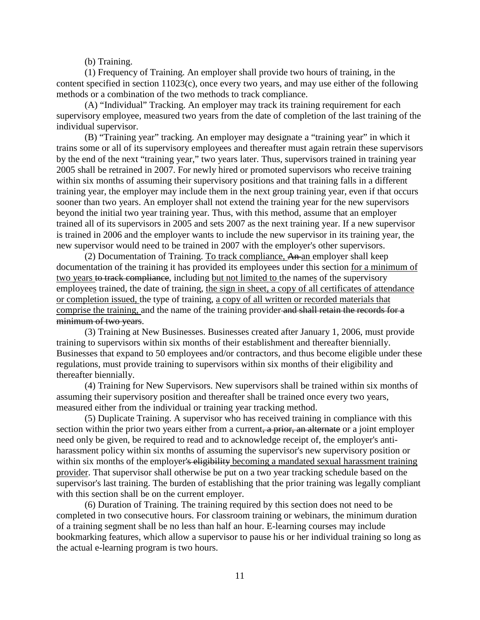(b) Training.

(1) Frequency of Training. An employer shall provide two hours of training, in the content specified in section 11023(c), once every two years, and may use either of the following methods or a combination of the two methods to track compliance.

(A) "Individual" Tracking. An employer may track its training requirement for each supervisory employee, measured two years from the date of completion of the last training of the individual supervisor.

(B) "Training year" tracking. An employer may designate a "training year" in which it trains some or all of its supervisory employees and thereafter must again retrain these supervisors by the end of the next "training year," two years later. Thus, supervisors trained in training year 2005 shall be retrained in 2007. For newly hired or promoted supervisors who receive training within six months of assuming their supervisory positions and that training falls in a different training year, the employer may include them in the next group training year, even if that occurs sooner than two years. An employer shall not extend the training year for the new supervisors beyond the initial two year training year. Thus, with this method, assume that an employer trained all of its supervisors in 2005 and sets 2007 as the next training year. If a new supervisor is trained in 2006 and the employer wants to include the new supervisor in its training year, the new supervisor would need to be trained in 2007 with the employer's other supervisors.

(2) Documentation of Training. To track compliance, An an employer shall keep documentation of the training it has provided its employees under this section for a minimum of two years to track compliance, including but not limited to the names of the supervisory employees trained, the date of training, the sign in sheet, a copy of all certificates of attendance or completion issued, the type of training, a copy of all written or recorded materials that comprise the training, and the name of the training provider and shall retain the records for a minimum of two years.

(3) Training at New Businesses. Businesses created after January 1, 2006, must provide training to supervisors within six months of their establishment and thereafter biennially. Businesses that expand to 50 employees and/or contractors, and thus become eligible under these regulations, must provide training to supervisors within six months of their eligibility and thereafter biennially.

(4) Training for New Supervisors. New supervisors shall be trained within six months of assuming their supervisory position and thereafter shall be trained once every two years, measured either from the individual or training year tracking method.

(5) Duplicate Training. A supervisor who has received training in compliance with this section within the prior two years either from a current, a prior, an alternate or a joint employer need only be given, be required to read and to acknowledge receipt of, the employer's antiharassment policy within six months of assuming the supervisor's new supervisory position or within six months of the employer's eligibility becoming a mandated sexual harassment training provider. That supervisor shall otherwise be put on a two year tracking schedule based on the supervisor's last training. The burden of establishing that the prior training was legally compliant with this section shall be on the current employer.

(6) Duration of Training. The training required by this section does not need to be completed in two consecutive hours. For classroom training or webinars, the minimum duration of a training segment shall be no less than half an hour. E-learning courses may include bookmarking features, which allow a supervisor to pause his or her individual training so long as the actual e-learning program is two hours.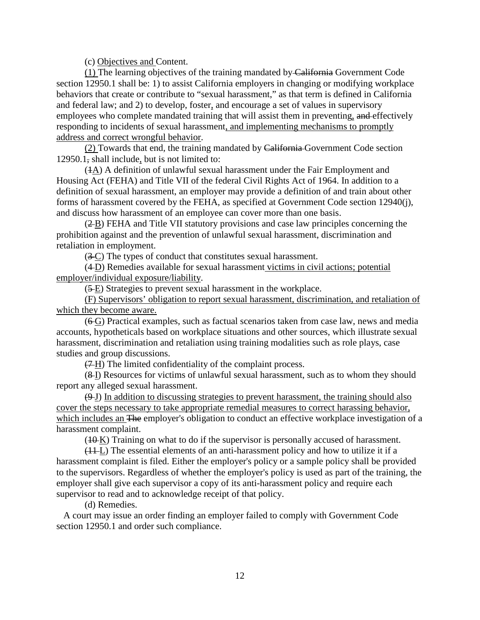(c) Objectives and Content.

(1) The learning objectives of the training mandated by California Government Code section 12950.1 shall be: 1) to assist California employers in changing or modifying workplace behaviors that create or contribute to "sexual harassment," as that term is defined in California and federal law; and 2) to develop, foster, and encourage a set of values in supervisory employees who complete mandated training that will assist them in preventing, and effectively responding to incidents of sexual harassment, and implementing mechanisms to promptly address and correct wrongful behavior.

(2) Towards that end, the training mandated by California Government Code section 12950.1, shall include, but is not limited to:

(1A) A definition of unlawful sexual harassment under the Fair Employment and Housing Act (FEHA) and Title VII of the federal Civil Rights Act of 1964. In addition to a definition of sexual harassment, an employer may provide a definition of and train about other forms of harassment covered by the FEHA, as specified at Government Code section 12940(j), and discuss how harassment of an employee can cover more than one basis.

(2 B) FEHA and Title VII statutory provisions and case law principles concerning the prohibition against and the prevention of unlawful sexual harassment, discrimination and retaliation in employment.

(3 C) The types of conduct that constitutes sexual harassment.

(4-D) Remedies available for sexual harassment victims in civil actions; potential employer/individual exposure/liability.

(5 E) Strategies to prevent sexual harassment in the workplace.

(F) Supervisors' obligation to report sexual harassment, discrimination, and retaliation of which they become aware.

(6 G) Practical examples, such as factual scenarios taken from case law, news and media accounts, hypotheticals based on workplace situations and other sources, which illustrate sexual harassment, discrimination and retaliation using training modalities such as role plays, case studies and group discussions.

(7 H) The limited confidentiality of the complaint process.

(8 I) Resources for victims of unlawful sexual harassment, such as to whom they should report any alleged sexual harassment.

 $(9-$ J) In addition to discussing strategies to prevent harassment, the training should also cover the steps necessary to take appropriate remedial measures to correct harassing behavior, which includes an The employer's obligation to conduct an effective workplace investigation of a harassment complaint.

 $(10-K)$  Training on what to do if the supervisor is personally accused of harassment.

(11 L) The essential elements of an anti-harassment policy and how to utilize it if a harassment complaint is filed. Either the employer's policy or a sample policy shall be provided to the supervisors. Regardless of whether the employer's policy is used as part of the training, the employer shall give each supervisor a copy of its anti-harassment policy and require each supervisor to read and to acknowledge receipt of that policy.

(d) Remedies.

A court may issue an order finding an employer failed to comply with Government Code section 12950.1 and order such compliance.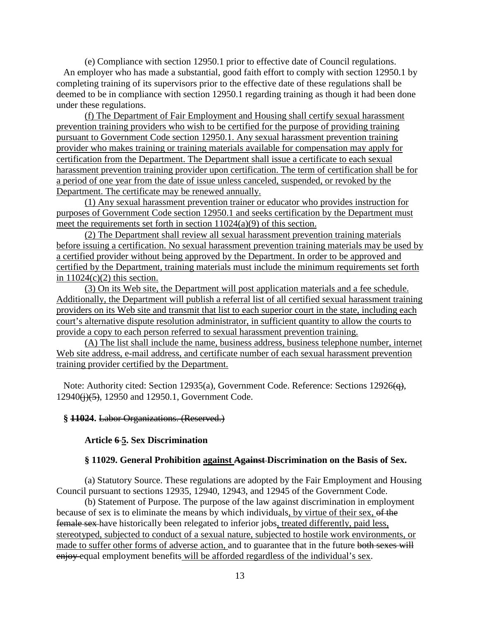(e) Compliance with section 12950.1 prior to effective date of Council regulations. An employer who has made a substantial, good faith effort to comply with section 12950.1 by completing training of its supervisors prior to the effective date of these regulations shall be deemed to be in compliance with section 12950.1 regarding training as though it had been done under these regulations.

(f) The Department of Fair Employment and Housing shall certify sexual harassment prevention training providers who wish to be certified for the purpose of providing training pursuant to Government Code section 12950.1. Any sexual harassment prevention training provider who makes training or training materials available for compensation may apply for certification from the Department. The Department shall issue a certificate to each sexual harassment prevention training provider upon certification. The term of certification shall be for a period of one year from the date of issue unless canceled, suspended, or revoked by the Department. The certificate may be renewed annually.

(1) Any sexual harassment prevention trainer or educator who provides instruction for purposes of Government Code section 12950.1 and seeks certification by the Department must meet the requirements set forth in section  $11024(a)(9)$  of this section.

(2) The Department shall review all sexual harassment prevention training materials before issuing a certification. No sexual harassment prevention training materials may be used by a certified provider without being approved by the Department. In order to be approved and certified by the Department, training materials must include the minimum requirements set forth in  $11024(c)(2)$  this section.

(3) On its Web site, the Department will post application materials and a fee schedule. Additionally, the Department will publish a referral list of all certified sexual harassment training providers on its Web site and transmit that list to each superior court in the state, including each court's alternative dispute resolution administrator, in sufficient quantity to allow the courts to provide a copy to each person referred to sexual harassment prevention training.

(A) The list shall include the name, business address, business telephone number, internet Web site address, e-mail address, and certificate number of each sexual harassment prevention training provider certified by the Department.

Note: Authority cited: Section 12935(a), Government Code. Reference: Sections 12926(q), 12940( $\frac{1}{1}$ )(5), 12950 and 12950.1, Government Code.

### **§ 11024.** Labor Organizations. (Reserved.)

### **Article 6 5. Sex Discrimination**

### **§ 11029. General Prohibition against Against Discrimination on the Basis of Sex.**

(a) Statutory Source. These regulations are adopted by the Fair Employment and Housing Council pursuant to sections 12935, 12940, 12943, and 12945 of the Government Code.

(b) Statement of Purpose. The purpose of the law against discrimination in employment because of sex is to eliminate the means by which individuals, by virtue of their sex, of the female sex have historically been relegated to inferior jobs, treated differently, paid less, stereotyped, subjected to conduct of a sexual nature, subjected to hostile work environments, or made to suffer other forms of adverse action, and to guarantee that in the future both sexes will enjoy equal employment benefits will be afforded regardless of the individual's sex.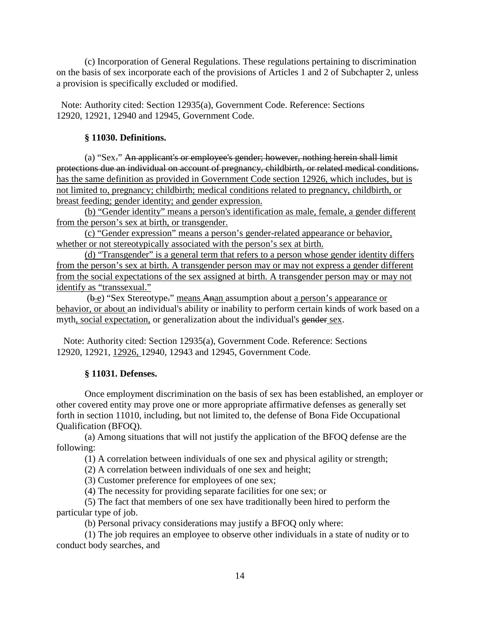(c) Incorporation of General Regulations. These regulations pertaining to discrimination on the basis of sex incorporate each of the provisions of Articles 1 and 2 of Subchapter 2, unless a provision is specifically excluded or modified.

 Note: Authority cited: Section 12935(a), Government Code. Reference: Sections 12920, 12921, 12940 and 12945, Government Code.

## **§ 11030. Definitions.**

(a) "Sex." An applicant's or employee's gender; however, nothing herein shall limit protections due an individual on account of pregnancy, childbirth, or related medical conditions. has the same definition as provided in Government Code section 12926, which includes, but is not limited to, pregnancy; childbirth; medical conditions related to pregnancy, childbirth, or breast feeding; gender identity; and gender expression.

(b) "Gender identity" means a person's identification as male, female, a gender different from the person's sex at birth, or transgender.

(c) "Gender expression" means a person's gender-related appearance or behavior, whether or not stereotypically associated with the person's sex at birth.

(d) "Transgender" is a general term that refers to a person whose gender identity differs from the person's sex at birth. A transgender person may or may not express a gender different from the social expectations of the sex assigned at birth. A transgender person may or may not identify as "transsexual."

(b-e) "Sex Stereotype-" means Anan assumption about a person's appearance or behavior, or about an individual's ability or inability to perform certain kinds of work based on a myth, social expectation, or generalization about the individual's gender sex.

Note: Authority cited: Section 12935(a), Government Code. Reference: Sections 12920, 12921, 12926, 12940, 12943 and 12945, Government Code.

# **§ 11031. Defenses.**

Once employment discrimination on the basis of sex has been established, an employer or other covered entity may prove one or more appropriate affirmative defenses as generally set forth in section 11010, including, but not limited to, the defense of Bona Fide Occupational Qualification (BFOQ).

(a) Among situations that will not justify the application of the BFOQ defense are the following:

(1) A correlation between individuals of one sex and physical agility or strength;

(2) A correlation between individuals of one sex and height;

(3) Customer preference for employees of one sex;

(4) The necessity for providing separate facilities for one sex; or

(5) The fact that members of one sex have traditionally been hired to perform the particular type of job.

(b) Personal privacy considerations may justify a BFOQ only where:

(1) The job requires an employee to observe other individuals in a state of nudity or to conduct body searches, and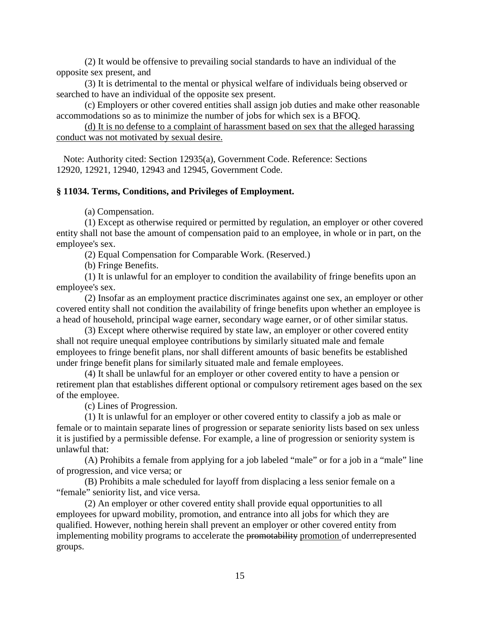(2) It would be offensive to prevailing social standards to have an individual of the opposite sex present, and

(3) It is detrimental to the mental or physical welfare of individuals being observed or searched to have an individual of the opposite sex present.

(c) Employers or other covered entities shall assign job duties and make other reasonable accommodations so as to minimize the number of jobs for which sex is a BFOQ.

(d) It is no defense to a complaint of harassment based on sex that the alleged harassing conduct was not motivated by sexual desire.

Note: Authority cited: Section 12935(a), Government Code. Reference: Sections 12920, 12921, 12940, 12943 and 12945, Government Code.

### **§ 11034. Terms, Conditions, and Privileges of Employment.**

(a) Compensation.

(1) Except as otherwise required or permitted by regulation, an employer or other covered entity shall not base the amount of compensation paid to an employee, in whole or in part, on the employee's sex.

(2) Equal Compensation for Comparable Work. (Reserved.)

(b) Fringe Benefits.

(1) It is unlawful for an employer to condition the availability of fringe benefits upon an employee's sex.

(2) Insofar as an employment practice discriminates against one sex, an employer or other covered entity shall not condition the availability of fringe benefits upon whether an employee is a head of household, principal wage earner, secondary wage earner, or of other similar status.

(3) Except where otherwise required by state law, an employer or other covered entity shall not require unequal employee contributions by similarly situated male and female employees to fringe benefit plans, nor shall different amounts of basic benefits be established under fringe benefit plans for similarly situated male and female employees.

(4) It shall be unlawful for an employer or other covered entity to have a pension or retirement plan that establishes different optional or compulsory retirement ages based on the sex of the employee.

(c) Lines of Progression.

(1) It is unlawful for an employer or other covered entity to classify a job as male or female or to maintain separate lines of progression or separate seniority lists based on sex unless it is justified by a permissible defense. For example, a line of progression or seniority system is unlawful that:

(A) Prohibits a female from applying for a job labeled "male" or for a job in a "male" line of progression, and vice versa; or

(B) Prohibits a male scheduled for layoff from displacing a less senior female on a "female" seniority list, and vice versa.

(2) An employer or other covered entity shall provide equal opportunities to all employees for upward mobility, promotion, and entrance into all jobs for which they are qualified. However, nothing herein shall prevent an employer or other covered entity from implementing mobility programs to accelerate the promotability promotion of underrepresented groups.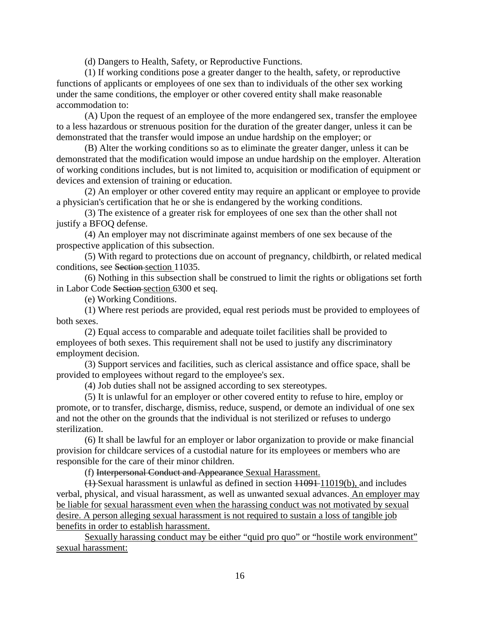(d) Dangers to Health, Safety, or Reproductive Functions.

(1) If working conditions pose a greater danger to the health, safety, or reproductive functions of applicants or employees of one sex than to individuals of the other sex working under the same conditions, the employer or other covered entity shall make reasonable accommodation to:

(A) Upon the request of an employee of the more endangered sex, transfer the employee to a less hazardous or strenuous position for the duration of the greater danger, unless it can be demonstrated that the transfer would impose an undue hardship on the employer; or

(B) Alter the working conditions so as to eliminate the greater danger, unless it can be demonstrated that the modification would impose an undue hardship on the employer. Alteration of working conditions includes, but is not limited to, acquisition or modification of equipment or devices and extension of training or education.

(2) An employer or other covered entity may require an applicant or employee to provide a physician's certification that he or she is endangered by the working conditions.

(3) The existence of a greater risk for employees of one sex than the other shall not justify a BFOQ defense.

(4) An employer may not discriminate against members of one sex because of the prospective application of this subsection.

(5) With regard to protections due on account of pregnancy, childbirth, or related medical conditions, see Section section 11035.

(6) Nothing in this subsection shall be construed to limit the rights or obligations set forth in Labor Code Section section 6300 et seq.

(e) Working Conditions.

(1) Where rest periods are provided, equal rest periods must be provided to employees of both sexes.

(2) Equal access to comparable and adequate toilet facilities shall be provided to employees of both sexes. This requirement shall not be used to justify any discriminatory employment decision.

(3) Support services and facilities, such as clerical assistance and office space, shall be provided to employees without regard to the employee's sex.

(4) Job duties shall not be assigned according to sex stereotypes.

(5) It is unlawful for an employer or other covered entity to refuse to hire, employ or promote, or to transfer, discharge, dismiss, reduce, suspend, or demote an individual of one sex and not the other on the grounds that the individual is not sterilized or refuses to undergo sterilization.

(6) It shall be lawful for an employer or labor organization to provide or make financial provision for childcare services of a custodial nature for its employees or members who are responsible for the care of their minor children.

(f) Interpersonal Conduct and Appearance Sexual Harassment.

(1) Sexual harassment is unlawful as defined in section 11091 11019(b), and includes verbal, physical, and visual harassment, as well as unwanted sexual advances. An employer may be liable for sexual harassment even when the harassing conduct was not motivated by sexual desire. A person alleging sexual harassment is not required to sustain a loss of tangible job benefits in order to establish harassment.

Sexually harassing conduct may be either "quid pro quo" or "hostile work environment" sexual harassment: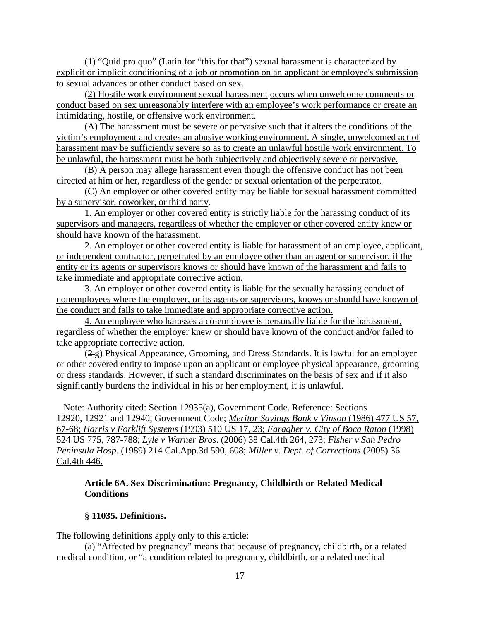(1) "Quid pro quo" (Latin for "this for that") sexual harassment is characterized by explicit or implicit conditioning of a job or promotion on an applicant or employee's submission to sexual advances or other conduct based on sex.

(2) Hostile work environment sexual harassment occurs when unwelcome comments or conduct based on sex unreasonably interfere with an employee's work performance or create an intimidating, hostile, or offensive work environment.

(A) The harassment must be severe or pervasive such that it alters the conditions of the victim's employment and creates an abusive working environment. A single, unwelcomed act of harassment may be sufficiently severe so as to create an unlawful hostile work environment. To be unlawful, the harassment must be both subjectively and objectively severe or pervasive.

(B) A person may allege harassment even though the offensive conduct has not been directed at him or her, regardless of the gender or sexual orientation of the perpetrator.

(C) An employer or other covered entity may be liable for sexual harassment committed by a supervisor, coworker, or third party.

1. An employer or other covered entity is strictly liable for the harassing conduct of its supervisors and managers, regardless of whether the employer or other covered entity knew or should have known of the harassment.

2. An employer or other covered entity is liable for harassment of an employee, applicant, or independent contractor, perpetrated by an employee other than an agent or supervisor, if the entity or its agents or supervisors knows or should have known of the harassment and fails to take immediate and appropriate corrective action.

3. An employer or other covered entity is liable for the sexually harassing conduct of nonemployees where the employer, or its agents or supervisors, knows or should have known of the conduct and fails to take immediate and appropriate corrective action.

4. An employee who harasses a co-employee is personally liable for the harassment, regardless of whether the employer knew or should have known of the conduct and/or failed to take appropriate corrective action.

 $(2-\bar{g})$  Physical Appearance, Grooming, and Dress Standards. It is lawful for an employer or other covered entity to impose upon an applicant or employee physical appearance, grooming or dress standards. However, if such a standard discriminates on the basis of sex and if it also significantly burdens the individual in his or her employment, it is unlawful.

Note: Authority cited: Section 12935(a), Government Code. Reference: Sections 12920, 12921 and 12940, Government Code; *Meritor Savings Bank v Vinson* (1986) 477 US 57, 67-68; *Harris v Forklift Systems* (1993) 510 US 17, 23; *Faragher v. City of Boca Raton* (1998) 524 US 775, 787-788; *Lyle v Warner Bros*. (2006) 38 Cal.4th 264, 273; *Fisher v San Pedro Peninsula Hosp.* (1989) 214 Cal.App.3d 590, 608; *Miller v. Dept. of Corrections* (2005) 36 Cal.4th 446.

# **Article 6A. Sex Discrimination: Pregnancy, Childbirth or Related Medical Conditions**

# **§ 11035. Definitions.**

The following definitions apply only to this article:

(a) "Affected by pregnancy" means that because of pregnancy, childbirth, or a related medical condition, or "a condition related to pregnancy, childbirth, or a related medical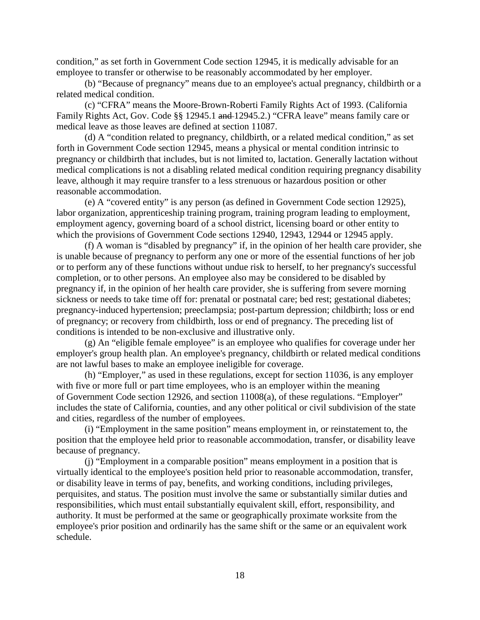condition," as set forth in Government Code section 12945, it is medically advisable for an employee to transfer or otherwise to be reasonably accommodated by her employer.

(b) "Because of pregnancy" means due to an employee's actual pregnancy, childbirth or a related medical condition.

(c) "CFRA" means the Moore-Brown-Roberti Family Rights Act of 1993. (California Family Rights Act, Gov. Code §§ 12945.1 and 12945.2.) "CFRA leave" means family care or medical leave as those leaves are defined at section 11087.

(d) A "condition related to pregnancy, childbirth, or a related medical condition," as set forth in Government Code section 12945, means a physical or mental condition intrinsic to pregnancy or childbirth that includes, but is not limited to, lactation. Generally lactation without medical complications is not a disabling related medical condition requiring pregnancy disability leave, although it may require transfer to a less strenuous or hazardous position or other reasonable accommodation.

(e) A "covered entity" is any person (as defined in Government Code section 12925), labor organization, apprenticeship training program, training program leading to employment, employment agency, governing board of a school district, licensing board or other entity to which the provisions of Government Code sections 12940, 12943, 12944 or 12945 apply.

(f) A woman is "disabled by pregnancy" if, in the opinion of her health care provider, she is unable because of pregnancy to perform any one or more of the essential functions of her job or to perform any of these functions without undue risk to herself, to her pregnancy's successful completion, or to other persons. An employee also may be considered to be disabled by pregnancy if, in the opinion of her health care provider, she is suffering from severe morning sickness or needs to take time off for: prenatal or postnatal care; bed rest; gestational diabetes; pregnancy-induced hypertension; preeclampsia; post-partum depression; childbirth; loss or end of pregnancy; or recovery from childbirth, loss or end of pregnancy. The preceding list of conditions is intended to be non-exclusive and illustrative only.

(g) An "eligible female employee" is an employee who qualifies for coverage under her employer's group health plan. An employee's pregnancy, childbirth or related medical conditions are not lawful bases to make an employee ineligible for coverage.

(h) "Employer," as used in these regulations, except for section 11036, is any employer with five or more full or part time employees, who is an employer within the meaning of Government Code section 12926, and section 11008(a), of these regulations. "Employer" includes the state of California, counties, and any other political or civil subdivision of the state and cities, regardless of the number of employees.

(i) "Employment in the same position" means employment in, or reinstatement to, the position that the employee held prior to reasonable accommodation, transfer, or disability leave because of pregnancy.

(j) "Employment in a comparable position" means employment in a position that is virtually identical to the employee's position held prior to reasonable accommodation, transfer, or disability leave in terms of pay, benefits, and working conditions, including privileges, perquisites, and status. The position must involve the same or substantially similar duties and responsibilities, which must entail substantially equivalent skill, effort, responsibility, and authority. It must be performed at the same or geographically proximate worksite from the employee's prior position and ordinarily has the same shift or the same or an equivalent work schedule.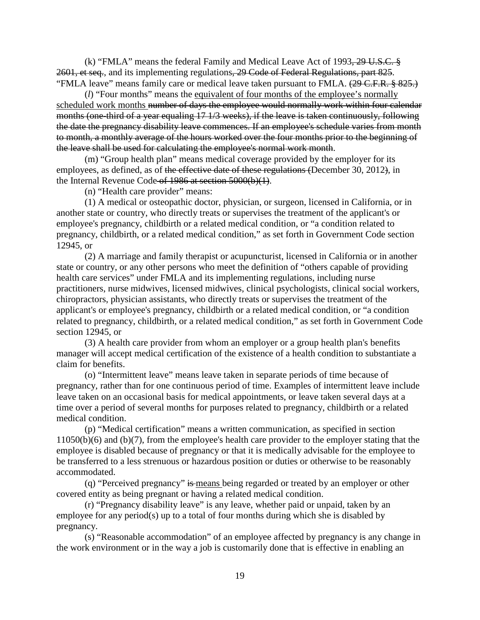(k) "FMLA" means the federal Family and Medical Leave Act of 1993, 29 U.S.C. § 2601, et seq., and its implementing regulations, 29 Code of Federal Regulations, part 825. "FMLA leave" means family care or medical leave taken pursuant to FMLA. (29 C.F.R. § 825.)

(*l*) "Four months" means the equivalent of four months of the employee's normally scheduled work months number of days the employee would normally work within four calendar months (one-third of a year equaling 17 1/3 weeks), if the leave is taken continuously, following the date the pregnancy disability leave commences. If an employee's schedule varies from month to month, a monthly average of the hours worked over the four months prior to the beginning of the leave shall be used for calculating the employee's normal work month.

(m) "Group health plan" means medical coverage provided by the employer for its employees, as defined, as of the effective date of these regulations (December 30, 2012), in the Internal Revenue Code of 1986 at section 5000(b)(1).

(n) "Health care provider" means:

(1) A medical or osteopathic doctor, physician, or surgeon, licensed in California, or in another state or country, who directly treats or supervises the treatment of the applicant's or employee's pregnancy, childbirth or a related medical condition, or "a condition related to pregnancy, childbirth, or a related medical condition," as set forth in Government Code section 12945, or

(2) A marriage and family therapist or acupuncturist, licensed in California or in another state or country, or any other persons who meet the definition of "others capable of providing health care services" under FMLA and its implementing regulations, including nurse practitioners, nurse midwives, licensed midwives, clinical psychologists, clinical social workers, chiropractors, physician assistants, who directly treats or supervises the treatment of the applicant's or employee's pregnancy, childbirth or a related medical condition, or "a condition related to pregnancy, childbirth, or a related medical condition," as set forth in Government Code section 12945, or

(3) A health care provider from whom an employer or a group health plan's benefits manager will accept medical certification of the existence of a health condition to substantiate a claim for benefits.

(o) "Intermittent leave" means leave taken in separate periods of time because of pregnancy, rather than for one continuous period of time. Examples of intermittent leave include leave taken on an occasional basis for medical appointments, or leave taken several days at a time over a period of several months for purposes related to pregnancy, childbirth or a related medical condition.

(p) "Medical certification" means a written communication, as specified in section 11050(b)(6) and (b)(7), from the employee's health care provider to the employer stating that the employee is disabled because of pregnancy or that it is medically advisable for the employee to be transferred to a less strenuous or hazardous position or duties or otherwise to be reasonably accommodated.

(q) "Perceived pregnancy" is means being regarded or treated by an employer or other covered entity as being pregnant or having a related medical condition.

(r) "Pregnancy disability leave" is any leave, whether paid or unpaid, taken by an employee for any period(s) up to a total of four months during which she is disabled by pregnancy.

(s) "Reasonable accommodation" of an employee affected by pregnancy is any change in the work environment or in the way a job is customarily done that is effective in enabling an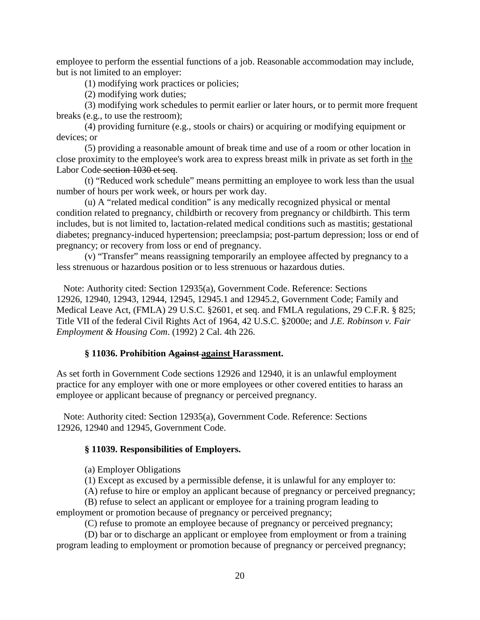employee to perform the essential functions of a job. Reasonable accommodation may include, but is not limited to an employer:

(1) modifying work practices or policies;

(2) modifying work duties;

(3) modifying work schedules to permit earlier or later hours, or to permit more frequent breaks (e.g., to use the restroom);

(4) providing furniture (e.g., stools or chairs) or acquiring or modifying equipment or devices; or

(5) providing a reasonable amount of break time and use of a room or other location in close proximity to the employee's work area to express breast milk in private as set forth in the Labor Code section 1030 et seq.

(t) "Reduced work schedule" means permitting an employee to work less than the usual number of hours per work week, or hours per work day.

(u) A "related medical condition" is any medically recognized physical or mental condition related to pregnancy, childbirth or recovery from pregnancy or childbirth. This term includes, but is not limited to, lactation-related medical conditions such as mastitis; gestational diabetes; pregnancy-induced hypertension; preeclampsia; post-partum depression; loss or end of pregnancy; or recovery from loss or end of pregnancy.

(v) "Transfer" means reassigning temporarily an employee affected by pregnancy to a less strenuous or hazardous position or to less strenuous or hazardous duties.

Note: Authority cited: Section 12935(a), Government Code. Reference: Sections 12926, 12940, 12943, 12944, 12945, 12945.1 and 12945.2, Government Code; Family and Medical Leave Act, (FMLA) 29 U.S.C. §2601, et seq. and FMLA regulations, 29 C.F.R. § 825; Title VII of the federal Civil Rights Act of 1964, 42 U.S.C. §2000e; and *J.E. Robinson v. Fair Employment & Housing Com*. (1992) 2 Cal. 4th 226.

## **§ 11036. Prohibition Against against Harassment.**

As set forth in Government Code sections 12926 and 12940, it is an unlawful employment practice for any employer with one or more employees or other covered entities to harass an employee or applicant because of pregnancy or perceived pregnancy.

Note: Authority cited: Section 12935(a), Government Code. Reference: Sections 12926, 12940 and 12945, Government Code.

## **§ 11039. Responsibilities of Employers.**

(a) Employer Obligations

(1) Except as excused by a permissible defense, it is unlawful for any employer to:

(A) refuse to hire or employ an applicant because of pregnancy or perceived pregnancy;

(B) refuse to select an applicant or employee for a training program leading to employment or promotion because of pregnancy or perceived pregnancy;

(C) refuse to promote an employee because of pregnancy or perceived pregnancy;

(D) bar or to discharge an applicant or employee from employment or from a training program leading to employment or promotion because of pregnancy or perceived pregnancy;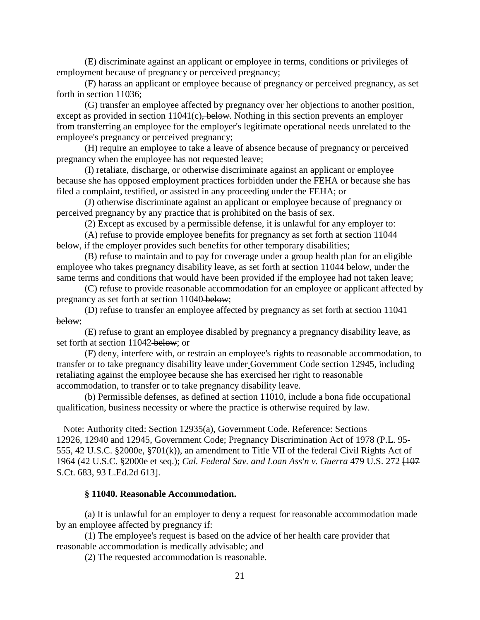(E) discriminate against an applicant or employee in terms, conditions or privileges of employment because of pregnancy or perceived pregnancy;

(F) harass an applicant or employee because of pregnancy or perceived pregnancy, as set forth in section 11036;

(G) transfer an employee affected by pregnancy over her objections to another position, except as provided in section  $11041(c)$ , below. Nothing in this section prevents an employer from transferring an employee for the employer's legitimate operational needs unrelated to the employee's pregnancy or perceived pregnancy;

(H) require an employee to take a leave of absence because of pregnancy or perceived pregnancy when the employee has not requested leave;

(I) retaliate, discharge, or otherwise discriminate against an applicant or employee because she has opposed employment practices forbidden under the FEHA or because she has filed a complaint, testified, or assisted in any proceeding under the FEHA; or

(J) otherwise discriminate against an applicant or employee because of pregnancy or perceived pregnancy by any practice that is prohibited on the basis of sex.

(2) Except as excused by a permissible defense, it is unlawful for any employer to:

(A) refuse to provide employee benefits for pregnancy as set forth at section 11044 below, if the employer provides such benefits for other temporary disabilities;

(B) refuse to maintain and to pay for coverage under a group health plan for an eligible employee who takes pregnancy disability leave, as set forth at section 11044-below, under the same terms and conditions that would have been provided if the employee had not taken leave;

(C) refuse to provide reasonable accommodation for an employee or applicant affected by pregnancy as set forth at section 11040 below;

(D) refuse to transfer an employee affected by pregnancy as set forth at section 11041 below;

(E) refuse to grant an employee disabled by pregnancy a pregnancy disability leave, as set forth at section 11042-below; or

(F) deny, interfere with, or restrain an employee's rights to reasonable accommodation, to transfer or to take pregnancy disability leave under Government Code section 12945, including retaliating against the employee because she has exercised her right to reasonable accommodation, to transfer or to take pregnancy disability leave.

(b) Permissible defenses, as defined at section 11010, include a bona fide occupational qualification, business necessity or where the practice is otherwise required by law.

Note: Authority cited: Section 12935(a), Government Code. Reference: Sections 12926, 12940 and 12945, Government Code; Pregnancy Discrimination Act of 1978 (P.L. 95- 555, 42 U.S.C. §2000e, §701(k)), an amendment to Title VII of the federal Civil Rights Act of 1964 (42 U.S.C. §2000e et seq.); *Cal. Federal Sav. and Loan Ass'n v. Guerra* 479 U.S. 272 <del>[107</del>] S.Ct. 683, 93 L.Ed.2d 613].

#### **§ 11040. Reasonable Accommodation.**

(a) It is unlawful for an employer to deny a request for reasonable accommodation made by an employee affected by pregnancy if:

(1) The employee's request is based on the advice of her health care provider that reasonable accommodation is medically advisable; and

(2) The requested accommodation is reasonable.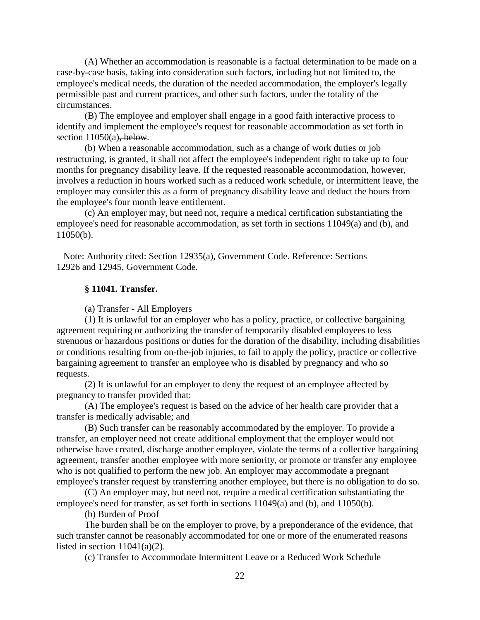(A) Whether an accommodation is reasonable is a factual determination to be made on a case-by-case basis, taking into consideration such factors, including but not limited to, the employee's medical needs, the duration of the needed accommodation, the employer's legally permissible past and current practices, and other such factors, under the totality of the circumstances.

(B) The employee and employer shall engage in a good faith interactive process to identify and implement the employee's request for reasonable accommodation as set forth in section  $11050(a)$ , below.

(b) When a reasonable accommodation, such as a change of work duties or job restructuring, is granted, it shall not affect the employee's independent right to take up to four months for pregnancy disability leave. If the requested reasonable accommodation, however, involves a reduction in hours worked such as a reduced work schedule, or intermittent leave, the employer may consider this as a form of pregnancy disability leave and deduct the hours from the employee's four month leave entitlement.

(c) An employer may, but need not, require a medical certification substantiating the employee's need for reasonable accommodation, as set forth in sections 11049(a) and (b), and 11050(b).

Note: Authority cited: Section 12935(a), Government Code. Reference: Sections 12926 and 12945, Government Code.

#### **§ 11041. Transfer.**

(a) Transfer - All Employers

(1) It is unlawful for an employer who has a policy, practice, or collective bargaining agreement requiring or authorizing the transfer of temporarily disabled employees to less strenuous or hazardous positions or duties for the duration of the disability, including disabilities or conditions resulting from on-the-job injuries, to fail to apply the policy, practice or collective bargaining agreement to transfer an employee who is disabled by pregnancy and who so requests.

(2) It is unlawful for an employer to deny the request of an employee affected by pregnancy to transfer provided that:

(A) The employee's request is based on the advice of her health care provider that a transfer is medically advisable; and

(B) Such transfer can be reasonably accommodated by the employer. To provide a transfer, an employer need not create additional employment that the employer would not otherwise have created, discharge another employee, violate the terms of a collective bargaining agreement, transfer another employee with more seniority, or promote or transfer any employee who is not qualified to perform the new job. An employer may accommodate a pregnant employee's transfer request by transferring another employee, but there is no obligation to do so.

(C) An employer may, but need not, require a medical certification substantiating the employee's need for transfer, as set forth in sections 11049(a) and (b), and 11050(b).

(b) Burden of Proof

The burden shall be on the employer to prove, by a preponderance of the evidence, that such transfer cannot be reasonably accommodated for one or more of the enumerated reasons listed in section  $11041(a)(2)$ .

(c) Transfer to Accommodate Intermittent Leave or a Reduced Work Schedule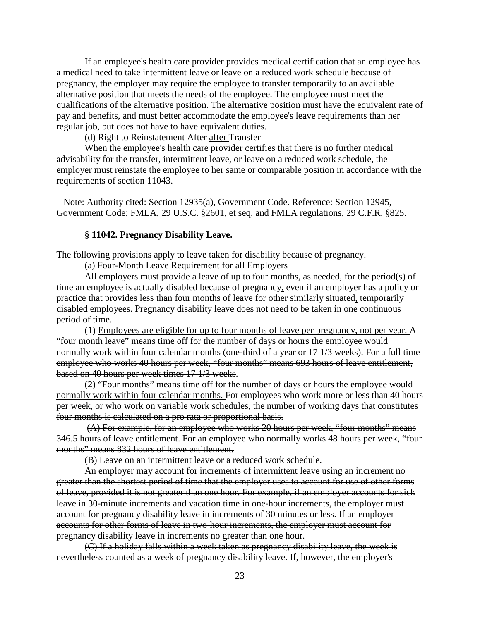If an employee's health care provider provides medical certification that an employee has a medical need to take intermittent leave or leave on a reduced work schedule because of pregnancy, the employer may require the employee to transfer temporarily to an available alternative position that meets the needs of the employee. The employee must meet the qualifications of the alternative position. The alternative position must have the equivalent rate of pay and benefits, and must better accommodate the employee's leave requirements than her regular job, but does not have to have equivalent duties.

(d) Right to Reinstatement After after Transfer

When the employee's health care provider certifies that there is no further medical advisability for the transfer, intermittent leave, or leave on a reduced work schedule, the employer must reinstate the employee to her same or comparable position in accordance with the requirements of section 11043.

Note: Authority cited: Section 12935(a), Government Code. Reference: Section 12945, Government Code; FMLA, 29 U.S.C. §2601, et seq. and FMLA regulations, 29 C.F.R. §825.

#### **§ 11042. Pregnancy Disability Leave.**

The following provisions apply to leave taken for disability because of pregnancy.

(a) Four-Month Leave Requirement for all Employers

All employers must provide a leave of up to four months, as needed, for the period(s) of time an employee is actually disabled because of pregnancy, even if an employer has a policy or practice that provides less than four months of leave for other similarly situated, temporarily disabled employees. Pregnancy disability leave does not need to be taken in one continuous period of time.

(1) Employees are eligible for up to four months of leave per pregnancy, not per year. A "four month leave" means time off for the number of days or hours the employee would normally work within four calendar months (one-third of a year or 17 1/3 weeks). For a full time employee who works 40 hours per week, "four months" means 693 hours of leave entitlement, based on 40 hours per week times 17 1/3 weeks.

(2) "Four months" means time off for the number of days or hours the employee would normally work within four calendar months. For employees who work more or less than 40 hours per week, or who work on variable work schedules, the number of working days that constitutes four months is calculated on a pro rata or proportional basis.

(A) For example, for an employee who works 20 hours per week, "four months" means 346.5 hours of leave entitlement. For an employee who normally works 48 hours per week, "four months" means 832 hours of leave entitlement.

(B) Leave on an intermittent leave or a reduced work schedule.

An employer may account for increments of intermittent leave using an increment no greater than the shortest period of time that the employer uses to account for use of other forms of leave, provided it is not greater than one hour. For example, if an employer accounts for sick leave in 30-minute increments and vacation time in one-hour increments, the employer must account for pregnancy disability leave in increments of 30 minutes or less. If an employer accounts for other forms of leave in two-hour increments, the employer must account for pregnancy disability leave in increments no greater than one hour.

(C) If a holiday falls within a week taken as pregnancy disability leave, the week is nevertheless counted as a week of pregnancy disability leave. If, however, the employer's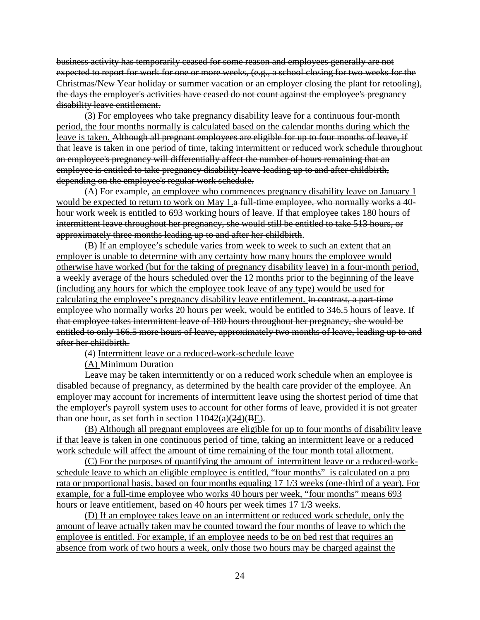business activity has temporarily ceased for some reason and employees generally are not expected to report for work for one or more weeks, (e.g., a school closing for two weeks for the Christmas/New Year holiday or summer vacation or an employer closing the plant for retooling), the days the employer's activities have ceased do not count against the employee's pregnancy disability leave entitlement.

(3) For employees who take pregnancy disability leave for a continuous four-month period, the four months normally is calculated based on the calendar months during which the leave is taken. Although all pregnant employees are eligible for up to four months of leave, if that leave is taken in one period of time, taking intermittent or reduced work schedule throughout an employee's pregnancy will differentially affect the number of hours remaining that an employee is entitled to take pregnancy disability leave leading up to and after childbirth, depending on the employee's regular work schedule.

(A) For example, an employee who commences pregnancy disability leave on January 1 would be expected to return to work on May 1.a full-time employee, who normally works a 40 hour work week is entitled to 693 working hours of leave. If that employee takes 180 hours of intermittent leave throughout her pregnancy, she would still be entitled to take 513 hours, or approximately three months leading up to and after her childbirth.

(B) If an employee's schedule varies from week to week to such an extent that an employer is unable to determine with any certainty how many hours the employee would otherwise have worked (but for the taking of pregnancy disability leave) in a four-month period, a weekly average of the hours scheduled over the 12 months prior to the beginning of the leave (including any hours for which the employee took leave of any type) would be used for calculating the employee's pregnancy disability leave entitlement. In contrast, a part-time employee who normally works 20 hours per week, would be entitled to 346.5 hours of leave. If that employee takes intermittent leave of 180 hours throughout her pregnancy, she would be entitled to only 166.5 more hours of leave, approximately two months of leave, leading up to and after her childbirth.

(4) Intermittent leave or a reduced-work-schedule leave

(A) Minimum Duration

Leave may be taken intermittently or on a reduced work schedule when an employee is disabled because of pregnancy, as determined by the health care provider of the employee. An employer may account for increments of intermittent leave using the shortest period of time that the employer's payroll system uses to account for other forms of leave, provided it is not greater than one hour, as set forth in section  $11042(a)(24)(BE)$ .

(B) Although all pregnant employees are eligible for up to four months of disability leave if that leave is taken in one continuous period of time, taking an intermittent leave or a reduced work schedule will affect the amount of time remaining of the four month total allotment.

(C) For the purposes of quantifying the amount of intermittent leave or a reduced-workschedule leave to which an eligible employee is entitled, "four months" is calculated on a pro rata or proportional basis, based on four months equaling 17 1/3 weeks (one-third of a year). For example, for a full-time employee who works 40 hours per week, "four months" means 693 hours or leave entitlement, based on 40 hours per week times 17 1/3 weeks.

(D) If an employee takes leave on an intermittent or reduced work schedule, only the amount of leave actually taken may be counted toward the four months of leave to which the employee is entitled. For example, if an employee needs to be on bed rest that requires an absence from work of two hours a week, only those two hours may be charged against the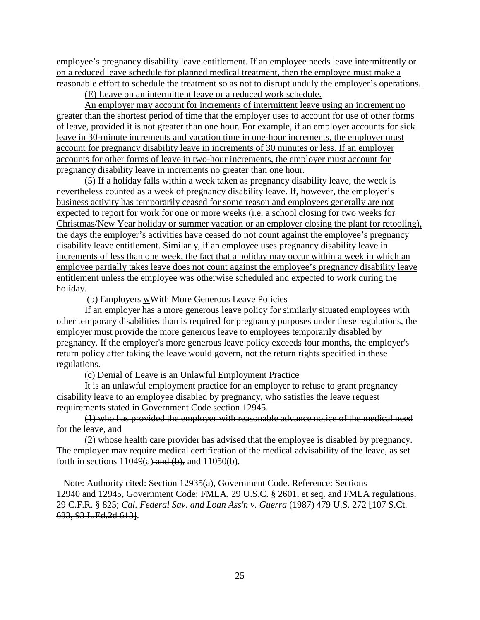employee's pregnancy disability leave entitlement. If an employee needs leave intermittently or on a reduced leave schedule for planned medical treatment, then the employee must make a reasonable effort to schedule the treatment so as not to disrupt unduly the employer's operations.

(E) Leave on an intermittent leave or a reduced work schedule.

An employer may account for increments of intermittent leave using an increment no greater than the shortest period of time that the employer uses to account for use of other forms of leave, provided it is not greater than one hour. For example, if an employer accounts for sick leave in 30-minute increments and vacation time in one-hour increments, the employer must account for pregnancy disability leave in increments of 30 minutes or less. If an employer accounts for other forms of leave in two-hour increments, the employer must account for pregnancy disability leave in increments no greater than one hour.

(5) If a holiday falls within a week taken as pregnancy disability leave, the week is nevertheless counted as a week of pregnancy disability leave. If, however, the employer's business activity has temporarily ceased for some reason and employees generally are not expected to report for work for one or more weeks (i.e. a school closing for two weeks for Christmas/New Year holiday or summer vacation or an employer closing the plant for retooling), the days the employer's activities have ceased do not count against the employee's pregnancy disability leave entitlement. Similarly, if an employee uses pregnancy disability leave in increments of less than one week, the fact that a holiday may occur within a week in which an employee partially takes leave does not count against the employee's pregnancy disability leave entitlement unless the employee was otherwise scheduled and expected to work during the holiday.

(b) Employers wWith More Generous Leave Policies

If an employer has a more generous leave policy for similarly situated employees with other temporary disabilities than is required for pregnancy purposes under these regulations, the employer must provide the more generous leave to employees temporarily disabled by pregnancy. If the employer's more generous leave policy exceeds four months, the employer's return policy after taking the leave would govern, not the return rights specified in these regulations.

(c) Denial of Leave is an Unlawful Employment Practice

It is an unlawful employment practice for an employer to refuse to grant pregnancy disability leave to an employee disabled by pregnancy, who satisfies the leave request requirements stated in Government Code section 12945.

(1) who has provided the employer with reasonable advance notice of the medical need for the leave, and

(2) whose health care provider has advised that the employee is disabled by pregnancy. The employer may require medical certification of the medical advisability of the leave, as set forth in sections  $11049(a)$  and  $(b)$ , and  $11050(b)$ .

Note: Authority cited: Section 12935(a), Government Code. Reference: Sections 12940 and 12945, Government Code; FMLA, 29 U.S.C. § 2601, et seq. and FMLA regulations, 29 C.F.R. § 825; *Cal. Federal Sav. and Loan Ass'n v. Guerra* (1987) 479 U.S. 272 <del>[107 S.Ct.</del> 683, 93 L.Ed.2d 613].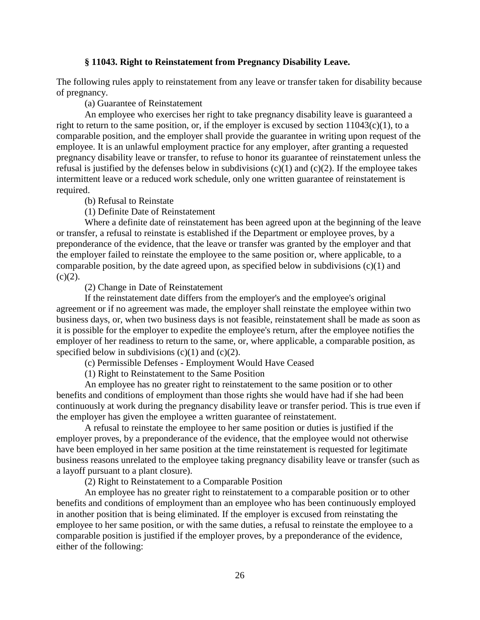### **§ 11043. Right to Reinstatement from Pregnancy Disability Leave.**

The following rules apply to reinstatement from any leave or transfer taken for disability because of pregnancy.

(a) Guarantee of Reinstatement

An employee who exercises her right to take pregnancy disability leave is guaranteed a right to return to the same position, or, if the employer is excused by section  $11043(c)(1)$ , to a comparable position, and the employer shall provide the guarantee in writing upon request of the employee. It is an unlawful employment practice for any employer, after granting a requested pregnancy disability leave or transfer, to refuse to honor its guarantee of reinstatement unless the refusal is justified by the defenses below in subdivisions  $(c)(1)$  and  $(c)(2)$ . If the employee takes intermittent leave or a reduced work schedule, only one written guarantee of reinstatement is required.

(b) Refusal to Reinstate

(1) Definite Date of Reinstatement

Where a definite date of reinstatement has been agreed upon at the beginning of the leave or transfer, a refusal to reinstate is established if the Department or employee proves, by a preponderance of the evidence, that the leave or transfer was granted by the employer and that the employer failed to reinstate the employee to the same position or, where applicable, to a comparable position, by the date agreed upon, as specified below in subdivisions (c)(1) and  $(c)(2)$ .

(2) Change in Date of Reinstatement

If the reinstatement date differs from the employer's and the employee's original agreement or if no agreement was made, the employer shall reinstate the employee within two business days, or, when two business days is not feasible, reinstatement shall be made as soon as it is possible for the employer to expedite the employee's return, after the employee notifies the employer of her readiness to return to the same, or, where applicable, a comparable position, as specified below in subdivisions  $(c)(1)$  and  $(c)(2)$ .

(c) Permissible Defenses - Employment Would Have Ceased

(1) Right to Reinstatement to the Same Position

An employee has no greater right to reinstatement to the same position or to other benefits and conditions of employment than those rights she would have had if she had been continuously at work during the pregnancy disability leave or transfer period. This is true even if the employer has given the employee a written guarantee of reinstatement.

A refusal to reinstate the employee to her same position or duties is justified if the employer proves, by a preponderance of the evidence, that the employee would not otherwise have been employed in her same position at the time reinstatement is requested for legitimate business reasons unrelated to the employee taking pregnancy disability leave or transfer (such as a layoff pursuant to a plant closure).

(2) Right to Reinstatement to a Comparable Position

An employee has no greater right to reinstatement to a comparable position or to other benefits and conditions of employment than an employee who has been continuously employed in another position that is being eliminated. If the employer is excused from reinstating the employee to her same position, or with the same duties, a refusal to reinstate the employee to a comparable position is justified if the employer proves, by a preponderance of the evidence, either of the following: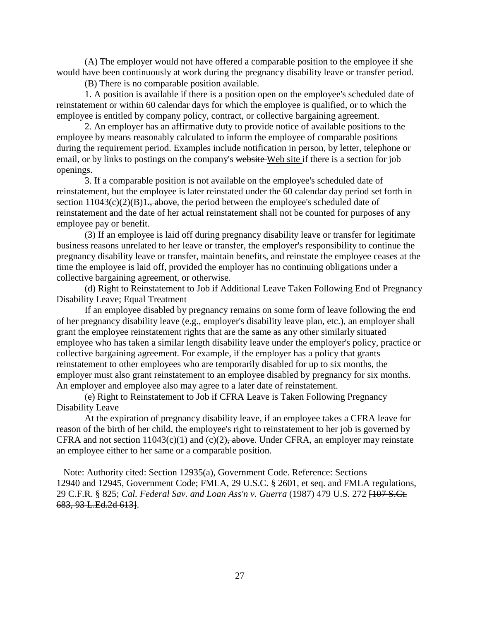(A) The employer would not have offered a comparable position to the employee if she would have been continuously at work during the pregnancy disability leave or transfer period.

(B) There is no comparable position available.

1. A position is available if there is a position open on the employee's scheduled date of reinstatement or within 60 calendar days for which the employee is qualified, or to which the employee is entitled by company policy, contract, or collective bargaining agreement.

2. An employer has an affirmative duty to provide notice of available positions to the employee by means reasonably calculated to inform the employee of comparable positions during the requirement period. Examples include notification in person, by letter, telephone or email, or by links to postings on the company's website Web site if there is a section for job openings.

3. If a comparable position is not available on the employee's scheduled date of reinstatement, but the employee is later reinstated under the 60 calendar day period set forth in section  $11043(c)(2)(B)1$ , above, the period between the employee's scheduled date of reinstatement and the date of her actual reinstatement shall not be counted for purposes of any employee pay or benefit.

(3) If an employee is laid off during pregnancy disability leave or transfer for legitimate business reasons unrelated to her leave or transfer, the employer's responsibility to continue the pregnancy disability leave or transfer, maintain benefits, and reinstate the employee ceases at the time the employee is laid off, provided the employer has no continuing obligations under a collective bargaining agreement, or otherwise.

(d) Right to Reinstatement to Job if Additional Leave Taken Following End of Pregnancy Disability Leave; Equal Treatment

If an employee disabled by pregnancy remains on some form of leave following the end of her pregnancy disability leave (e.g., employer's disability leave plan, etc.), an employer shall grant the employee reinstatement rights that are the same as any other similarly situated employee who has taken a similar length disability leave under the employer's policy, practice or collective bargaining agreement. For example, if the employer has a policy that grants reinstatement to other employees who are temporarily disabled for up to six months, the employer must also grant reinstatement to an employee disabled by pregnancy for six months. An employer and employee also may agree to a later date of reinstatement.

(e) Right to Reinstatement to Job if CFRA Leave is Taken Following Pregnancy Disability Leave

At the expiration of pregnancy disability leave, if an employee takes a CFRA leave for reason of the birth of her child, the employee's right to reinstatement to her job is governed by CFRA and not section  $11043(c)(1)$  and  $(c)(2)$ , above. Under CFRA, an employer may reinstate an employee either to her same or a comparable position.

Note: Authority cited: Section 12935(a), Government Code. Reference: Sections 12940 and 12945, Government Code; FMLA, 29 U.S.C. § 2601, et seq. and FMLA regulations, 29 C.F.R. § 825; *Cal. Federal Sav. and Loan Ass'n v. Guerra* (1987) 479 U.S. 272 [107 S.Ct. 683, 93 L.Ed.2d 613].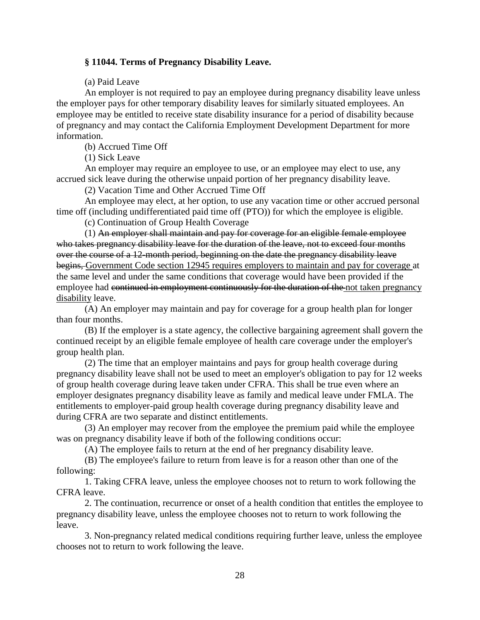## **§ 11044. Terms of Pregnancy Disability Leave.**

(a) Paid Leave

An employer is not required to pay an employee during pregnancy disability leave unless the employer pays for other temporary disability leaves for similarly situated employees. An employee may be entitled to receive state disability insurance for a period of disability because of pregnancy and may contact the California Employment Development Department for more information.

(b) Accrued Time Off

(1) Sick Leave

An employer may require an employee to use, or an employee may elect to use, any accrued sick leave during the otherwise unpaid portion of her pregnancy disability leave.

(2) Vacation Time and Other Accrued Time Off

An employee may elect, at her option, to use any vacation time or other accrued personal time off (including undifferentiated paid time off (PTO)) for which the employee is eligible.

(c) Continuation of Group Health Coverage

(1) An employer shall maintain and pay for coverage for an eligible female employee who takes pregnancy disability leave for the duration of the leave, not to exceed four months over the course of a 12-month period, beginning on the date the pregnancy disability leave begins, Government Code section 12945 requires employers to maintain and pay for coverage at the same level and under the same conditions that coverage would have been provided if the employee had continued in employment continuously for the duration of the not taken pregnancy disability leave.

(A) An employer may maintain and pay for coverage for a group health plan for longer than four months.

(B) If the employer is a state agency, the collective bargaining agreement shall govern the continued receipt by an eligible female employee of health care coverage under the employer's group health plan.

(2) The time that an employer maintains and pays for group health coverage during pregnancy disability leave shall not be used to meet an employer's obligation to pay for 12 weeks of group health coverage during leave taken under CFRA. This shall be true even where an employer designates pregnancy disability leave as family and medical leave under FMLA. The entitlements to employer-paid group health coverage during pregnancy disability leave and during CFRA are two separate and distinct entitlements.

(3) An employer may recover from the employee the premium paid while the employee was on pregnancy disability leave if both of the following conditions occur:

(A) The employee fails to return at the end of her pregnancy disability leave.

(B) The employee's failure to return from leave is for a reason other than one of the following:

1. Taking CFRA leave, unless the employee chooses not to return to work following the CFRA leave.

2. The continuation, recurrence or onset of a health condition that entitles the employee to pregnancy disability leave, unless the employee chooses not to return to work following the leave.

3. Non-pregnancy related medical conditions requiring further leave, unless the employee chooses not to return to work following the leave.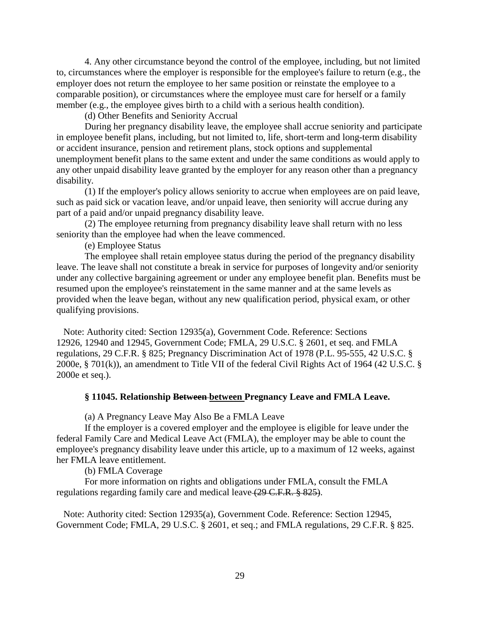4. Any other circumstance beyond the control of the employee, including, but not limited to, circumstances where the employer is responsible for the employee's failure to return (e.g., the employer does not return the employee to her same position or reinstate the employee to a comparable position), or circumstances where the employee must care for herself or a family member (e.g., the employee gives birth to a child with a serious health condition).

(d) Other Benefits and Seniority Accrual

During her pregnancy disability leave, the employee shall accrue seniority and participate in employee benefit plans, including, but not limited to, life, short-term and long-term disability or accident insurance, pension and retirement plans, stock options and supplemental unemployment benefit plans to the same extent and under the same conditions as would apply to any other unpaid disability leave granted by the employer for any reason other than a pregnancy disability.

(1) If the employer's policy allows seniority to accrue when employees are on paid leave, such as paid sick or vacation leave, and/or unpaid leave, then seniority will accrue during any part of a paid and/or unpaid pregnancy disability leave.

(2) The employee returning from pregnancy disability leave shall return with no less seniority than the employee had when the leave commenced.

(e) Employee Status

The employee shall retain employee status during the period of the pregnancy disability leave. The leave shall not constitute a break in service for purposes of longevity and/or seniority under any collective bargaining agreement or under any employee benefit plan. Benefits must be resumed upon the employee's reinstatement in the same manner and at the same levels as provided when the leave began, without any new qualification period, physical exam, or other qualifying provisions.

Note: Authority cited: Section 12935(a), Government Code. Reference: Sections 12926, 12940 and 12945, Government Code; FMLA, 29 U.S.C. § 2601, et seq. and FMLA regulations, 29 C.F.R. § 825; Pregnancy Discrimination Act of 1978 (P.L. 95-555, 42 U.S.C. § 2000e, § 701(k)), an amendment to Title VII of the federal Civil Rights Act of 1964 (42 U.S.C. § 2000e et seq.).

### **§ 11045. Relationship Between between Pregnancy Leave and FMLA Leave.**

(a) A Pregnancy Leave May Also Be a FMLA Leave

If the employer is a covered employer and the employee is eligible for leave under the federal Family Care and Medical Leave Act (FMLA), the employer may be able to count the employee's pregnancy disability leave under this article, up to a maximum of 12 weeks, against her FMLA leave entitlement.

(b) FMLA Coverage

For more information on rights and obligations under FMLA, consult the FMLA regulations regarding family care and medical leave (29 C.F.R. § 825).

Note: Authority cited: Section 12935(a), Government Code. Reference: Section 12945, Government Code; FMLA, 29 U.S.C. § 2601, et seq.; and FMLA regulations, 29 C.F.R. § 825.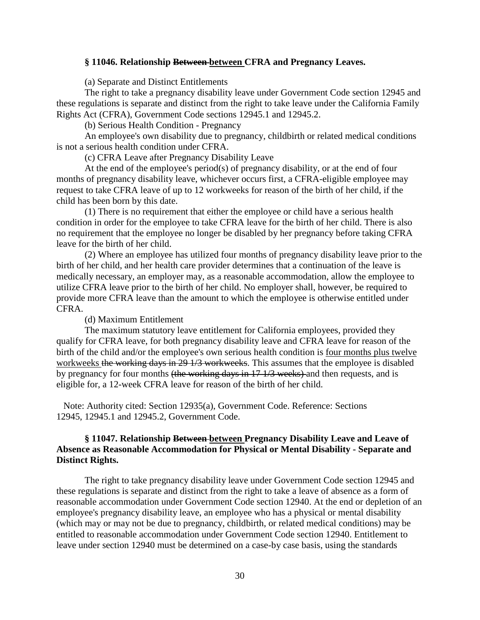### **§ 11046. Relationship Between between CFRA and Pregnancy Leaves.**

(a) Separate and Distinct Entitlements

The right to take a pregnancy disability leave under Government Code section 12945 and these regulations is separate and distinct from the right to take leave under the California Family Rights Act (CFRA), Government Code sections 12945.1 and 12945.2.

(b) Serious Health Condition - Pregnancy

An employee's own disability due to pregnancy, childbirth or related medical conditions is not a serious health condition under CFRA.

(c) CFRA Leave after Pregnancy Disability Leave

At the end of the employee's period(s) of pregnancy disability, or at the end of four months of pregnancy disability leave, whichever occurs first, a CFRA-eligible employee may request to take CFRA leave of up to 12 workweeks for reason of the birth of her child, if the child has been born by this date.

(1) There is no requirement that either the employee or child have a serious health condition in order for the employee to take CFRA leave for the birth of her child. There is also no requirement that the employee no longer be disabled by her pregnancy before taking CFRA leave for the birth of her child.

(2) Where an employee has utilized four months of pregnancy disability leave prior to the birth of her child, and her health care provider determines that a continuation of the leave is medically necessary, an employer may, as a reasonable accommodation, allow the employee to utilize CFRA leave prior to the birth of her child. No employer shall, however, be required to provide more CFRA leave than the amount to which the employee is otherwise entitled under CFRA.

(d) Maximum Entitlement

The maximum statutory leave entitlement for California employees, provided they qualify for CFRA leave, for both pregnancy disability leave and CFRA leave for reason of the birth of the child and/or the employee's own serious health condition is four months plus twelve workweeks the working days in 29 1/3 workweeks. This assumes that the employee is disabled by pregnancy for four months (the working days in 17 1/3 weeks) and then requests, and is eligible for, a 12-week CFRA leave for reason of the birth of her child.

Note: Authority cited: Section 12935(a), Government Code. Reference: Sections 12945, 12945.1 and 12945.2, Government Code.

## **§ 11047. Relationship Between between Pregnancy Disability Leave and Leave of Absence as Reasonable Accommodation for Physical or Mental Disability - Separate and Distinct Rights.**

The right to take pregnancy disability leave under Government Code section 12945 and these regulations is separate and distinct from the right to take a leave of absence as a form of reasonable accommodation under Government Code section 12940. At the end or depletion of an employee's pregnancy disability leave, an employee who has a physical or mental disability (which may or may not be due to pregnancy, childbirth, or related medical conditions) may be entitled to reasonable accommodation under Government Code section 12940. Entitlement to leave under section 12940 must be determined on a case-by case basis, using the standards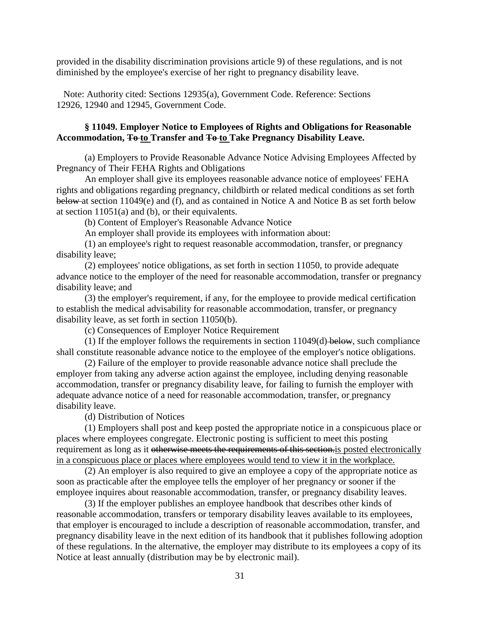provided in the disability discrimination provisions article 9) of these regulations, and is not diminished by the employee's exercise of her right to pregnancy disability leave.

Note: Authority cited: Sections 12935(a), Government Code. Reference: Sections 12926, 12940 and 12945, Government Code.

## **§ 11049. Employer Notice to Employees of Rights and Obligations for Reasonable Accommodation, To to Transfer and To to Take Pregnancy Disability Leave.**

(a) Employers to Provide Reasonable Advance Notice Advising Employees Affected by Pregnancy of Their FEHA Rights and Obligations

An employer shall give its employees reasonable advance notice of employees' FEHA rights and obligations regarding pregnancy, childbirth or related medical conditions as set forth below at section 11049(e) and (f), and as contained in Notice A and Notice B as set forth below at section 11051(a) and (b), or their equivalents.

(b) Content of Employer's Reasonable Advance Notice

An employer shall provide its employees with information about:

(1) an employee's right to request reasonable accommodation, transfer, or pregnancy disability leave;

(2) employees' notice obligations, as set forth in section 11050, to provide adequate advance notice to the employer of the need for reasonable accommodation, transfer or pregnancy disability leave; and

(3) the employer's requirement, if any, for the employee to provide medical certification to establish the medical advisability for reasonable accommodation, transfer, or pregnancy disability leave, as set forth in section 11050(b).

(c) Consequences of Employer Notice Requirement

(1) If the employer follows the requirements in section  $11049(d)$  below, such compliance shall constitute reasonable advance notice to the employee of the employer's notice obligations.

(2) Failure of the employer to provide reasonable advance notice shall preclude the employer from taking any adverse action against the employee, including denying reasonable accommodation, transfer or pregnancy disability leave, for failing to furnish the employer with adequate advance notice of a need for reasonable accommodation, transfer, or pregnancy disability leave.

(d) Distribution of Notices

(1) Employers shall post and keep posted the appropriate notice in a conspicuous place or places where employees congregate. Electronic posting is sufficient to meet this posting requirement as long as it otherwise meets the requirements of this section.is posted electronically in a conspicuous place or places where employees would tend to view it in the workplace.

(2) An employer is also required to give an employee a copy of the appropriate notice as soon as practicable after the employee tells the employer of her pregnancy or sooner if the employee inquires about reasonable accommodation, transfer, or pregnancy disability leaves.

(3) If the employer publishes an employee handbook that describes other kinds of reasonable accommodation, transfers or temporary disability leaves available to its employees, that employer is encouraged to include a description of reasonable accommodation, transfer, and pregnancy disability leave in the next edition of its handbook that it publishes following adoption of these regulations. In the alternative, the employer may distribute to its employees a copy of its Notice at least annually (distribution may be by electronic mail).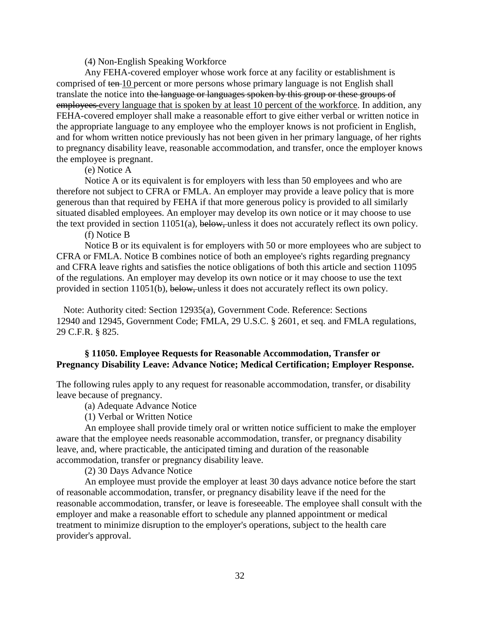#### (4) Non-English Speaking Workforce

Any FEHA-covered employer whose work force at any facility or establishment is comprised of ten 10 percent or more persons whose primary language is not English shall translate the notice into the language or languages spoken by this group or these groups of employees every language that is spoken by at least 10 percent of the workforce. In addition, any FEHA-covered employer shall make a reasonable effort to give either verbal or written notice in the appropriate language to any employee who the employer knows is not proficient in English, and for whom written notice previously has not been given in her primary language, of her rights to pregnancy disability leave, reasonable accommodation, and transfer, once the employer knows the employee is pregnant.

(e) Notice A

Notice A or its equivalent is for employers with less than 50 employees and who are therefore not subject to CFRA or FMLA. An employer may provide a leave policy that is more generous than that required by FEHA if that more generous policy is provided to all similarly situated disabled employees. An employer may develop its own notice or it may choose to use the text provided in section 11051(a), below, unless it does not accurately reflect its own policy.

(f) Notice B

Notice B or its equivalent is for employers with 50 or more employees who are subject to CFRA or FMLA. Notice B combines notice of both an employee's rights regarding pregnancy and CFRA leave rights and satisfies the notice obligations of both this article and section 11095 of the regulations. An employer may develop its own notice or it may choose to use the text provided in section 11051(b), below, unless it does not accurately reflect its own policy.

Note: Authority cited: Section 12935(a), Government Code. Reference: Sections 12940 and 12945, Government Code; FMLA, 29 U.S.C. § 2601, et seq. and FMLA regulations, 29 C.F.R. § 825.

### **§ 11050. Employee Requests for Reasonable Accommodation, Transfer or Pregnancy Disability Leave: Advance Notice; Medical Certification; Employer Response.**

The following rules apply to any request for reasonable accommodation, transfer, or disability leave because of pregnancy.

(a) Adequate Advance Notice

(1) Verbal or Written Notice

An employee shall provide timely oral or written notice sufficient to make the employer aware that the employee needs reasonable accommodation, transfer, or pregnancy disability leave, and, where practicable, the anticipated timing and duration of the reasonable accommodation, transfer or pregnancy disability leave.

(2) 30 Days Advance Notice

An employee must provide the employer at least 30 days advance notice before the start of reasonable accommodation, transfer, or pregnancy disability leave if the need for the reasonable accommodation, transfer, or leave is foreseeable. The employee shall consult with the employer and make a reasonable effort to schedule any planned appointment or medical treatment to minimize disruption to the employer's operations, subject to the health care provider's approval.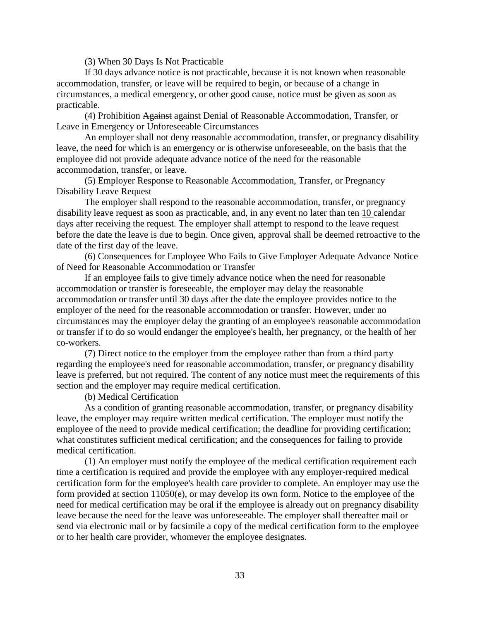(3) When 30 Days Is Not Practicable

If 30 days advance notice is not practicable, because it is not known when reasonable accommodation, transfer, or leave will be required to begin, or because of a change in circumstances, a medical emergency, or other good cause, notice must be given as soon as practicable.

(4) Prohibition Against against Denial of Reasonable Accommodation, Transfer, or Leave in Emergency or Unforeseeable Circumstances

An employer shall not deny reasonable accommodation, transfer, or pregnancy disability leave, the need for which is an emergency or is otherwise unforeseeable, on the basis that the employee did not provide adequate advance notice of the need for the reasonable accommodation, transfer, or leave.

(5) Employer Response to Reasonable Accommodation, Transfer, or Pregnancy Disability Leave Request

The employer shall respond to the reasonable accommodation, transfer, or pregnancy disability leave request as soon as practicable, and, in any event no later than ten 10 calendar days after receiving the request. The employer shall attempt to respond to the leave request before the date the leave is due to begin. Once given, approval shall be deemed retroactive to the date of the first day of the leave.

(6) Consequences for Employee Who Fails to Give Employer Adequate Advance Notice of Need for Reasonable Accommodation or Transfer

If an employee fails to give timely advance notice when the need for reasonable accommodation or transfer is foreseeable, the employer may delay the reasonable accommodation or transfer until 30 days after the date the employee provides notice to the employer of the need for the reasonable accommodation or transfer. However, under no circumstances may the employer delay the granting of an employee's reasonable accommodation or transfer if to do so would endanger the employee's health, her pregnancy, or the health of her co-workers.

(7) Direct notice to the employer from the employee rather than from a third party regarding the employee's need for reasonable accommodation, transfer, or pregnancy disability leave is preferred, but not required. The content of any notice must meet the requirements of this section and the employer may require medical certification.

(b) Medical Certification

As a condition of granting reasonable accommodation, transfer, or pregnancy disability leave, the employer may require written medical certification. The employer must notify the employee of the need to provide medical certification; the deadline for providing certification; what constitutes sufficient medical certification; and the consequences for failing to provide medical certification.

(1) An employer must notify the employee of the medical certification requirement each time a certification is required and provide the employee with any employer-required medical certification form for the employee's health care provider to complete. An employer may use the form provided at section 11050(e), or may develop its own form. Notice to the employee of the need for medical certification may be oral if the employee is already out on pregnancy disability leave because the need for the leave was unforeseeable. The employer shall thereafter mail or send via electronic mail or by facsimile a copy of the medical certification form to the employee or to her health care provider, whomever the employee designates.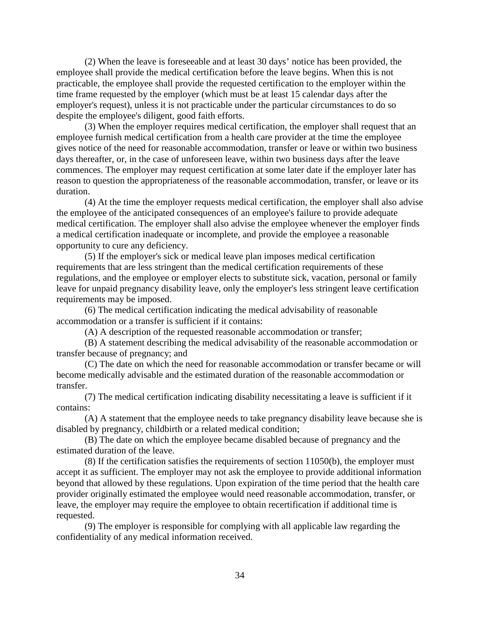(2) When the leave is foreseeable and at least 30 days' notice has been provided, the employee shall provide the medical certification before the leave begins. When this is not practicable, the employee shall provide the requested certification to the employer within the time frame requested by the employer (which must be at least 15 calendar days after the employer's request), unless it is not practicable under the particular circumstances to do so despite the employee's diligent, good faith efforts.

(3) When the employer requires medical certification, the employer shall request that an employee furnish medical certification from a health care provider at the time the employee gives notice of the need for reasonable accommodation, transfer or leave or within two business days thereafter, or, in the case of unforeseen leave, within two business days after the leave commences. The employer may request certification at some later date if the employer later has reason to question the appropriateness of the reasonable accommodation, transfer, or leave or its duration.

(4) At the time the employer requests medical certification, the employer shall also advise the employee of the anticipated consequences of an employee's failure to provide adequate medical certification. The employer shall also advise the employee whenever the employer finds a medical certification inadequate or incomplete, and provide the employee a reasonable opportunity to cure any deficiency.

(5) If the employer's sick or medical leave plan imposes medical certification requirements that are less stringent than the medical certification requirements of these regulations, and the employee or employer elects to substitute sick, vacation, personal or family leave for unpaid pregnancy disability leave, only the employer's less stringent leave certification requirements may be imposed.

(6) The medical certification indicating the medical advisability of reasonable accommodation or a transfer is sufficient if it contains:

(A) A description of the requested reasonable accommodation or transfer;

(B) A statement describing the medical advisability of the reasonable accommodation or transfer because of pregnancy; and

(C) The date on which the need for reasonable accommodation or transfer became or will become medically advisable and the estimated duration of the reasonable accommodation or transfer.

(7) The medical certification indicating disability necessitating a leave is sufficient if it contains:

(A) A statement that the employee needs to take pregnancy disability leave because she is disabled by pregnancy, childbirth or a related medical condition;

(B) The date on which the employee became disabled because of pregnancy and the estimated duration of the leave.

(8) If the certification satisfies the requirements of section 11050(b), the employer must accept it as sufficient. The employer may not ask the employee to provide additional information beyond that allowed by these regulations. Upon expiration of the time period that the health care provider originally estimated the employee would need reasonable accommodation, transfer, or leave, the employer may require the employee to obtain recertification if additional time is requested.

(9) The employer is responsible for complying with all applicable law regarding the confidentiality of any medical information received.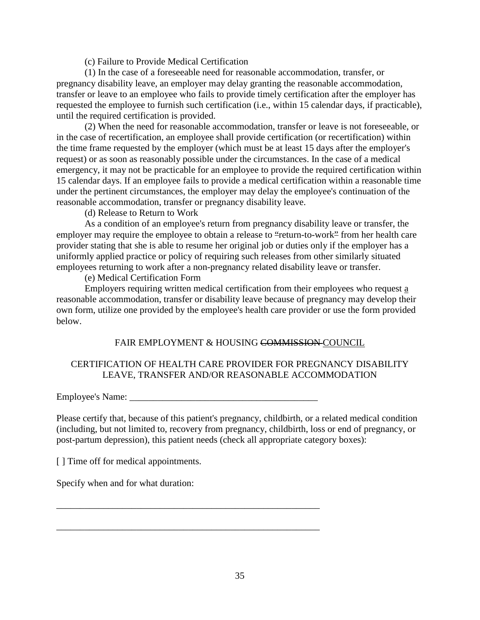(c) Failure to Provide Medical Certification

(1) In the case of a foreseeable need for reasonable accommodation, transfer, or pregnancy disability leave, an employer may delay granting the reasonable accommodation, transfer or leave to an employee who fails to provide timely certification after the employer has requested the employee to furnish such certification (i.e., within 15 calendar days, if practicable), until the required certification is provided.

(2) When the need for reasonable accommodation, transfer or leave is not foreseeable, or in the case of recertification, an employee shall provide certification (or recertification) within the time frame requested by the employer (which must be at least 15 days after the employer's request) or as soon as reasonably possible under the circumstances. In the case of a medical emergency, it may not be practicable for an employee to provide the required certification within 15 calendar days. If an employee fails to provide a medical certification within a reasonable time under the pertinent circumstances, the employer may delay the employee's continuation of the reasonable accommodation, transfer or pregnancy disability leave.

(d) Release to Return to Work

As a condition of an employee's return from pregnancy disability leave or transfer, the employer may require the employee to obtain a release to "return-to-work" from her health care provider stating that she is able to resume her original job or duties only if the employer has a uniformly applied practice or policy of requiring such releases from other similarly situated employees returning to work after a non-pregnancy related disability leave or transfer.

(e) Medical Certification Form

Employers requiring written medical certification from their employees who request a reasonable accommodation, transfer or disability leave because of pregnancy may develop their own form, utilize one provided by the employee's health care provider or use the form provided below.

# FAIR EMPLOYMENT & HOUSING COMMISSION COUNCIL

# CERTIFICATION OF HEALTH CARE PROVIDER FOR PREGNANCY DISABILITY LEAVE, TRANSFER AND/OR REASONABLE ACCOMMODATION

Employee's Name:

Please certify that, because of this patient's pregnancy, childbirth, or a related medical condition (including, but not limited to, recovery from pregnancy, childbirth, loss or end of pregnancy, or post-partum depression), this patient needs (check all appropriate category boxes):

\_\_\_\_\_\_\_\_\_\_\_\_\_\_\_\_\_\_\_\_\_\_\_\_\_\_\_\_\_\_\_\_\_\_\_\_\_\_\_\_\_\_\_\_\_\_\_\_\_\_\_\_\_\_\_\_

\_\_\_\_\_\_\_\_\_\_\_\_\_\_\_\_\_\_\_\_\_\_\_\_\_\_\_\_\_\_\_\_\_\_\_\_\_\_\_\_\_\_\_\_\_\_\_\_\_\_\_\_\_\_\_\_

[] Time off for medical appointments.

Specify when and for what duration: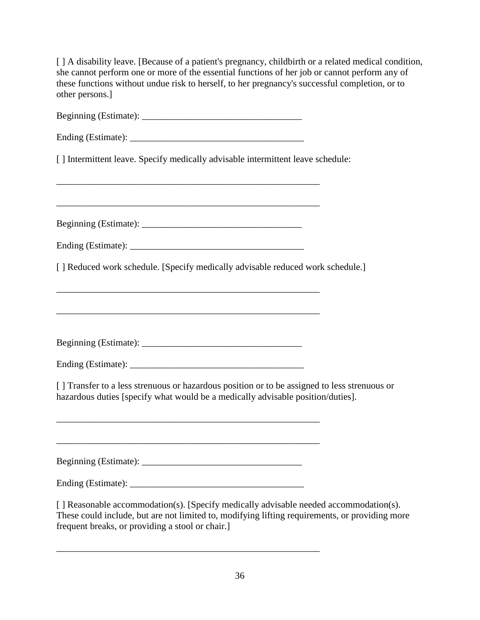[ ] A disability leave. [Because of a patient's pregnancy, childbirth or a related medical condition, she cannot perform one or more of the essential functions of her job or cannot perform any of these functions without undue risk to herself, to her pregnancy's successful completion, or to other persons.] Beginning (Estimate): \_\_\_\_\_\_\_\_\_\_\_\_\_\_\_\_\_\_\_\_\_\_\_\_\_\_\_\_\_\_\_\_\_\_ Ending (Estimate):  $\frac{1}{\sqrt{2\pi}}$ 

[] Intermittent leave. Specify medically advisable intermittent leave schedule:

Beginning (Estimate): \_\_\_\_\_\_\_\_\_\_\_\_\_\_\_\_\_\_\_\_\_\_\_\_\_\_\_\_\_\_\_\_\_\_

\_\_\_\_\_\_\_\_\_\_\_\_\_\_\_\_\_\_\_\_\_\_\_\_\_\_\_\_\_\_\_\_\_\_\_\_\_\_\_\_\_\_\_\_\_\_\_\_\_\_\_\_\_\_\_\_

\_\_\_\_\_\_\_\_\_\_\_\_\_\_\_\_\_\_\_\_\_\_\_\_\_\_\_\_\_\_\_\_\_\_\_\_\_\_\_\_\_\_\_\_\_\_\_\_\_\_\_\_\_\_\_\_

| Ending (Estimate): |  |
|--------------------|--|
|--------------------|--|

\_\_\_\_\_\_\_\_\_\_\_\_\_\_\_\_\_\_\_\_\_\_\_\_\_\_\_\_\_\_\_\_\_\_\_\_\_\_\_\_\_\_\_\_\_\_\_\_\_\_\_\_\_\_\_\_

\_\_\_\_\_\_\_\_\_\_\_\_\_\_\_\_\_\_\_\_\_\_\_\_\_\_\_\_\_\_\_\_\_\_\_\_\_\_\_\_\_\_\_\_\_\_\_\_\_\_\_\_\_\_\_\_

[ ] Reduced work schedule. [Specify medically advisable reduced work schedule.]

Beginning (Estimate): \_\_\_\_\_\_\_\_\_\_\_\_\_\_\_\_\_\_\_\_\_\_\_\_\_\_\_\_\_\_\_\_\_\_

\_\_\_\_\_\_\_\_\_\_\_\_\_\_\_\_\_\_\_\_\_\_\_\_\_\_\_\_\_\_\_\_\_\_\_\_\_\_\_\_\_\_\_\_\_\_\_\_\_\_\_\_\_\_\_\_

\_\_\_\_\_\_\_\_\_\_\_\_\_\_\_\_\_\_\_\_\_\_\_\_\_\_\_\_\_\_\_\_\_\_\_\_\_\_\_\_\_\_\_\_\_\_\_\_\_\_\_\_\_\_\_\_

| Ending (Estimate): |
|--------------------|
|--------------------|

[ ] Transfer to a less strenuous or hazardous position or to be assigned to less strenuous or hazardous duties [specify what would be a medically advisable position/duties].

Beginning (Estimate): \_\_\_\_\_\_\_\_\_\_\_\_\_\_\_\_\_\_\_\_\_\_\_\_\_\_\_\_\_\_\_\_\_\_

Ending (Estimate):  $\frac{1}{\sqrt{2\pi}}$ 

\_\_\_\_\_\_\_\_\_\_\_\_\_\_\_\_\_\_\_\_\_\_\_\_\_\_\_\_\_\_\_\_\_\_\_\_\_\_\_\_\_\_\_\_\_\_\_\_\_\_\_\_\_\_\_\_

[ ] Reasonable accommodation(s). [Specify medically advisable needed accommodation(s). These could include, but are not limited to, modifying lifting requirements, or providing more frequent breaks, or providing a stool or chair.]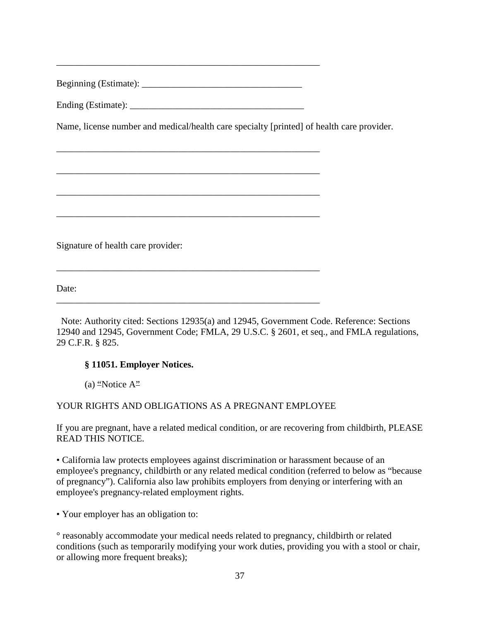Beginning (Estimate): \_\_\_\_\_\_\_\_\_\_\_\_\_\_\_\_\_\_\_\_\_\_\_\_\_\_\_\_\_\_\_\_\_\_

\_\_\_\_\_\_\_\_\_\_\_\_\_\_\_\_\_\_\_\_\_\_\_\_\_\_\_\_\_\_\_\_\_\_\_\_\_\_\_\_\_\_\_\_\_\_\_\_\_\_\_\_\_\_\_\_

Ending (Estimate):

\_\_\_\_\_\_\_\_\_\_\_\_\_\_\_\_\_\_\_\_\_\_\_\_\_\_\_\_\_\_\_\_\_\_\_\_\_\_\_\_\_\_\_\_\_\_\_\_\_\_\_\_\_\_\_\_

\_\_\_\_\_\_\_\_\_\_\_\_\_\_\_\_\_\_\_\_\_\_\_\_\_\_\_\_\_\_\_\_\_\_\_\_\_\_\_\_\_\_\_\_\_\_\_\_\_\_\_\_\_\_\_\_

\_\_\_\_\_\_\_\_\_\_\_\_\_\_\_\_\_\_\_\_\_\_\_\_\_\_\_\_\_\_\_\_\_\_\_\_\_\_\_\_\_\_\_\_\_\_\_\_\_\_\_\_\_\_\_\_

\_\_\_\_\_\_\_\_\_\_\_\_\_\_\_\_\_\_\_\_\_\_\_\_\_\_\_\_\_\_\_\_\_\_\_\_\_\_\_\_\_\_\_\_\_\_\_\_\_\_\_\_\_\_\_\_

\_\_\_\_\_\_\_\_\_\_\_\_\_\_\_\_\_\_\_\_\_\_\_\_\_\_\_\_\_\_\_\_\_\_\_\_\_\_\_\_\_\_\_\_\_\_\_\_\_\_\_\_\_\_\_\_

\_\_\_\_\_\_\_\_\_\_\_\_\_\_\_\_\_\_\_\_\_\_\_\_\_\_\_\_\_\_\_\_\_\_\_\_\_\_\_\_\_\_\_\_\_\_\_\_\_\_\_\_\_\_\_\_

Name, license number and medical/health care specialty [printed] of health care provider.

Signature of health care provider:

Date:

 Note: Authority cited: Sections 12935(a) and 12945, Government Code. Reference: Sections 12940 and 12945, Government Code; FMLA, 29 U.S.C. § 2601, et seq., and FMLA regulations, 29 C.F.R. § 825.

## **§ 11051. Employer Notices.**

(a) "Notice  $A$ "

# YOUR RIGHTS AND OBLIGATIONS AS A PREGNANT EMPLOYEE

If you are pregnant, have a related medical condition, or are recovering from childbirth, PLEASE READ THIS NOTICE.

• California law protects employees against discrimination or harassment because of an employee's pregnancy, childbirth or any related medical condition (referred to below as "because of pregnancy"). California also law prohibits employers from denying or interfering with an employee's pregnancy-related employment rights.

• Your employer has an obligation to:

° reasonably accommodate your medical needs related to pregnancy, childbirth or related conditions (such as temporarily modifying your work duties, providing you with a stool or chair, or allowing more frequent breaks);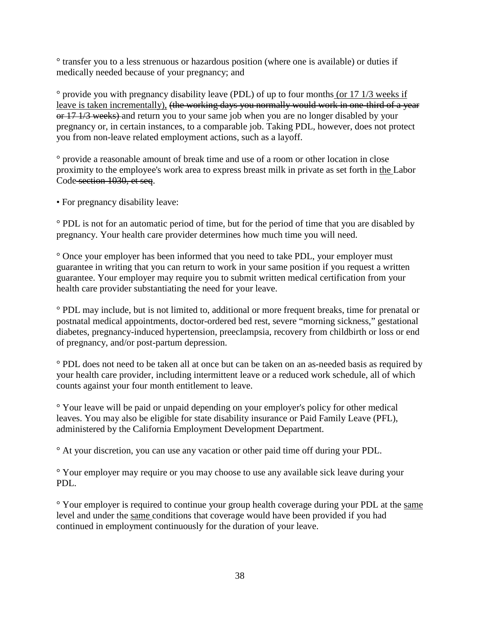° transfer you to a less strenuous or hazardous position (where one is available) or duties if medically needed because of your pregnancy; and

° provide you with pregnancy disability leave (PDL) of up to four months (or 17 1/3 weeks if leave is taken incrementally), (the working days you normally would work in one-third of a year or 17 1/3 weeks) and return you to your same job when you are no longer disabled by your pregnancy or, in certain instances, to a comparable job. Taking PDL, however, does not protect you from non-leave related employment actions, such as a layoff.

° provide a reasonable amount of break time and use of a room or other location in close proximity to the employee's work area to express breast milk in private as set forth in the Labor Code section 1030, et seq.

• For pregnancy disability leave:

° PDL is not for an automatic period of time, but for the period of time that you are disabled by pregnancy. Your health care provider determines how much time you will need.

° Once your employer has been informed that you need to take PDL, your employer must guarantee in writing that you can return to work in your same position if you request a written guarantee. Your employer may require you to submit written medical certification from your health care provider substantiating the need for your leave.

° PDL may include, but is not limited to, additional or more frequent breaks, time for prenatal or postnatal medical appointments, doctor-ordered bed rest, severe "morning sickness," gestational diabetes, pregnancy-induced hypertension, preeclampsia, recovery from childbirth or loss or end of pregnancy, and/or post-partum depression.

° PDL does not need to be taken all at once but can be taken on an as-needed basis as required by your health care provider, including intermittent leave or a reduced work schedule, all of which counts against your four month entitlement to leave.

° Your leave will be paid or unpaid depending on your employer's policy for other medical leaves. You may also be eligible for state disability insurance or Paid Family Leave (PFL), administered by the California Employment Development Department.

° At your discretion, you can use any vacation or other paid time off during your PDL.

° Your employer may require or you may choose to use any available sick leave during your PDL.

° Your employer is required to continue your group health coverage during your PDL at the same level and under the same conditions that coverage would have been provided if you had continued in employment continuously for the duration of your leave.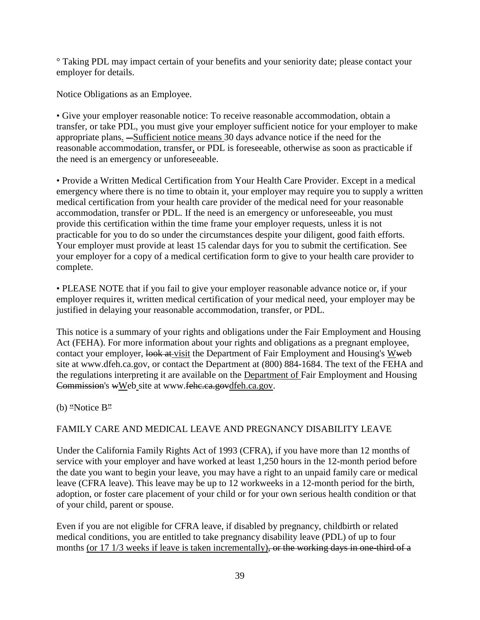° Taking PDL may impact certain of your benefits and your seniority date; please contact your employer for details.

Notice Obligations as an Employee.

• Give your employer reasonable notice: To receive reasonable accommodation, obtain a transfer, or take PDL, you must give your employer sufficient notice for your employer to make appropriate plans. – Sufficient notice means 30 days advance notice if the need for the reasonable accommodation, transfer, or PDL is foreseeable, otherwise as soon as practicable if the need is an emergency or unforeseeable.

• Provide a Written Medical Certification from Your Health Care Provider. Except in a medical emergency where there is no time to obtain it, your employer may require you to supply a written medical certification from your health care provider of the medical need for your reasonable accommodation, transfer or PDL. If the need is an emergency or unforeseeable, you must provide this certification within the time frame your employer requests, unless it is not practicable for you to do so under the circumstances despite your diligent, good faith efforts. Your employer must provide at least 15 calendar days for you to submit the certification. See your employer for a copy of a medical certification form to give to your health care provider to complete.

• PLEASE NOTE that if you fail to give your employer reasonable advance notice or, if your employer requires it, written medical certification of your medical need, your employer may be justified in delaying your reasonable accommodation, transfer, or PDL.

This notice is a summary of your rights and obligations under the Fair Employment and Housing Act (FEHA). For more information about your rights and obligations as a pregnant employee, contact your employer, look at visit the Department of Fair Employment and Housing's Wweb site at www.dfeh.ca.gov, or contact the Department at (800) 884-1684. The text of the FEHA and the regulations interpreting it are available on the Department of Fair Employment and Housing Commission's wWeb site at www.fehe.ca.govdfeh.ca.gov.

(b) "Notice  $B$ "

# FAMILY CARE AND MEDICAL LEAVE AND PREGNANCY DISABILITY LEAVE

Under the California Family Rights Act of 1993 (CFRA), if you have more than 12 months of service with your employer and have worked at least 1,250 hours in the 12-month period before the date you want to begin your leave, you may have a right to an unpaid family care or medical leave (CFRA leave). This leave may be up to 12 workweeks in a 12-month period for the birth, adoption, or foster care placement of your child or for your own serious health condition or that of your child, parent or spouse.

Even if you are not eligible for CFRA leave, if disabled by pregnancy, childbirth or related medical conditions, you are entitled to take pregnancy disability leave (PDL) of up to four months (or 17 1/3 weeks if leave is taken incrementally), or the working days in one-third of a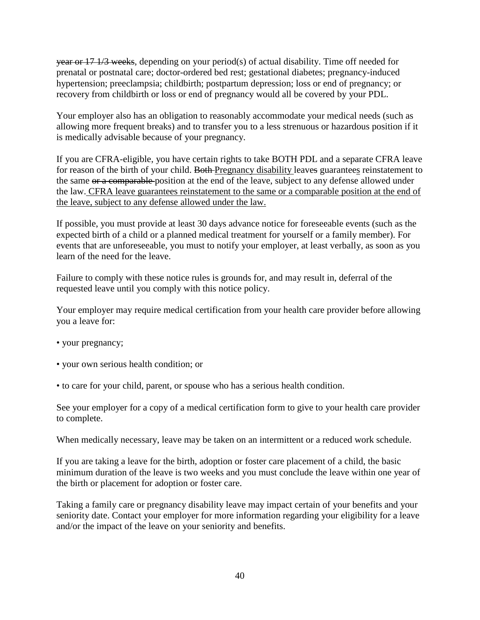year or 17 1/3 weeks, depending on your period(s) of actual disability. Time off needed for prenatal or postnatal care; doctor-ordered bed rest; gestational diabetes; pregnancy-induced hypertension; preeclampsia; childbirth; postpartum depression; loss or end of pregnancy; or recovery from childbirth or loss or end of pregnancy would all be covered by your PDL.

Your employer also has an obligation to reasonably accommodate your medical needs (such as allowing more frequent breaks) and to transfer you to a less strenuous or hazardous position if it is medically advisable because of your pregnancy.

If you are CFRA-eligible, you have certain rights to take BOTH PDL and a separate CFRA leave for reason of the birth of your child. Both Pregnancy disability leaves guarantees reinstatement to the same or a comparable position at the end of the leave, subject to any defense allowed under the law. CFRA leave guarantees reinstatement to the same or a comparable position at the end of the leave, subject to any defense allowed under the law.

If possible, you must provide at least 30 days advance notice for foreseeable events (such as the expected birth of a child or a planned medical treatment for yourself or a family member). For events that are unforeseeable, you must to notify your employer, at least verbally, as soon as you learn of the need for the leave.

Failure to comply with these notice rules is grounds for, and may result in, deferral of the requested leave until you comply with this notice policy.

Your employer may require medical certification from your health care provider before allowing you a leave for:

- your pregnancy;
- your own serious health condition; or
- to care for your child, parent, or spouse who has a serious health condition.

See your employer for a copy of a medical certification form to give to your health care provider to complete.

When medically necessary, leave may be taken on an intermittent or a reduced work schedule.

If you are taking a leave for the birth, adoption or foster care placement of a child, the basic minimum duration of the leave is two weeks and you must conclude the leave within one year of the birth or placement for adoption or foster care.

Taking a family care or pregnancy disability leave may impact certain of your benefits and your seniority date. Contact your employer for more information regarding your eligibility for a leave and/or the impact of the leave on your seniority and benefits.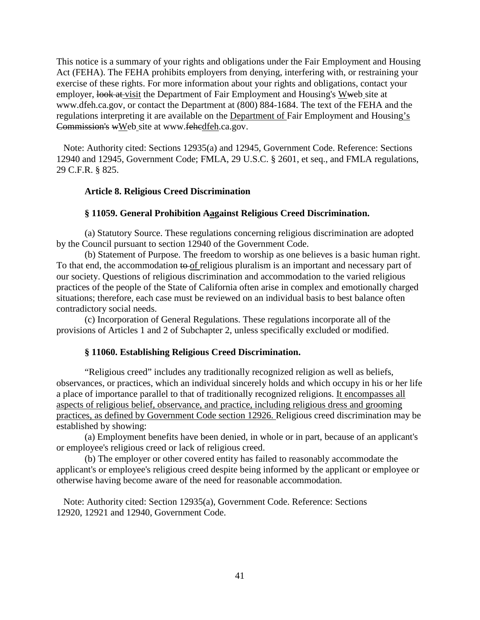This notice is a summary of your rights and obligations under the Fair Employment and Housing Act (FEHA). The FEHA prohibits employers from denying, interfering with, or restraining your exercise of these rights. For more information about your rights and obligations, contact your employer, look at visit the Department of Fair Employment and Housing's Wweb site at www.dfeh.ca.gov, or contact the Department at (800) 884-1684. The text of the FEHA and the regulations interpreting it are available on the Department of Fair Employment and Housing's Commission's wWeb site at www.fehedfeh.ca.gov.

Note: Authority cited: Sections 12935(a) and 12945, Government Code. Reference: Sections 12940 and 12945, Government Code; FMLA, 29 U.S.C. § 2601, et seq., and FMLA regulations, 29 C.F.R. § 825.

### **Article 8. Religious Creed Discrimination**

### **§ 11059. General Prohibition Aagainst Religious Creed Discrimination.**

(a) Statutory Source. These regulations concerning religious discrimination are adopted by the Council pursuant to section 12940 of the Government Code.

(b) Statement of Purpose. The freedom to worship as one believes is a basic human right. To that end, the accommodation to of religious pluralism is an important and necessary part of our society. Questions of religious discrimination and accommodation to the varied religious practices of the people of the State of California often arise in complex and emotionally charged situations; therefore, each case must be reviewed on an individual basis to best balance often contradictory social needs.

(c) Incorporation of General Regulations. These regulations incorporate all of the provisions of Articles 1 and 2 of Subchapter 2, unless specifically excluded or modified.

### **§ 11060. Establishing Religious Creed Discrimination.**

"Religious creed" includes any traditionally recognized religion as well as beliefs, observances, or practices, which an individual sincerely holds and which occupy in his or her life a place of importance parallel to that of traditionally recognized religions. It encompasses all aspects of religious belief, observance, and practice, including religious dress and grooming practices, as defined by Government Code section 12926. Religious creed discrimination may be established by showing:

(a) Employment benefits have been denied, in whole or in part, because of an applicant's or employee's religious creed or lack of religious creed.

(b) The employer or other covered entity has failed to reasonably accommodate the applicant's or employee's religious creed despite being informed by the applicant or employee or otherwise having become aware of the need for reasonable accommodation.

Note: Authority cited: Section 12935(a), Government Code. Reference: Sections 12920, 12921 and 12940, Government Code.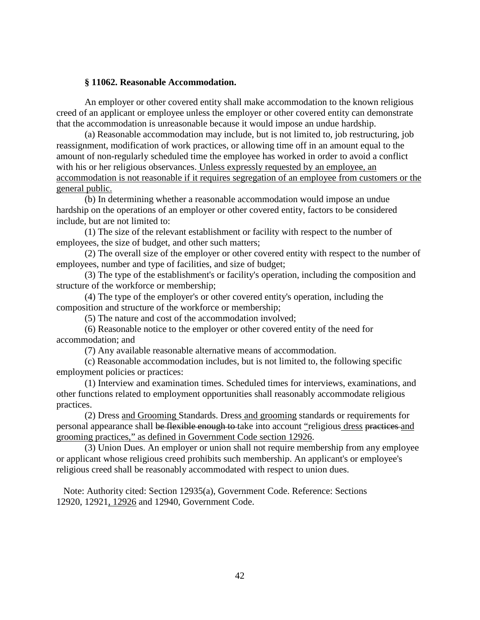#### **§ 11062. Reasonable Accommodation.**

An employer or other covered entity shall make accommodation to the known religious creed of an applicant or employee unless the employer or other covered entity can demonstrate that the accommodation is unreasonable because it would impose an undue hardship.

(a) Reasonable accommodation may include, but is not limited to, job restructuring, job reassignment, modification of work practices, or allowing time off in an amount equal to the amount of non-regularly scheduled time the employee has worked in order to avoid a conflict with his or her religious observances. Unless expressly requested by an employee, an accommodation is not reasonable if it requires segregation of an employee from customers or the general public.

(b) In determining whether a reasonable accommodation would impose an undue hardship on the operations of an employer or other covered entity, factors to be considered include, but are not limited to:

(1) The size of the relevant establishment or facility with respect to the number of employees, the size of budget, and other such matters;

(2) The overall size of the employer or other covered entity with respect to the number of employees, number and type of facilities, and size of budget;

(3) The type of the establishment's or facility's operation, including the composition and structure of the workforce or membership;

(4) The type of the employer's or other covered entity's operation, including the composition and structure of the workforce or membership;

(5) The nature and cost of the accommodation involved;

(6) Reasonable notice to the employer or other covered entity of the need for accommodation; and

(7) Any available reasonable alternative means of accommodation.

(c) Reasonable accommodation includes, but is not limited to, the following specific employment policies or practices:

(1) Interview and examination times. Scheduled times for interviews, examinations, and other functions related to employment opportunities shall reasonably accommodate religious practices.

(2) Dress and Grooming Standards. Dress and grooming standards or requirements for personal appearance shall be flexible enough to take into account "religious dress practices and grooming practices," as defined in Government Code section 12926.

(3) Union Dues. An employer or union shall not require membership from any employee or applicant whose religious creed prohibits such membership. An applicant's or employee's religious creed shall be reasonably accommodated with respect to union dues.

Note: Authority cited: Section 12935(a), Government Code. Reference: Sections 12920, 12921, 12926 and 12940, Government Code.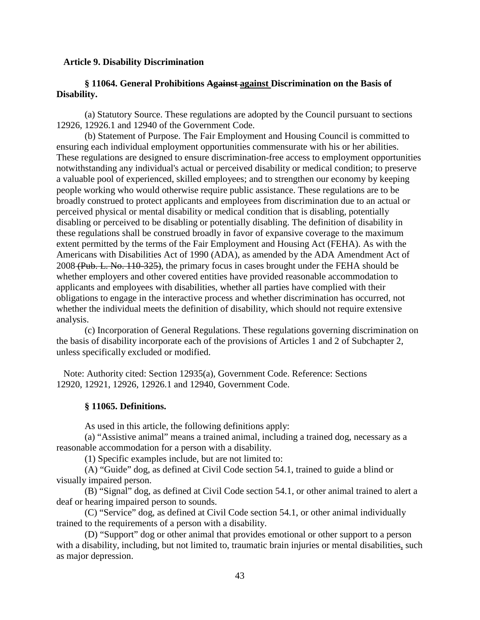### **Article 9. Disability Discrimination**

## **§ 11064. General Prohibitions Against against Discrimination on the Basis of Disability.**

(a) Statutory Source. These regulations are adopted by the Council pursuant to sections 12926, 12926.1 and 12940 of the Government Code.

(b) Statement of Purpose. The Fair Employment and Housing Council is committed to ensuring each individual employment opportunities commensurate with his or her abilities. These regulations are designed to ensure discrimination-free access to employment opportunities notwithstanding any individual's actual or perceived disability or medical condition; to preserve a valuable pool of experienced, skilled employees; and to strengthen our economy by keeping people working who would otherwise require public assistance. These regulations are to be broadly construed to protect applicants and employees from discrimination due to an actual or perceived physical or mental disability or medical condition that is disabling, potentially disabling or perceived to be disabling or potentially disabling. The definition of disability in these regulations shall be construed broadly in favor of expansive coverage to the maximum extent permitted by the terms of the Fair Employment and Housing Act (FEHA). As with the Americans with Disabilities Act of 1990 (ADA), as amended by the ADA Amendment Act of 2008 (Pub. L. No. 110-325), the primary focus in cases brought under the FEHA should be whether employers and other covered entities have provided reasonable accommodation to applicants and employees with disabilities, whether all parties have complied with their obligations to engage in the interactive process and whether discrimination has occurred, not whether the individual meets the definition of disability, which should not require extensive analysis.

(c) Incorporation of General Regulations. These regulations governing discrimination on the basis of disability incorporate each of the provisions of Articles 1 and 2 of Subchapter 2, unless specifically excluded or modified.

Note: Authority cited: Section 12935(a), Government Code. Reference: Sections 12920, 12921, 12926, 12926.1 and 12940, Government Code.

### **§ 11065. Definitions.**

As used in this article, the following definitions apply:

(a) "Assistive animal" means a trained animal, including a trained dog, necessary as a reasonable accommodation for a person with a disability.

(1) Specific examples include, but are not limited to:

(A) "Guide" dog, as defined at Civil Code section 54.1, trained to guide a blind or visually impaired person.

(B) "Signal" dog, as defined at Civil Code section 54.1, or other animal trained to alert a deaf or hearing impaired person to sounds.

(C) "Service" dog, as defined at Civil Code section 54.1, or other animal individually trained to the requirements of a person with a disability.

(D) "Support" dog or other animal that provides emotional or other support to a person with a disability, including, but not limited to, traumatic brain injuries or mental disabilities, such as major depression.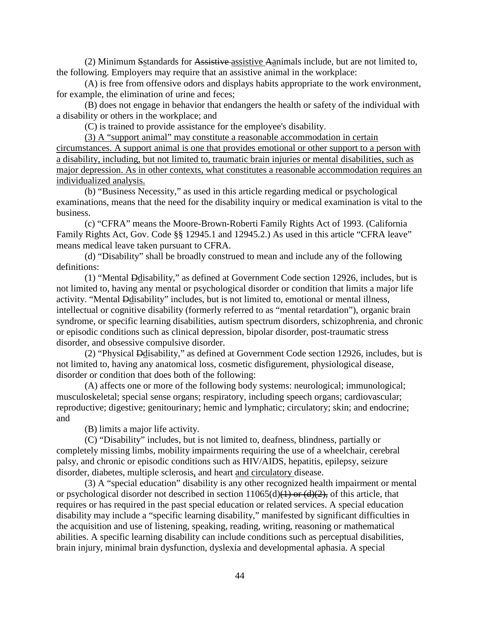(2) Minimum Sstandards for Assistive assistive Aanimals include, but are not limited to, the following. Employers may require that an assistive animal in the workplace:

(A) is free from offensive odors and displays habits appropriate to the work environment, for example, the elimination of urine and feces;

(B) does not engage in behavior that endangers the health or safety of the individual with a disability or others in the workplace; and

(C) is trained to provide assistance for the employee's disability.

(3) A "support animal" may constitute a reasonable accommodation in certain circumstances. A support animal is one that provides emotional or other support to a person with a disability, including, but not limited to, traumatic brain injuries or mental disabilities, such as major depression. As in other contexts, what constitutes a reasonable accommodation requires an individualized analysis.

(b) "Business Necessity," as used in this article regarding medical or psychological examinations, means that the need for the disability inquiry or medical examination is vital to the business.

(c) "CFRA" means the Moore-Brown-Roberti Family Rights Act of 1993. (California Family Rights Act, Gov. Code §§ 12945.1 and 12945.2.) As used in this article "CFRA leave" means medical leave taken pursuant to CFRA.

(d) "Disability" shall be broadly construed to mean and include any of the following definitions:

(1) "Mental Ddisability," as defined at Government Code section 12926, includes, but is not limited to, having any mental or psychological disorder or condition that limits a major life activity. "Mental Ddisability" includes, but is not limited to, emotional or mental illness, intellectual or cognitive disability (formerly referred to as "mental retardation"), organic brain syndrome, or specific learning disabilities, autism spectrum disorders, schizophrenia, and chronic or episodic conditions such as clinical depression, bipolar disorder, post-traumatic stress disorder, and obsessive compulsive disorder.

(2) "Physical Ddisability," as defined at Government Code section 12926, includes, but is not limited to, having any anatomical loss, cosmetic disfigurement, physiological disease, disorder or condition that does both of the following:

(A) affects one or more of the following body systems: neurological; immunological; musculoskeletal; special sense organs; respiratory, including speech organs; cardiovascular; reproductive; digestive; genitourinary; hemic and lymphatic; circulatory; skin; and endocrine; and

(B) limits a major life activity.

(C) "Disability" includes, but is not limited to, deafness, blindness, partially or completely missing limbs, mobility impairments requiring the use of a wheelchair, cerebral palsy, and chronic or episodic conditions such as HIV/AIDS, hepatitis, epilepsy, seizure disorder, diabetes, multiple sclerosis, and heart and circulatory disease.

(3) A "special education" disability is any other recognized health impairment or mental or psychological disorder not described in section  $11065(d)(1)$  or  $(d)(2)$ , of this article, that requires or has required in the past special education or related services. A special education disability may include a "specific learning disability," manifested by significant difficulties in the acquisition and use of listening, speaking, reading, writing, reasoning or mathematical abilities. A specific learning disability can include conditions such as perceptual disabilities, brain injury, minimal brain dysfunction, dyslexia and developmental aphasia. A special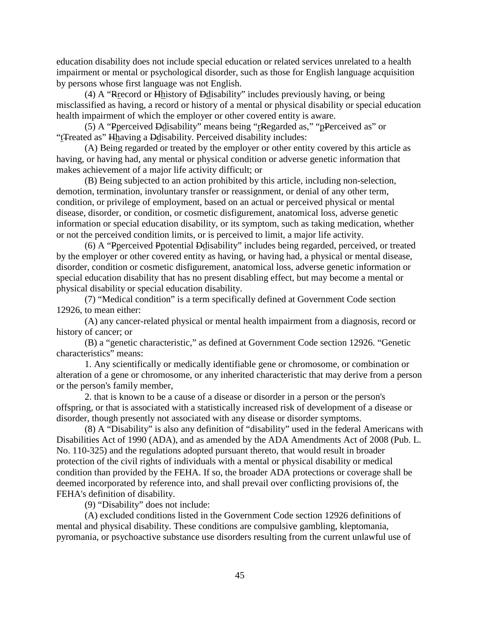education disability does not include special education or related services unrelated to a health impairment or mental or psychological disorder, such as those for English language acquisition by persons whose first language was not English.

(4) A "Rrecord or Hhistory of Ddisability" includes previously having, or being misclassified as having, a record or history of a mental or physical disability or special education health impairment of which the employer or other covered entity is aware.

(5) A "Pperceived Ddisability" means being "rRegarded as," "pPerceived as" or "t<sub>Treated</sub> as" Hhaving a Ddisability. Perceived disability includes:

(A) Being regarded or treated by the employer or other entity covered by this article as having, or having had, any mental or physical condition or adverse genetic information that makes achievement of a major life activity difficult; or

(B) Being subjected to an action prohibited by this article, including non-selection, demotion, termination, involuntary transfer or reassignment, or denial of any other term, condition, or privilege of employment, based on an actual or perceived physical or mental disease, disorder, or condition, or cosmetic disfigurement, anatomical loss, adverse genetic information or special education disability, or its symptom, such as taking medication, whether or not the perceived condition limits, or is perceived to limit, a major life activity.

(6) A "Pperceived Ppotential Ddisability" includes being regarded, perceived, or treated by the employer or other covered entity as having, or having had, a physical or mental disease, disorder, condition or cosmetic disfigurement, anatomical loss, adverse genetic information or special education disability that has no present disabling effect, but may become a mental or physical disability or special education disability.

(7) "Medical condition" is a term specifically defined at Government Code section 12926, to mean either:

(A) any cancer-related physical or mental health impairment from a diagnosis, record or history of cancer; or

(B) a "genetic characteristic," as defined at Government Code section 12926. "Genetic characteristics" means:

1. Any scientifically or medically identifiable gene or chromosome, or combination or alteration of a gene or chromosome, or any inherited characteristic that may derive from a person or the person's family member,

2. that is known to be a cause of a disease or disorder in a person or the person's offspring, or that is associated with a statistically increased risk of development of a disease or disorder, though presently not associated with any disease or disorder symptoms.

(8) A "Disability" is also any definition of "disability" used in the federal Americans with Disabilities Act of 1990 (ADA), and as amended by the ADA Amendments Act of 2008 (Pub. L. No. 110-325) and the regulations adopted pursuant thereto, that would result in broader protection of the civil rights of individuals with a mental or physical disability or medical condition than provided by the FEHA. If so, the broader ADA protections or coverage shall be deemed incorporated by reference into, and shall prevail over conflicting provisions of, the FEHA's definition of disability.

(9) "Disability" does not include:

(A) excluded conditions listed in the Government Code section 12926 definitions of mental and physical disability. These conditions are compulsive gambling, kleptomania, pyromania, or psychoactive substance use disorders resulting from the current unlawful use of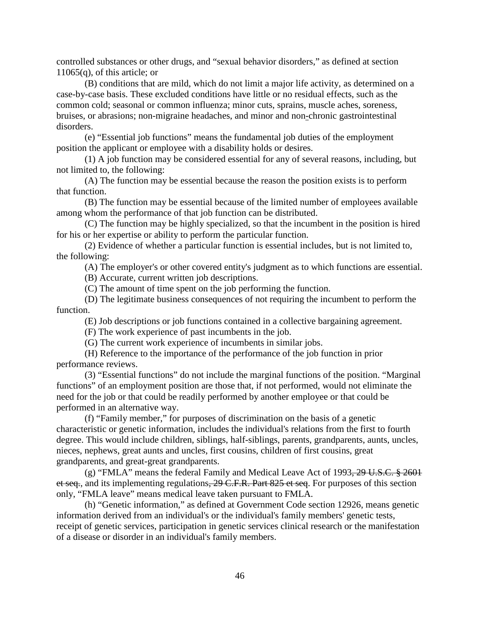controlled substances or other drugs, and "sexual behavior disorders," as defined at section  $11065(q)$ , of this article; or

(B) conditions that are mild, which do not limit a major life activity, as determined on a case-by-case basis. These excluded conditions have little or no residual effects, such as the common cold; seasonal or common influenza; minor cuts, sprains, muscle aches, soreness, bruises, or abrasions; non-migraine headaches, and minor and non-chronic gastrointestinal disorders.

(e) "Essential job functions" means the fundamental job duties of the employment position the applicant or employee with a disability holds or desires.

(1) A job function may be considered essential for any of several reasons, including, but not limited to, the following:

(A) The function may be essential because the reason the position exists is to perform that function.

(B) The function may be essential because of the limited number of employees available among whom the performance of that job function can be distributed.

(C) The function may be highly specialized, so that the incumbent in the position is hired for his or her expertise or ability to perform the particular function.

(2) Evidence of whether a particular function is essential includes, but is not limited to, the following:

(A) The employer's or other covered entity's judgment as to which functions are essential.

(B) Accurate, current written job descriptions.

(C) The amount of time spent on the job performing the function.

(D) The legitimate business consequences of not requiring the incumbent to perform the function.

(E) Job descriptions or job functions contained in a collective bargaining agreement.

(F) The work experience of past incumbents in the job.

(G) The current work experience of incumbents in similar jobs.

(H) Reference to the importance of the performance of the job function in prior performance reviews.

(3) "Essential functions" do not include the marginal functions of the position. "Marginal functions" of an employment position are those that, if not performed, would not eliminate the need for the job or that could be readily performed by another employee or that could be performed in an alternative way.

(f) "Family member," for purposes of discrimination on the basis of a genetic characteristic or genetic information, includes the individual's relations from the first to fourth degree. This would include children, siblings, half-siblings, parents, grandparents, aunts, uncles, nieces, nephews, great aunts and uncles, first cousins, children of first cousins, great grandparents, and great-great grandparents.

(g) "FMLA" means the federal Family and Medical Leave Act of 1993, 29 U.S.C. § 2601 et seq., and its implementing regulations, 29 C.F.R. Part 825 et seq. For purposes of this section only, "FMLA leave" means medical leave taken pursuant to FMLA.

(h) "Genetic information," as defined at Government Code section 12926, means genetic information derived from an individual's or the individual's family members' genetic tests, receipt of genetic services, participation in genetic services clinical research or the manifestation of a disease or disorder in an individual's family members.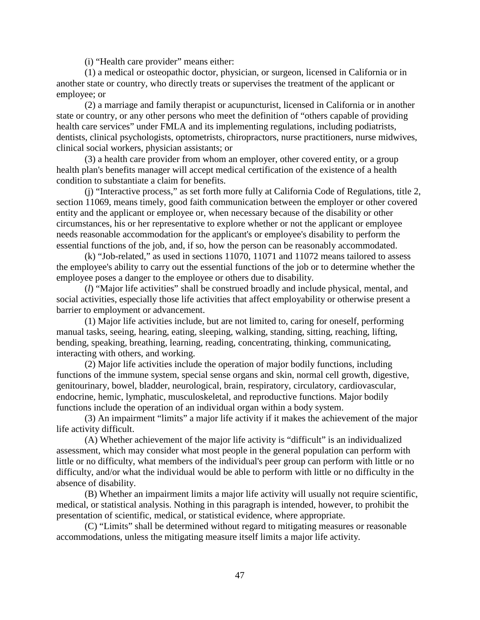(i) "Health care provider" means either:

(1) a medical or osteopathic doctor, physician, or surgeon, licensed in California or in another state or country, who directly treats or supervises the treatment of the applicant or employee; or

(2) a marriage and family therapist or acupuncturist, licensed in California or in another state or country, or any other persons who meet the definition of "others capable of providing health care services" under FMLA and its implementing regulations, including podiatrists, dentists, clinical psychologists, optometrists, chiropractors, nurse practitioners, nurse midwives, clinical social workers, physician assistants; or

(3) a health care provider from whom an employer, other covered entity, or a group health plan's benefits manager will accept medical certification of the existence of a health condition to substantiate a claim for benefits.

(j) "Interactive process," as set forth more fully at California Code of Regulations, title 2, section 11069, means timely, good faith communication between the employer or other covered entity and the applicant or employee or, when necessary because of the disability or other circumstances, his or her representative to explore whether or not the applicant or employee needs reasonable accommodation for the applicant's or employee's disability to perform the essential functions of the job, and, if so, how the person can be reasonably accommodated.

(k) "Job-related," as used in sections 11070, 11071 and 11072 means tailored to assess the employee's ability to carry out the essential functions of the job or to determine whether the employee poses a danger to the employee or others due to disability.

(*l*) "Major life activities" shall be construed broadly and include physical, mental, and social activities, especially those life activities that affect employability or otherwise present a barrier to employment or advancement.

(1) Major life activities include, but are not limited to, caring for oneself, performing manual tasks, seeing, hearing, eating, sleeping, walking, standing, sitting, reaching, lifting, bending, speaking, breathing, learning, reading, concentrating, thinking, communicating, interacting with others, and working.

(2) Major life activities include the operation of major bodily functions, including functions of the immune system, special sense organs and skin, normal cell growth, digestive, genitourinary, bowel, bladder, neurological, brain, respiratory, circulatory, cardiovascular, endocrine, hemic, lymphatic, musculoskeletal, and reproductive functions. Major bodily functions include the operation of an individual organ within a body system.

(3) An impairment "limits" a major life activity if it makes the achievement of the major life activity difficult.

(A) Whether achievement of the major life activity is "difficult" is an individualized assessment, which may consider what most people in the general population can perform with little or no difficulty, what members of the individual's peer group can perform with little or no difficulty, and/or what the individual would be able to perform with little or no difficulty in the absence of disability.

(B) Whether an impairment limits a major life activity will usually not require scientific, medical, or statistical analysis. Nothing in this paragraph is intended, however, to prohibit the presentation of scientific, medical, or statistical evidence, where appropriate.

(C) "Limits" shall be determined without regard to mitigating measures or reasonable accommodations, unless the mitigating measure itself limits a major life activity.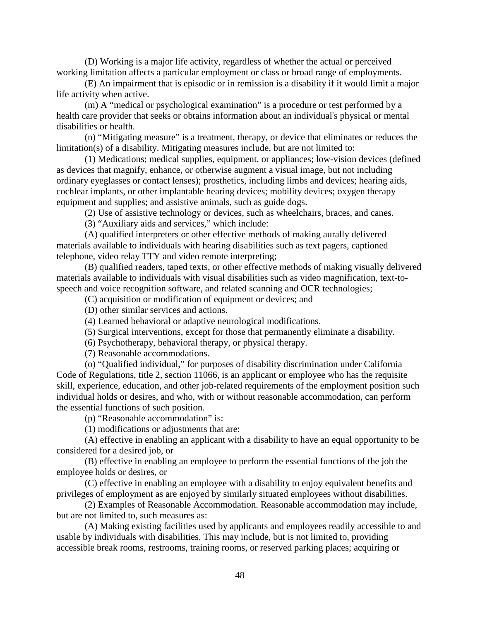(D) Working is a major life activity, regardless of whether the actual or perceived working limitation affects a particular employment or class or broad range of employments.

(E) An impairment that is episodic or in remission is a disability if it would limit a major life activity when active.

(m) A "medical or psychological examination" is a procedure or test performed by a health care provider that seeks or obtains information about an individual's physical or mental disabilities or health.

(n) "Mitigating measure" is a treatment, therapy, or device that eliminates or reduces the limitation(s) of a disability. Mitigating measures include, but are not limited to:

(1) Medications; medical supplies, equipment, or appliances; low-vision devices (defined as devices that magnify, enhance, or otherwise augment a visual image, but not including ordinary eyeglasses or contact lenses); prosthetics, including limbs and devices; hearing aids, cochlear implants, or other implantable hearing devices; mobility devices; oxygen therapy equipment and supplies; and assistive animals, such as guide dogs.

(2) Use of assistive technology or devices, such as wheelchairs, braces, and canes.

(3) "Auxiliary aids and services," which include:

(A) qualified interpreters or other effective methods of making aurally delivered materials available to individuals with hearing disabilities such as text pagers, captioned telephone, video relay TTY and video remote interpreting;

(B) qualified readers, taped texts, or other effective methods of making visually delivered materials available to individuals with visual disabilities such as video magnification, text-tospeech and voice recognition software, and related scanning and OCR technologies;

(C) acquisition or modification of equipment or devices; and

(D) other similar services and actions.

(4) Learned behavioral or adaptive neurological modifications.

(5) Surgical interventions, except for those that permanently eliminate a disability.

(6) Psychotherapy, behavioral therapy, or physical therapy.

(7) Reasonable accommodations.

(o) "Qualified individual," for purposes of disability discrimination under California Code of Regulations, title 2, section 11066, is an applicant or employee who has the requisite skill, experience, education, and other job-related requirements of the employment position such individual holds or desires, and who, with or without reasonable accommodation, can perform the essential functions of such position.

(p) "Reasonable accommodation" is:

(1) modifications or adjustments that are:

(A) effective in enabling an applicant with a disability to have an equal opportunity to be considered for a desired job, or

(B) effective in enabling an employee to perform the essential functions of the job the employee holds or desires, or

(C) effective in enabling an employee with a disability to enjoy equivalent benefits and privileges of employment as are enjoyed by similarly situated employees without disabilities.

(2) Examples of Reasonable Accommodation. Reasonable accommodation may include, but are not limited to, such measures as:

(A) Making existing facilities used by applicants and employees readily accessible to and usable by individuals with disabilities. This may include, but is not limited to, providing accessible break rooms, restrooms, training rooms, or reserved parking places; acquiring or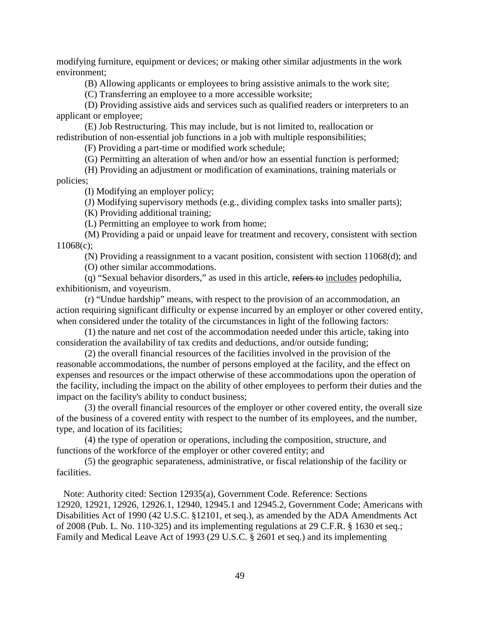modifying furniture, equipment or devices; or making other similar adjustments in the work environment;

(B) Allowing applicants or employees to bring assistive animals to the work site;

(C) Transferring an employee to a more accessible worksite;

(D) Providing assistive aids and services such as qualified readers or interpreters to an applicant or employee;

(E) Job Restructuring. This may include, but is not limited to, reallocation or redistribution of non-essential job functions in a job with multiple responsibilities;

(F) Providing a part-time or modified work schedule;

(G) Permitting an alteration of when and/or how an essential function is performed;

(H) Providing an adjustment or modification of examinations, training materials or policies;

(I) Modifying an employer policy;

(J) Modifying supervisory methods (e.g., dividing complex tasks into smaller parts);

(K) Providing additional training;

(L) Permitting an employee to work from home;

(M) Providing a paid or unpaid leave for treatment and recovery, consistent with section 11068(c);

(N) Providing a reassignment to a vacant position, consistent with section 11068(d); and

(O) other similar accommodations.

(q) "Sexual behavior disorders," as used in this article, refers to includes pedophilia, exhibitionism, and voyeurism.

(r) "Undue hardship" means, with respect to the provision of an accommodation, an action requiring significant difficulty or expense incurred by an employer or other covered entity, when considered under the totality of the circumstances in light of the following factors:

(1) the nature and net cost of the accommodation needed under this article, taking into consideration the availability of tax credits and deductions, and/or outside funding;

(2) the overall financial resources of the facilities involved in the provision of the reasonable accommodations, the number of persons employed at the facility, and the effect on expenses and resources or the impact otherwise of these accommodations upon the operation of the facility, including the impact on the ability of other employees to perform their duties and the impact on the facility's ability to conduct business;

(3) the overall financial resources of the employer or other covered entity, the overall size of the business of a covered entity with respect to the number of its employees, and the number, type, and location of its facilities;

(4) the type of operation or operations, including the composition, structure, and functions of the workforce of the employer or other covered entity; and

(5) the geographic separateness, administrative, or fiscal relationship of the facility or facilities.

Note: Authority cited: Section 12935(a), Government Code. Reference: Sections 12920, 12921, 12926, 12926.1, 12940, 12945.1 and 12945.2, Government Code; Americans with Disabilities Act of 1990 (42 U.S.C. §12101, et seq.), as amended by the ADA Amendments Act of 2008 (Pub. L. No. 110-325) and its implementing regulations at 29 C.F.R. § 1630 et seq.; Family and Medical Leave Act of 1993 (29 U.S.C. § 2601 et seq.) and its implementing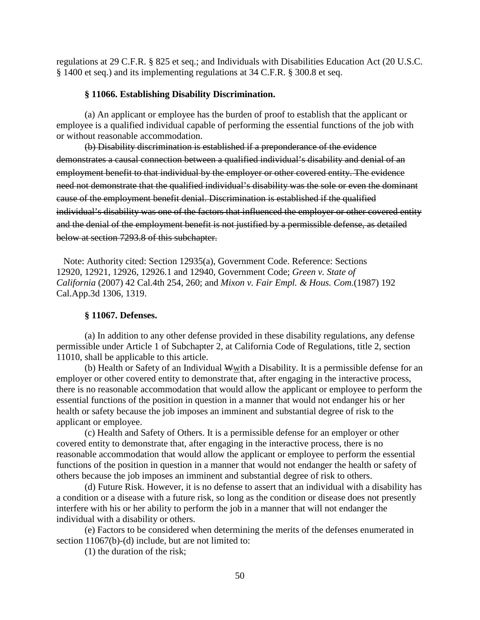regulations at 29 C.F.R. § 825 et seq.; and Individuals with Disabilities Education Act (20 U.S.C. § 1400 et seq.) and its implementing regulations at 34 C.F.R. § 300.8 et seq.

### **§ 11066. Establishing Disability Discrimination.**

(a) An applicant or employee has the burden of proof to establish that the applicant or employee is a qualified individual capable of performing the essential functions of the job with or without reasonable accommodation.

(b) Disability discrimination is established if a preponderance of the evidence demonstrates a causal connection between a qualified individual's disability and denial of an employment benefit to that individual by the employer or other covered entity. The evidence need not demonstrate that the qualified individual's disability was the sole or even the dominant cause of the employment benefit denial. Discrimination is established if the qualified individual's disability was one of the factors that influenced the employer or other covered entity and the denial of the employment benefit is not justified by a permissible defense, as detailed below at section 7293.8 of this subchapter.

Note: Authority cited: Section 12935(a), Government Code. Reference: Sections 12920, 12921, 12926, 12926.1 and 12940, Government Code; *Green v. State of California* (2007) 42 Cal.4th 254, 260; and *Mixon v. Fair Empl. & Hous. Com.*(1987) 192 Cal.App.3d 1306, 1319.

### **§ 11067. Defenses.**

(a) In addition to any other defense provided in these disability regulations, any defense permissible under Article 1 of Subchapter 2, at California Code of Regulations, title 2, section 11010, shall be applicable to this article.

(b) Health or Safety of an Individual  $\frac{W}{W}$  a Disability. It is a permissible defense for an employer or other covered entity to demonstrate that, after engaging in the interactive process, there is no reasonable accommodation that would allow the applicant or employee to perform the essential functions of the position in question in a manner that would not endanger his or her health or safety because the job imposes an imminent and substantial degree of risk to the applicant or employee.

(c) Health and Safety of Others. It is a permissible defense for an employer or other covered entity to demonstrate that, after engaging in the interactive process, there is no reasonable accommodation that would allow the applicant or employee to perform the essential functions of the position in question in a manner that would not endanger the health or safety of others because the job imposes an imminent and substantial degree of risk to others.

(d) Future Risk. However, it is no defense to assert that an individual with a disability has a condition or a disease with a future risk, so long as the condition or disease does not presently interfere with his or her ability to perform the job in a manner that will not endanger the individual with a disability or others.

(e) Factors to be considered when determining the merits of the defenses enumerated in section 11067(b)-(d) include, but are not limited to:

(1) the duration of the risk;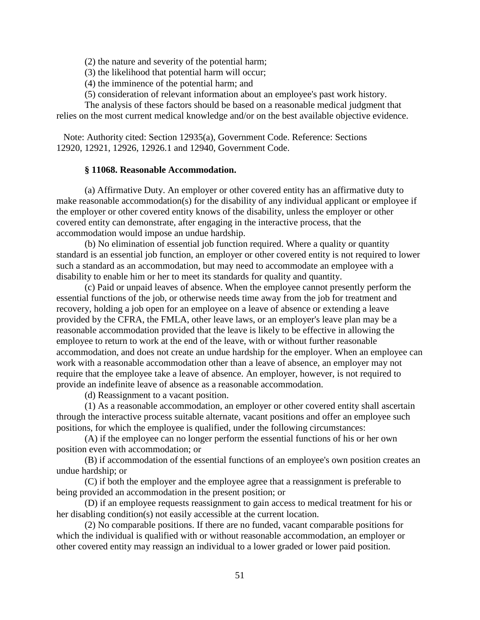(2) the nature and severity of the potential harm;

(3) the likelihood that potential harm will occur;

(4) the imminence of the potential harm; and

(5) consideration of relevant information about an employee's past work history.

The analysis of these factors should be based on a reasonable medical judgment that relies on the most current medical knowledge and/or on the best available objective evidence.

Note: Authority cited: Section 12935(a), Government Code. Reference: Sections 12920, 12921, 12926, 12926.1 and 12940, Government Code.

#### **§ 11068. Reasonable Accommodation.**

(a) Affirmative Duty. An employer or other covered entity has an affirmative duty to make reasonable accommodation(s) for the disability of any individual applicant or employee if the employer or other covered entity knows of the disability, unless the employer or other covered entity can demonstrate, after engaging in the interactive process, that the accommodation would impose an undue hardship.

(b) No elimination of essential job function required. Where a quality or quantity standard is an essential job function, an employer or other covered entity is not required to lower such a standard as an accommodation, but may need to accommodate an employee with a disability to enable him or her to meet its standards for quality and quantity.

(c) Paid or unpaid leaves of absence. When the employee cannot presently perform the essential functions of the job, or otherwise needs time away from the job for treatment and recovery, holding a job open for an employee on a leave of absence or extending a leave provided by the CFRA, the FMLA, other leave laws, or an employer's leave plan may be a reasonable accommodation provided that the leave is likely to be effective in allowing the employee to return to work at the end of the leave, with or without further reasonable accommodation, and does not create an undue hardship for the employer. When an employee can work with a reasonable accommodation other than a leave of absence, an employer may not require that the employee take a leave of absence. An employer, however, is not required to provide an indefinite leave of absence as a reasonable accommodation.

(d) Reassignment to a vacant position.

(1) As a reasonable accommodation, an employer or other covered entity shall ascertain through the interactive process suitable alternate, vacant positions and offer an employee such positions, for which the employee is qualified, under the following circumstances:

(A) if the employee can no longer perform the essential functions of his or her own position even with accommodation; or

(B) if accommodation of the essential functions of an employee's own position creates an undue hardship; or

(C) if both the employer and the employee agree that a reassignment is preferable to being provided an accommodation in the present position; or

(D) if an employee requests reassignment to gain access to medical treatment for his or her disabling condition(s) not easily accessible at the current location.

(2) No comparable positions. If there are no funded, vacant comparable positions for which the individual is qualified with or without reasonable accommodation, an employer or other covered entity may reassign an individual to a lower graded or lower paid position.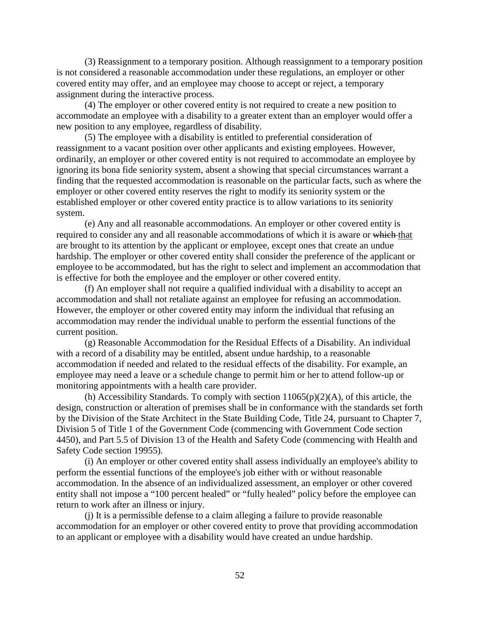(3) Reassignment to a temporary position. Although reassignment to a temporary position is not considered a reasonable accommodation under these regulations, an employer or other covered entity may offer, and an employee may choose to accept or reject, a temporary assignment during the interactive process.

(4) The employer or other covered entity is not required to create a new position to accommodate an employee with a disability to a greater extent than an employer would offer a new position to any employee, regardless of disability.

(5) The employee with a disability is entitled to preferential consideration of reassignment to a vacant position over other applicants and existing employees. However, ordinarily, an employer or other covered entity is not required to accommodate an employee by ignoring its bona fide seniority system, absent a showing that special circumstances warrant a finding that the requested accommodation is reasonable on the particular facts, such as where the employer or other covered entity reserves the right to modify its seniority system or the established employer or other covered entity practice is to allow variations to its seniority system.

(e) Any and all reasonable accommodations. An employer or other covered entity is required to consider any and all reasonable accommodations of which it is aware or which that are brought to its attention by the applicant or employee, except ones that create an undue hardship. The employer or other covered entity shall consider the preference of the applicant or employee to be accommodated, but has the right to select and implement an accommodation that is effective for both the employee and the employer or other covered entity.

(f) An employer shall not require a qualified individual with a disability to accept an accommodation and shall not retaliate against an employee for refusing an accommodation. However, the employer or other covered entity may inform the individual that refusing an accommodation may render the individual unable to perform the essential functions of the current position.

(g) Reasonable Accommodation for the Residual Effects of a Disability. An individual with a record of a disability may be entitled, absent undue hardship, to a reasonable accommodation if needed and related to the residual effects of the disability. For example, an employee may need a leave or a schedule change to permit him or her to attend follow-up or monitoring appointments with a health care provider.

(h) Accessibility Standards. To comply with section  $11065(p)(2)(A)$ , of this article, the design, construction or alteration of premises shall be in conformance with the standards set forth by the Division of the State Architect in the State Building Code, Title 24, pursuant to Chapter 7, Division 5 of Title 1 of the Government Code (commencing with Government Code section 4450), and Part 5.5 of Division 13 of the Health and Safety Code (commencing with Health and Safety Code section 19955).

(i) An employer or other covered entity shall assess individually an employee's ability to perform the essential functions of the employee's job either with or without reasonable accommodation. In the absence of an individualized assessment, an employer or other covered entity shall not impose a "100 percent healed" or "fully healed" policy before the employee can return to work after an illness or injury.

(j) It is a permissible defense to a claim alleging a failure to provide reasonable accommodation for an employer or other covered entity to prove that providing accommodation to an applicant or employee with a disability would have created an undue hardship.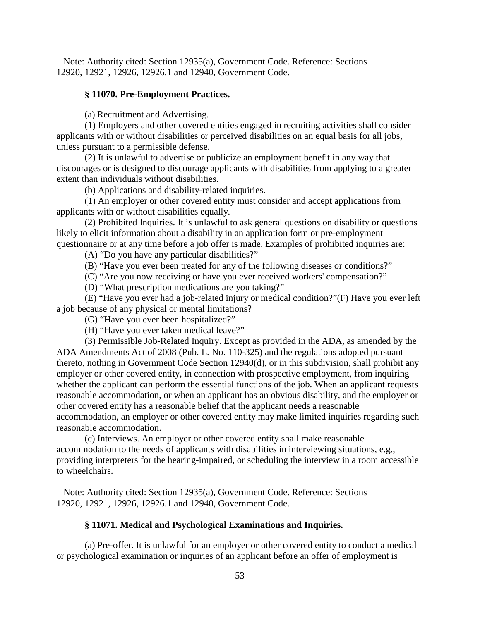Note: Authority cited: Section 12935(a), Government Code. Reference: Sections 12920, 12921, 12926, 12926.1 and 12940, Government Code.

### **§ 11070. Pre-Employment Practices.**

(a) Recruitment and Advertising.

(1) Employers and other covered entities engaged in recruiting activities shall consider applicants with or without disabilities or perceived disabilities on an equal basis for all jobs, unless pursuant to a permissible defense.

(2) It is unlawful to advertise or publicize an employment benefit in any way that discourages or is designed to discourage applicants with disabilities from applying to a greater extent than individuals without disabilities.

(b) Applications and disability-related inquiries.

(1) An employer or other covered entity must consider and accept applications from applicants with or without disabilities equally.

(2) Prohibited Inquiries. It is unlawful to ask general questions on disability or questions likely to elicit information about a disability in an application form or pre-employment questionnaire or at any time before a job offer is made. Examples of prohibited inquiries are:

(A) "Do you have any particular disabilities?"

(B) "Have you ever been treated for any of the following diseases or conditions?"

(C) "Are you now receiving or have you ever received workers' compensation?"

(D) "What prescription medications are you taking?"

(E) "Have you ever had a job-related injury or medical condition?"(F) Have you ever left a job because of any physical or mental limitations?

(G) "Have you ever been hospitalized?"

(H) "Have you ever taken medical leave?"

(3) Permissible Job-Related Inquiry. Except as provided in the ADA, as amended by the ADA Amendments Act of 2008 (Pub. L. No. 110-325) and the regulations adopted pursuant thereto, nothing in Government Code Section 12940(d), or in this subdivision, shall prohibit any employer or other covered entity, in connection with prospective employment, from inquiring whether the applicant can perform the essential functions of the job. When an applicant requests reasonable accommodation, or when an applicant has an obvious disability, and the employer or other covered entity has a reasonable belief that the applicant needs a reasonable accommodation, an employer or other covered entity may make limited inquiries regarding such reasonable accommodation.

(c) Interviews. An employer or other covered entity shall make reasonable accommodation to the needs of applicants with disabilities in interviewing situations, e.g., providing interpreters for the hearing-impaired, or scheduling the interview in a room accessible to wheelchairs.

Note: Authority cited: Section 12935(a), Government Code. Reference: Sections 12920, 12921, 12926, 12926.1 and 12940, Government Code.

### **§ 11071. Medical and Psychological Examinations and Inquiries.**

(a) Pre-offer. It is unlawful for an employer or other covered entity to conduct a medical or psychological examination or inquiries of an applicant before an offer of employment is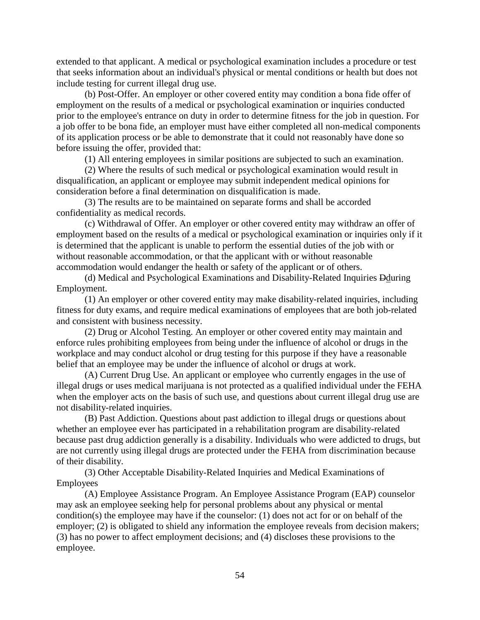extended to that applicant. A medical or psychological examination includes a procedure or test that seeks information about an individual's physical or mental conditions or health but does not include testing for current illegal drug use.

(b) Post-Offer. An employer or other covered entity may condition a bona fide offer of employment on the results of a medical or psychological examination or inquiries conducted prior to the employee's entrance on duty in order to determine fitness for the job in question. For a job offer to be bona fide, an employer must have either completed all non-medical components of its application process or be able to demonstrate that it could not reasonably have done so before issuing the offer, provided that:

(1) All entering employees in similar positions are subjected to such an examination.

(2) Where the results of such medical or psychological examination would result in disqualification, an applicant or employee may submit independent medical opinions for consideration before a final determination on disqualification is made.

(3) The results are to be maintained on separate forms and shall be accorded confidentiality as medical records.

(c) Withdrawal of Offer. An employer or other covered entity may withdraw an offer of employment based on the results of a medical or psychological examination or inquiries only if it is determined that the applicant is unable to perform the essential duties of the job with or without reasonable accommodation, or that the applicant with or without reasonable accommodation would endanger the health or safety of the applicant or of others.

(d) Medical and Psychological Examinations and Disability-Related Inquiries Dduring Employment.

(1) An employer or other covered entity may make disability-related inquiries, including fitness for duty exams, and require medical examinations of employees that are both job-related and consistent with business necessity.

(2) Drug or Alcohol Testing. An employer or other covered entity may maintain and enforce rules prohibiting employees from being under the influence of alcohol or drugs in the workplace and may conduct alcohol or drug testing for this purpose if they have a reasonable belief that an employee may be under the influence of alcohol or drugs at work.

(A) Current Drug Use. An applicant or employee who currently engages in the use of illegal drugs or uses medical marijuana is not protected as a qualified individual under the FEHA when the employer acts on the basis of such use, and questions about current illegal drug use are not disability-related inquiries.

(B) Past Addiction. Questions about past addiction to illegal drugs or questions about whether an employee ever has participated in a rehabilitation program are disability-related because past drug addiction generally is a disability. Individuals who were addicted to drugs, but are not currently using illegal drugs are protected under the FEHA from discrimination because of their disability.

(3) Other Acceptable Disability-Related Inquiries and Medical Examinations of Employees

(A) Employee Assistance Program. An Employee Assistance Program (EAP) counselor may ask an employee seeking help for personal problems about any physical or mental condition(s) the employee may have if the counselor: (1) does not act for or on behalf of the employer; (2) is obligated to shield any information the employee reveals from decision makers; (3) has no power to affect employment decisions; and (4) discloses these provisions to the employee.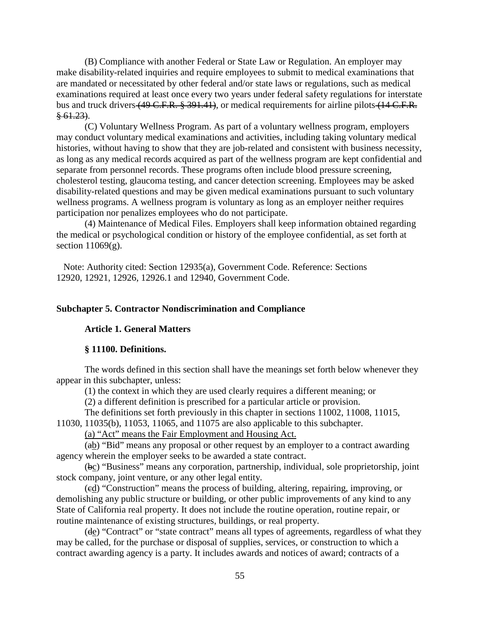(B) Compliance with another Federal or State Law or Regulation. An employer may make disability-related inquiries and require employees to submit to medical examinations that are mandated or necessitated by other federal and/or state laws or regulations, such as medical examinations required at least once every two years under federal safety regulations for interstate bus and truck drivers (49 C.F.R. § 391.41), or medical requirements for airline pilots (14 C.F.R.  $§ 61.23$ ).

(C) Voluntary Wellness Program. As part of a voluntary wellness program, employers may conduct voluntary medical examinations and activities, including taking voluntary medical histories, without having to show that they are job-related and consistent with business necessity, as long as any medical records acquired as part of the wellness program are kept confidential and separate from personnel records. These programs often include blood pressure screening, cholesterol testing, glaucoma testing, and cancer detection screening. Employees may be asked disability-related questions and may be given medical examinations pursuant to such voluntary wellness programs. A wellness program is voluntary as long as an employer neither requires participation nor penalizes employees who do not participate.

(4) Maintenance of Medical Files. Employers shall keep information obtained regarding the medical or psychological condition or history of the employee confidential, as set forth at section  $11069(g)$ .

Note: Authority cited: Section 12935(a), Government Code. Reference: Sections 12920, 12921, 12926, 12926.1 and 12940, Government Code.

#### **Subchapter 5. Contractor Nondiscrimination and Compliance**

#### **Article 1. General Matters**

#### **§ 11100. Definitions.**

The words defined in this section shall have the meanings set forth below whenever they appear in this subchapter, unless:

(1) the context in which they are used clearly requires a different meaning; or

(2) a different definition is prescribed for a particular article or provision.

The definitions set forth previously in this chapter in sections 11002, 11008, 11015,

11030, 11035(b), 11053, 11065, and 11075 are also applicable to this subchapter.

(a) "Act" means the Fair Employment and Housing Act.

(ab) "Bid" means any proposal or other request by an employer to a contract awarding agency wherein the employer seeks to be awarded a state contract.

(bc) "Business" means any corporation, partnership, individual, sole proprietorship, joint stock company, joint venture, or any other legal entity.

(cd) "Construction" means the process of building, altering, repairing, improving, or demolishing any public structure or building, or other public improvements of any kind to any State of California real property. It does not include the routine operation, routine repair, or routine maintenance of existing structures, buildings, or real property.

(de) "Contract" or "state contract" means all types of agreements, regardless of what they may be called, for the purchase or disposal of supplies, services, or construction to which a contract awarding agency is a party. It includes awards and notices of award; contracts of a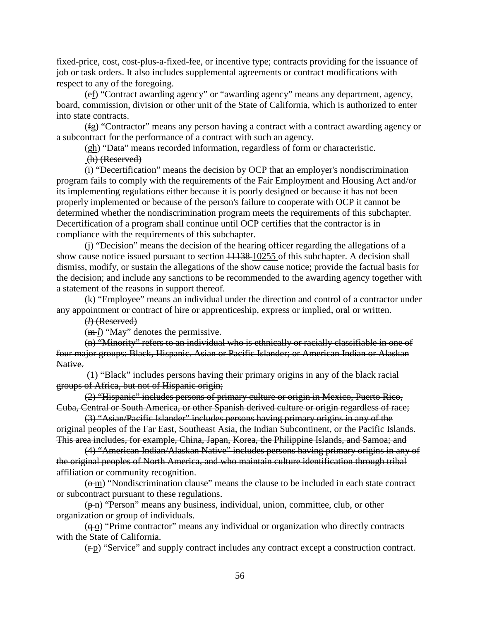fixed-price, cost, cost-plus-a-fixed-fee, or incentive type; contracts providing for the issuance of job or task orders. It also includes supplemental agreements or contract modifications with respect to any of the foregoing.

(ef) "Contract awarding agency" or "awarding agency" means any department, agency, board, commission, division or other unit of the State of California, which is authorized to enter into state contracts.

(fg) "Contractor" means any person having a contract with a contract awarding agency or a subcontract for the performance of a contract with such an agency.

(gh) "Data" means recorded information, regardless of form or characteristic.

(h) (Reserved)

(i) "Decertification" means the decision by OCP that an employer's nondiscrimination program fails to comply with the requirements of the Fair Employment and Housing Act and/or its implementing regulations either because it is poorly designed or because it has not been properly implemented or because of the person's failure to cooperate with OCP it cannot be determined whether the nondiscrimination program meets the requirements of this subchapter. Decertification of a program shall continue until OCP certifies that the contractor is in compliance with the requirements of this subchapter.

(j) "Decision" means the decision of the hearing officer regarding the allegations of a show cause notice issued pursuant to section  $11138-10255$  of this subchapter. A decision shall dismiss, modify, or sustain the allegations of the show cause notice; provide the factual basis for the decision; and include any sanctions to be recommended to the awarding agency together with a statement of the reasons in support thereof.

(k) "Employee" means an individual under the direction and control of a contractor under any appointment or contract of hire or apprenticeship, express or implied, oral or written.

(*l*) (Reserved)

(m-*l*) "May" denotes the permissive.

(n) "Minority" refers to an individual who is ethnically or racially classifiable in one of four major groups: Black, Hispanic. Asian or Pacific Islander; or American Indian or Alaskan Native.

(1) "Black" includes persons having their primary origins in any of the black racial groups of Africa, but not of Hispanic origin;

(2) "Hispanic" includes persons of primary culture or origin in Mexico, Puerto Rico, Cuba, Central or South America, or other Spanish derived culture or origin regardless of race;

(3) "Asian/Pacific Islander" includes persons having primary origins in any of the original peoples of the Far East, Southeast Asia, the Indian Subcontinent, or the Pacific Islands. This area includes, for example, China, Japan, Korea, the Philippine Islands, and Samoa; and

(4) "American Indian/Alaskan Native" includes persons having primary origins in any of the original peoples of North America, and who maintain culture identification through tribal affiliation or community recognition.

 $(\theta$ m) "Nondiscrimination clause" means the clause to be included in each state contract or subcontract pursuant to these regulations.

 $(p-n)$  "Person" means any business, individual, union, committee, club, or other organization or group of individuals.

 $(q<sub>-</sub>o)$  "Prime contractor" means any individual or organization who directly contracts with the State of California.

 $(F<sub>p</sub>)$  "Service" and supply contract includes any contract except a construction contract.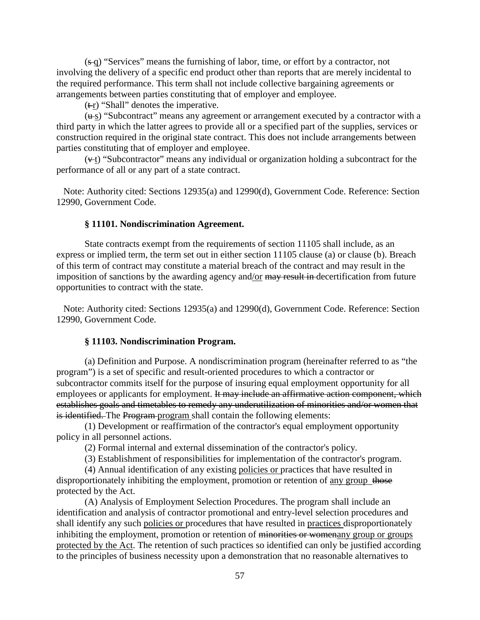$(s-a)$  "Services" means the furnishing of labor, time, or effort by a contractor, not involving the delivery of a specific end product other than reports that are merely incidental to the required performance. This term shall not include collective bargaining agreements or arrangements between parties constituting that of employer and employee.

 $(+r)$  "Shall" denotes the imperative.

 $(u-s)$  "Subcontract" means any agreement or arrangement executed by a contractor with a third party in which the latter agrees to provide all or a specified part of the supplies, services or construction required in the original state contract. This does not include arrangements between parties constituting that of employer and employee.

 $(v-t)$  "Subcontractor" means any individual or organization holding a subcontract for the performance of all or any part of a state contract.

Note: Authority cited: Sections 12935(a) and 12990(d), Government Code. Reference: Section 12990, Government Code.

### **§ 11101. Nondiscrimination Agreement.**

State contracts exempt from the requirements of section 11105 shall include, as an express or implied term, the term set out in either section 11105 clause (a) or clause (b). Breach of this term of contract may constitute a material breach of the contract and may result in the imposition of sanctions by the awarding agency and/or may result in decertification from future opportunities to contract with the state.

Note: Authority cited: Sections 12935(a) and 12990(d), Government Code. Reference: Section 12990, Government Code.

### **§ 11103. Nondiscrimination Program.**

(a) Definition and Purpose. A nondiscrimination program (hereinafter referred to as "the program") is a set of specific and result-oriented procedures to which a contractor or subcontractor commits itself for the purpose of insuring equal employment opportunity for all employees or applicants for employment. It may include an affirmative action component, which establishes goals and timetables to remedy any underutilization of minorities and/or women that is identified. The Program program shall contain the following elements:

(1) Development or reaffirmation of the contractor's equal employment opportunity policy in all personnel actions.

(2) Formal internal and external dissemination of the contractor's policy.

(3) Establishment of responsibilities for implementation of the contractor's program.

(4) Annual identification of any existing policies or practices that have resulted in disproportionately inhibiting the employment, promotion or retention of any group those protected by the Act.

(A) Analysis of Employment Selection Procedures. The program shall include an identification and analysis of contractor promotional and entry-level selection procedures and shall identify any such policies or procedures that have resulted in practices disproportionately inhibiting the employment, promotion or retention of minorities or womenany group or groups protected by the Act. The retention of such practices so identified can only be justified according to the principles of business necessity upon a demonstration that no reasonable alternatives to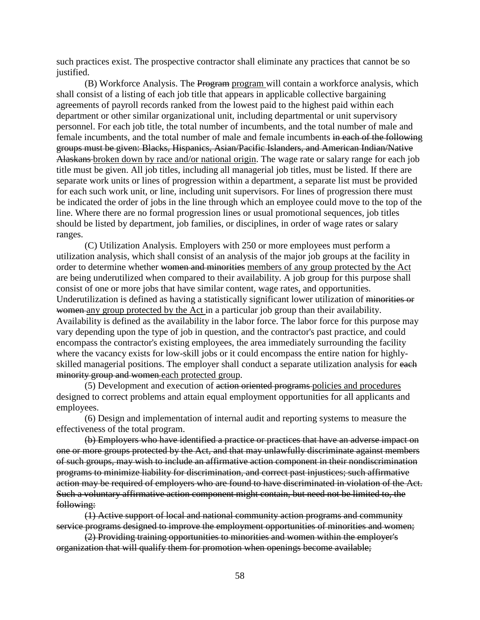such practices exist. The prospective contractor shall eliminate any practices that cannot be so justified.

(B) Workforce Analysis. The Program program will contain a workforce analysis, which shall consist of a listing of each job title that appears in applicable collective bargaining agreements of payroll records ranked from the lowest paid to the highest paid within each department or other similar organizational unit, including departmental or unit supervisory personnel. For each job title, the total number of incumbents, and the total number of male and female incumbents, and the total number of male and female incumbents in each of the following groups must be given: Blacks, Hispanics, Asian/Pacific Islanders, and American Indian/Native Alaskans broken down by race and/or national origin. The wage rate or salary range for each job title must be given. All job titles, including all managerial job titles, must be listed. If there are separate work units or lines of progression within a department, a separate list must be provided for each such work unit, or line, including unit supervisors. For lines of progression there must be indicated the order of jobs in the line through which an employee could move to the top of the line. Where there are no formal progression lines or usual promotional sequences, job titles should be listed by department, job families, or disciplines, in order of wage rates or salary ranges.

(C) Utilization Analysis. Employers with 250 or more employees must perform a utilization analysis, which shall consist of an analysis of the major job groups at the facility in order to determine whether women and minorities members of any group protected by the Act are being underutilized when compared to their availability. A job group for this purpose shall consist of one or more jobs that have similar content, wage rates, and opportunities. Underutilization is defined as having a statistically significant lower utilization of minorities or women any group protected by the Act in a particular job group than their availability. Availability is defined as the availability in the labor force. The labor force for this purpose may vary depending upon the type of job in question, and the contractor's past practice, and could encompass the contractor's existing employees, the area immediately surrounding the facility where the vacancy exists for low-skill jobs or it could encompass the entire nation for highlyskilled managerial positions. The employer shall conduct a separate utilization analysis for each minority group and women each protected group.

(5) Development and execution of action oriented programs policies and procedures designed to correct problems and attain equal employment opportunities for all applicants and employees.

(6) Design and implementation of internal audit and reporting systems to measure the effectiveness of the total program.

(b) Employers who have identified a practice or practices that have an adverse impact on one or more groups protected by the Act, and that may unlawfully discriminate against members of such groups, may wish to include an affirmative action component in their nondiscrimination programs to minimize liability for discrimination, and correct past injustices; such affirmative action may be required of employers who are found to have discriminated in violation of the Act. Such a voluntary affirmative action component might contain, but need not be limited to, the following:

(1) Active support of local and national community action programs and community service programs designed to improve the employment opportunities of minorities and women;

(2) Providing training opportunities to minorities and women within the employer's organization that will qualify them for promotion when openings become available;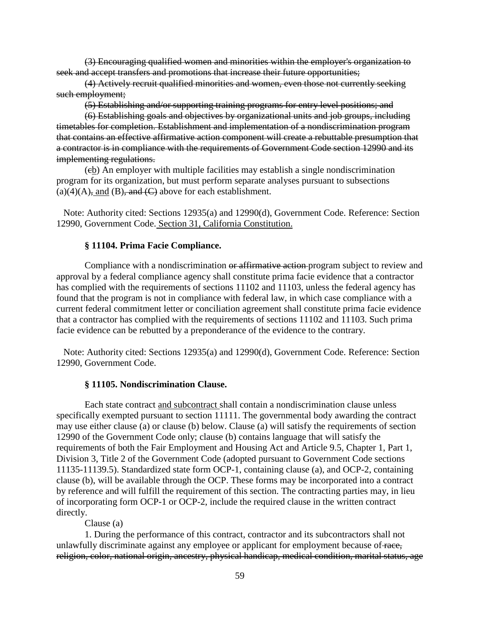(3) Encouraging qualified women and minorities within the employer's organization to seek and accept transfers and promotions that increase their future opportunities;

(4) Actively recruit qualified minorities and women, even those not currently seeking such employment;

(5) Establishing and/or supporting training programs for entry level positions; and

(6) Establishing goals and objectives by organizational units and job groups, including timetables for completion. Establishment and implementation of a nondiscrimination program that contains an effective affirmative action component will create a rebuttable presumption that a contractor is in compliance with the requirements of Government Code section 12990 and its implementing regulations.

(cb) An employer with multiple facilities may establish a single nondiscrimination program for its organization, but must perform separate analyses pursuant to subsections  $(a)(4)(A)$ , and  $(B)$ , and  $(C)$  above for each establishment.

Note: Authority cited: Sections 12935(a) and 12990(d), Government Code. Reference: Section 12990, Government Code. Section 31, California Constitution.

### **§ 11104. Prima Facie Compliance.**

Compliance with a nondiscrimination or affirmative action program subject to review and approval by a federal compliance agency shall constitute prima facie evidence that a contractor has complied with the requirements of sections 11102 and 11103, unless the federal agency has found that the program is not in compliance with federal law, in which case compliance with a current federal commitment letter or conciliation agreement shall constitute prima facie evidence that a contractor has complied with the requirements of sections 11102 and 11103. Such prima facie evidence can be rebutted by a preponderance of the evidence to the contrary.

Note: Authority cited: Sections 12935(a) and 12990(d), Government Code. Reference: Section 12990, Government Code.

#### **§ 11105. Nondiscrimination Clause.**

Each state contract and subcontract shall contain a nondiscrimination clause unless specifically exempted pursuant to section 11111. The governmental body awarding the contract may use either clause (a) or clause (b) below. Clause (a) will satisfy the requirements of section 12990 of the Government Code only; clause (b) contains language that will satisfy the requirements of both the Fair Employment and Housing Act and Article 9.5, Chapter 1, Part 1, Division 3, Title 2 of the Government Code (adopted pursuant to Government Code sections 11135-11139.5). Standardized state form OCP-1, containing clause (a), and OCP-2, containing clause (b), will be available through the OCP. These forms may be incorporated into a contract by reference and will fulfill the requirement of this section. The contracting parties may, in lieu of incorporating form OCP-1 or OCP-2, include the required clause in the written contract directly.

Clause (a)

1. During the performance of this contract, contractor and its subcontractors shall not unlawfully discriminate against any employee or applicant for employment because of race, religion, color, national origin, ancestry, physical handicap, medical condition, marital status, age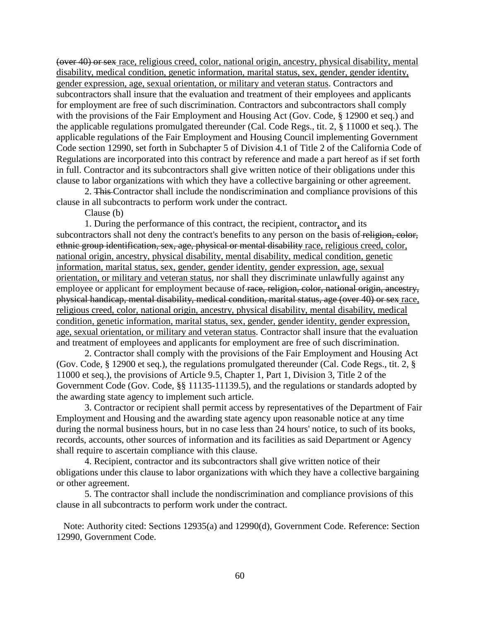(over 40) or sex race, religious creed, color, national origin, ancestry, physical disability, mental disability, medical condition, genetic information, marital status, sex, gender, gender identity, gender expression, age, sexual orientation, or military and veteran status. Contractors and subcontractors shall insure that the evaluation and treatment of their employees and applicants for employment are free of such discrimination. Contractors and subcontractors shall comply with the provisions of the Fair Employment and Housing Act (Gov. Code, § 12900 et seq.) and the applicable regulations promulgated thereunder (Cal. Code Regs., tit. 2, § 11000 et seq.). The applicable regulations of the Fair Employment and Housing Council implementing Government Code section 12990, set forth in Subchapter 5 of Division 4.1 of Title 2 of the California Code of Regulations are incorporated into this contract by reference and made a part hereof as if set forth in full. Contractor and its subcontractors shall give written notice of their obligations under this clause to labor organizations with which they have a collective bargaining or other agreement.

2. This Contractor shall include the nondiscrimination and compliance provisions of this clause in all subcontracts to perform work under the contract.

Clause (b)

1. During the performance of this contract, the recipient, contractor, and its subcontractors shall not deny the contract's benefits to any person on the basis of religion, color, ethnic group identification, sex, age, physical or mental disability race, religious creed, color, national origin, ancestry, physical disability, mental disability, medical condition, genetic information, marital status, sex, gender, gender identity, gender expression, age, sexual orientation, or military and veteran status, nor shall they discriminate unlawfully against any employee or applicant for employment because of race, religion, color, national origin, ancestry, physical handicap, mental disability, medical condition, marital status, age (over 40) or sex race, religious creed, color, national origin, ancestry, physical disability, mental disability, medical condition, genetic information, marital status, sex, gender, gender identity, gender expression, age, sexual orientation, or military and veteran status. Contractor shall insure that the evaluation and treatment of employees and applicants for employment are free of such discrimination.

2. Contractor shall comply with the provisions of the Fair Employment and Housing Act (Gov. Code, § 12900 et seq.), the regulations promulgated thereunder (Cal. Code Regs., tit. 2, § 11000 et seq.), the provisions of Article 9.5, Chapter 1, Part 1, Division 3, Title 2 of the Government Code (Gov. Code, §§ 11135-11139.5), and the regulations or standards adopted by the awarding state agency to implement such article.

3. Contractor or recipient shall permit access by representatives of the Department of Fair Employment and Housing and the awarding state agency upon reasonable notice at any time during the normal business hours, but in no case less than 24 hours' notice, to such of its books, records, accounts, other sources of information and its facilities as said Department or Agency shall require to ascertain compliance with this clause.

4. Recipient, contractor and its subcontractors shall give written notice of their obligations under this clause to labor organizations with which they have a collective bargaining or other agreement.

5. The contractor shall include the nondiscrimination and compliance provisions of this clause in all subcontracts to perform work under the contract.

Note: Authority cited: Sections 12935(a) and 12990(d), Government Code. Reference: Section 12990, Government Code.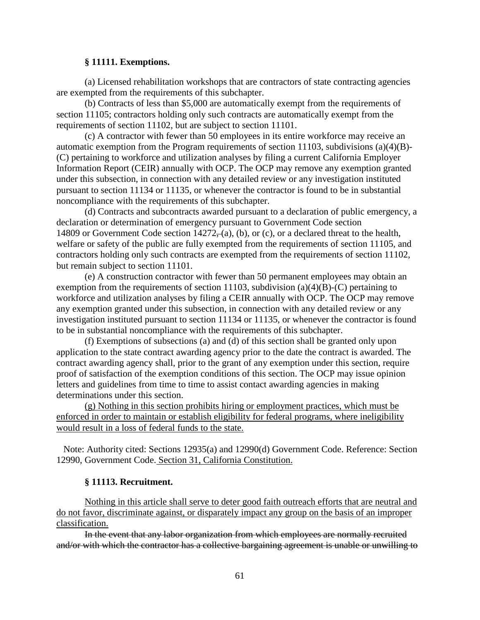### **§ 11111. Exemptions.**

(a) Licensed rehabilitation workshops that are contractors of state contracting agencies are exempted from the requirements of this subchapter.

(b) Contracts of less than \$5,000 are automatically exempt from the requirements of section 11105; contractors holding only such contracts are automatically exempt from the requirements of section 11102, but are subject to section 11101.

(c) A contractor with fewer than 50 employees in its entire workforce may receive an automatic exemption from the Program requirements of section 11103, subdivisions (a)(4)(B)- (C) pertaining to workforce and utilization analyses by filing a current California Employer Information Report (CEIR) annually with OCP. The OCP may remove any exemption granted under this subsection, in connection with any detailed review or any investigation instituted pursuant to section 11134 or 11135, or whenever the contractor is found to be in substantial noncompliance with the requirements of this subchapter.

(d) Contracts and subcontracts awarded pursuant to a declaration of public emergency, a declaration or determination of emergency pursuant to Government Code section 14809 or Government Code section 14272–(a), (b), or (c), or a declared threat to the health, welfare or safety of the public are fully exempted from the requirements of section 11105, and contractors holding only such contracts are exempted from the requirements of section 11102, but remain subject to section 11101.

(e) A construction contractor with fewer than 50 permanent employees may obtain an exemption from the requirements of section 11103, subdivision (a)(4)(B)-(C) pertaining to workforce and utilization analyses by filing a CEIR annually with OCP. The OCP may remove any exemption granted under this subsection, in connection with any detailed review or any investigation instituted pursuant to section 11134 or 11135, or whenever the contractor is found to be in substantial noncompliance with the requirements of this subchapter.

(f) Exemptions of subsections (a) and (d) of this section shall be granted only upon application to the state contract awarding agency prior to the date the contract is awarded. The contract awarding agency shall, prior to the grant of any exemption under this section, require proof of satisfaction of the exemption conditions of this section. The OCP may issue opinion letters and guidelines from time to time to assist contact awarding agencies in making determinations under this section.

(g) Nothing in this section prohibits hiring or employment practices, which must be enforced in order to maintain or establish eligibility for federal programs, where ineligibility would result in a loss of federal funds to the state.

Note: Authority cited: Sections 12935(a) and 12990(d) Government Code. Reference: Section 12990, Government Code. Section 31, California Constitution.

### **§ 11113. Recruitment.**

Nothing in this article shall serve to deter good faith outreach efforts that are neutral and do not favor, discriminate against, or disparately impact any group on the basis of an improper classification.

In the event that any labor organization from which employees are normally recruited and/or with which the contractor has a collective bargaining agreement is unable or unwilling to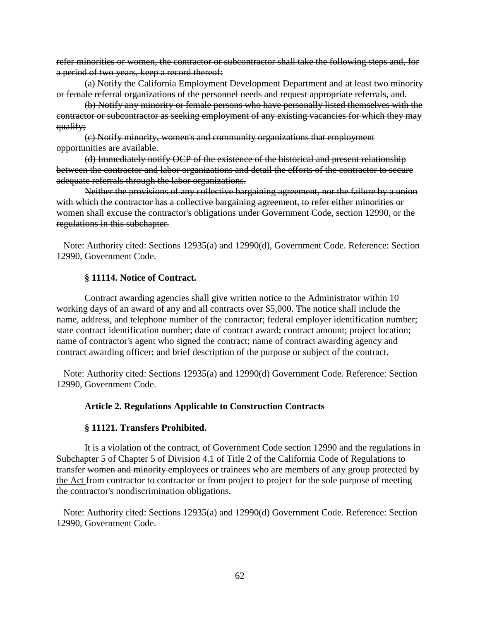refer minorities or women, the contractor or subcontractor shall take the following steps and, for a period of two years, keep a record thereof:

(a) Notify the California Employment Development Department and at least two minority or female referral organizations of the personnel needs and request appropriate referrals, and.

(b) Notify any minority or female persons who have personally listed themselves with the contractor or subcontractor as seeking employment of any existing vacancies for which they may qualify;

(c) Notify minority, women's and community organizations that employment opportunities are available.

(d) Immediately notify OCP of the existence of the historical and present relationship between the contractor and labor organizations and detail the efforts of the contractor to secure adequate referrals through the labor organizations.

Neither the provisions of any collective bargaining agreement, nor the failure by a union with which the contractor has a collective bargaining agreement, to refer either minorities or women shall excuse the contractor's obligations under Government Code, section 12990, or the regulations in this subchapter.

Note: Authority cited: Sections 12935(a) and 12990(d), Government Code. Reference: Section 12990, Government Code.

#### **§ 11114. Notice of Contract.**

Contract awarding agencies shall give written notice to the Administrator within 10 working days of an award of any and all contracts over \$5,000. The notice shall include the name, address, and telephone number of the contractor; federal employer identification number; state contract identification number; date of contract award; contract amount; project location; name of contractor's agent who signed the contract; name of contract awarding agency and contract awarding officer; and brief description of the purpose or subject of the contract.

Note: Authority cited: Sections 12935(a) and 12990(d) Government Code. Reference: Section 12990, Government Code.

### **Article 2. Regulations Applicable to Construction Contracts**

#### **§ 11121. Transfers Prohibited.**

It is a violation of the contract, of Government Code section 12990 and the regulations in Subchapter 5 of Chapter 5 of Division 4.1 of Title 2 of the California Code of Regulations to transfer women and minority employees or trainees who are members of any group protected by the Act from contractor to contractor or from project to project for the sole purpose of meeting the contractor's nondiscrimination obligations.

Note: Authority cited: Sections 12935(a) and 12990(d) Government Code. Reference: Section 12990, Government Code.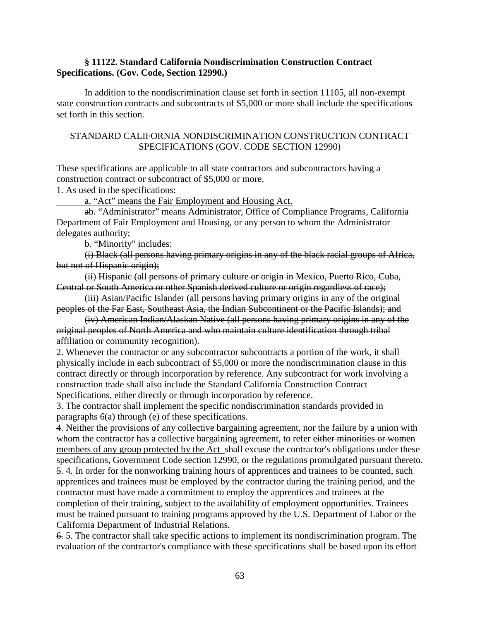### **§ 11122. Standard California Nondiscrimination Construction Contract Specifications. (Gov. Code, Section 12990.)**

In addition to the nondiscrimination clause set forth in section 11105, all non-exempt state construction contracts and subcontracts of \$5,000 or more shall include the specifications set forth in this section.

### STANDARD CALIFORNIA NONDISCRIMINATION CONSTRUCTION CONTRACT SPECIFICATIONS (GOV. CODE SECTION 12990)

These specifications are applicable to all state contractors and subcontractors having a construction contract or subcontract of \$5,000 or more.

1. As used in the specifications:

a. "Act" means the Fair Employment and Housing Act.

ab. "Administrator" means Administrator, Office of Compliance Programs, California Department of Fair Employment and Housing, or any person to whom the Administrator delegates authority;

b. "Minority" includes:

(i) Black (all persons having primary origins in any of the black racial groups of Africa, but not of Hispanic origin);

(ii) Hispanic (all persons of primary culture or origin in Mexico, Puerto Rico, Cuba, Central or South America or other Spanish derived culture or origin regardless of race);

(iii) Asian/Pacific Islander (all persons having primary origins in any of the original peoples of the Far East, Southeast Asia, the Indian Subcontinent or the Pacific Islands); and

(iv) American Indian/Alaskan Native (all persons having primary origins in any of the original peoples of North America and who maintain culture identification through tribal affiliation or community recognition).

2. Whenever the contractor or any subcontractor subcontracts a portion of the work, it shall physically include in each subcontract of \$5,000 or more the nondiscrimination clause in this contract directly or through incorporation by reference. Any subcontract for work involving a construction trade shall also include the Standard California Construction Contract Specifications, either directly or through incorporation by reference.

3. The contractor shall implement the specific nondiscrimination standards provided in paragraphs 6(a) through (e) of these specifications.

4. Neither the provisions of any collective bargaining agreement, nor the failure by a union with whom the contractor has a collective bargaining agreement, to refer either minorities or women members of any group protected by the Act shall excuse the contractor's obligations under these specifications, Government Code section 12990, or the regulations promulgated pursuant thereto. 5. 4. In order for the nonworking training hours of apprentices and trainees to be counted, such apprentices and trainees must be employed by the contractor during the training period, and the contractor must have made a commitment to employ the apprentices and trainees at the completion of their training, subject to the availability of employment opportunities. Trainees must be trained pursuant to training programs approved by the U.S. Department of Labor or the California Department of Industrial Relations.

6. 5. The contractor shall take specific actions to implement its nondiscrimination program. The evaluation of the contractor's compliance with these specifications shall be based upon its effort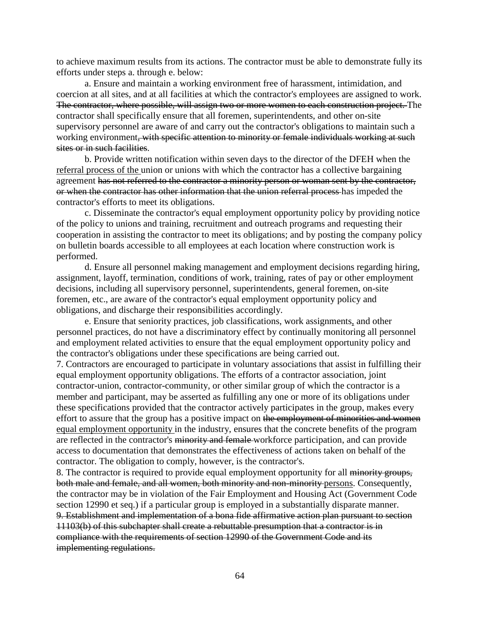to achieve maximum results from its actions. The contractor must be able to demonstrate fully its efforts under steps a. through e. below:

a. Ensure and maintain a working environment free of harassment, intimidation, and coercion at all sites, and at all facilities at which the contractor's employees are assigned to work. The contractor, where possible, will assign two or more women to each construction project. The contractor shall specifically ensure that all foremen, superintendents, and other on-site supervisory personnel are aware of and carry out the contractor's obligations to maintain such a working environment, with specific attention to minority or female individuals working at such sites or in such facilities.

b. Provide written notification within seven days to the director of the DFEH when the referral process of the union or unions with which the contractor has a collective bargaining agreement has not referred to the contractor a minority person or woman sent by the contractor, or when the contractor has other information that the union referral process has impeded the contractor's efforts to meet its obligations.

c. Disseminate the contractor's equal employment opportunity policy by providing notice of the policy to unions and training, recruitment and outreach programs and requesting their cooperation in assisting the contractor to meet its obligations; and by posting the company policy on bulletin boards accessible to all employees at each location where construction work is performed.

d. Ensure all personnel making management and employment decisions regarding hiring, assignment, layoff, termination, conditions of work, training, rates of pay or other employment decisions, including all supervisory personnel, superintendents, general foremen, on-site foremen, etc., are aware of the contractor's equal employment opportunity policy and obligations, and discharge their responsibilities accordingly.

e. Ensure that seniority practices, job classifications, work assignments, and other personnel practices, do not have a discriminatory effect by continually monitoring all personnel and employment related activities to ensure that the equal employment opportunity policy and the contractor's obligations under these specifications are being carried out.

7. Contractors are encouraged to participate in voluntary associations that assist in fulfilling their equal employment opportunity obligations. The efforts of a contractor association, joint contractor-union, contractor-community, or other similar group of which the contractor is a member and participant, may be asserted as fulfilling any one or more of its obligations under these specifications provided that the contractor actively participates in the group, makes every effort to assure that the group has a positive impact on the employment of minorities and women equal employment opportunity in the industry, ensures that the concrete benefits of the program are reflected in the contractor's minority and female workforce participation, and can provide access to documentation that demonstrates the effectiveness of actions taken on behalf of the contractor. The obligation to comply, however, is the contractor's.

8. The contractor is required to provide equal employment opportunity for all minority groups, both male and female, and all women, both minority and non-minority persons. Consequently, the contractor may be in violation of the Fair Employment and Housing Act (Government Code section 12990 et seq.) if a particular group is employed in a substantially disparate manner. 9. Establishment and implementation of a bona fide affirmative action plan pursuant to section 11103(b) of this subchapter shall create a rebuttable presumption that a contractor is in compliance with the requirements of section 12990 of the Government Code and its implementing regulations.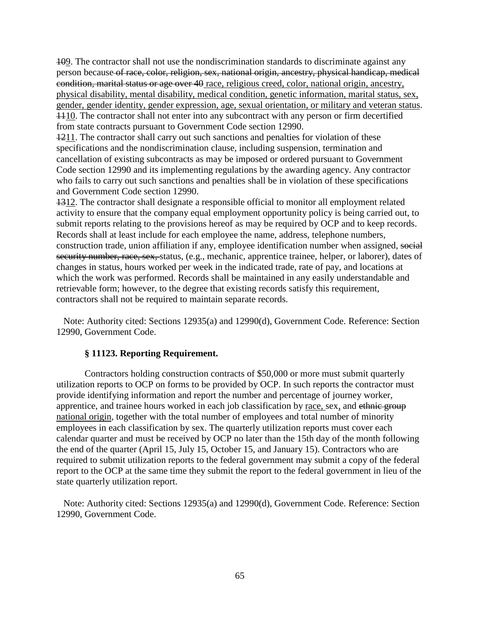109. The contractor shall not use the nondiscrimination standards to discriminate against any person because of race, color, religion, sex, national origin, ancestry, physical handicap, medical condition, marital status or age over 40 race, religious creed, color, national origin, ancestry, physical disability, mental disability, medical condition, genetic information, marital status, sex, gender, gender identity, gender expression, age, sexual orientation, or military and veteran status. 1110. The contractor shall not enter into any subcontract with any person or firm decertified from state contracts pursuant to Government Code section 12990.

1211. The contractor shall carry out such sanctions and penalties for violation of these specifications and the nondiscrimination clause, including suspension, termination and cancellation of existing subcontracts as may be imposed or ordered pursuant to Government Code section 12990 and its implementing regulations by the awarding agency. Any contractor who fails to carry out such sanctions and penalties shall be in violation of these specifications and Government Code section 12990.

1312. The contractor shall designate a responsible official to monitor all employment related activity to ensure that the company equal employment opportunity policy is being carried out, to submit reports relating to the provisions hereof as may be required by OCP and to keep records. Records shall at least include for each employee the name, address, telephone numbers, construction trade, union affiliation if any, employee identification number when assigned, social security number, race, sex, status, (e.g., mechanic, apprentice trainee, helper, or laborer), dates of changes in status, hours worked per week in the indicated trade, rate of pay, and locations at which the work was performed. Records shall be maintained in any easily understandable and retrievable form; however, to the degree that existing records satisfy this requirement, contractors shall not be required to maintain separate records.

Note: Authority cited: Sections 12935(a) and 12990(d), Government Code. Reference: Section 12990, Government Code.

## **§ 11123. Reporting Requirement.**

Contractors holding construction contracts of \$50,000 or more must submit quarterly utilization reports to OCP on forms to be provided by OCP. In such reports the contractor must provide identifying information and report the number and percentage of journey worker, apprentice, and trainee hours worked in each job classification by race, sex, and ethnic group national origin, together with the total number of employees and total number of minority employees in each classification by sex. The quarterly utilization reports must cover each calendar quarter and must be received by OCP no later than the 15th day of the month following the end of the quarter (April 15, July 15, October 15, and January 15). Contractors who are required to submit utilization reports to the federal government may submit a copy of the federal report to the OCP at the same time they submit the report to the federal government in lieu of the state quarterly utilization report.

Note: Authority cited: Sections 12935(a) and 12990(d), Government Code. Reference: Section 12990, Government Code.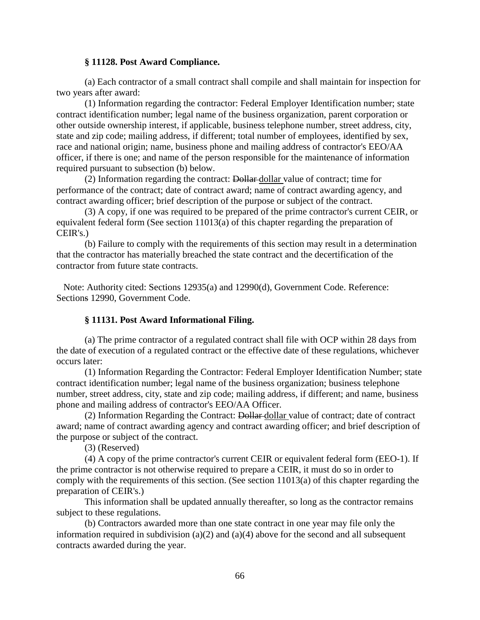### **§ 11128. Post Award Compliance.**

(a) Each contractor of a small contract shall compile and shall maintain for inspection for two years after award:

(1) Information regarding the contractor: Federal Employer Identification number; state contract identification number; legal name of the business organization, parent corporation or other outside ownership interest, if applicable, business telephone number, street address, city, state and zip code; mailing address, if different; total number of employees, identified by sex, race and national origin; name, business phone and mailing address of contractor's EEO/AA officer, if there is one; and name of the person responsible for the maintenance of information required pursuant to subsection (b) below.

(2) Information regarding the contract: Dollar dollar value of contract; time for performance of the contract; date of contract award; name of contract awarding agency, and contract awarding officer; brief description of the purpose or subject of the contract.

(3) A copy, if one was required to be prepared of the prime contractor's current CEIR, or equivalent federal form (See section 11013(a) of this chapter regarding the preparation of CEIR's.)

(b) Failure to comply with the requirements of this section may result in a determination that the contractor has materially breached the state contract and the decertification of the contractor from future state contracts.

Note: Authority cited: Sections 12935(a) and 12990(d), Government Code. Reference: Sections 12990, Government Code.

## **§ 11131. Post Award Informational Filing.**

(a) The prime contractor of a regulated contract shall file with OCP within 28 days from the date of execution of a regulated contract or the effective date of these regulations, whichever occurs later:

(1) Information Regarding the Contractor: Federal Employer Identification Number; state contract identification number; legal name of the business organization; business telephone number, street address, city, state and zip code; mailing address, if different; and name, business phone and mailing address of contractor's EEO/AA Officer.

(2) Information Regarding the Contract: Dollar dollar value of contract; date of contract award; name of contract awarding agency and contract awarding officer; and brief description of the purpose or subject of the contract.

(3) (Reserved)

(4) A copy of the prime contractor's current CEIR or equivalent federal form (EEO-1). If the prime contractor is not otherwise required to prepare a CEIR, it must do so in order to comply with the requirements of this section. (See section 11013(a) of this chapter regarding the preparation of CEIR's.)

This information shall be updated annually thereafter, so long as the contractor remains subject to these regulations.

(b) Contractors awarded more than one state contract in one year may file only the information required in subdivision (a)(2) and (a)(4) above for the second and all subsequent contracts awarded during the year.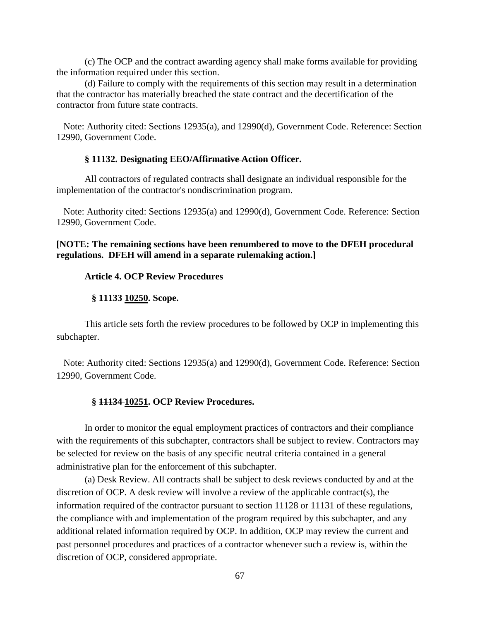(c) The OCP and the contract awarding agency shall make forms available for providing the information required under this section.

(d) Failure to comply with the requirements of this section may result in a determination that the contractor has materially breached the state contract and the decertification of the contractor from future state contracts.

Note: Authority cited: Sections 12935(a), and 12990(d), Government Code. Reference: Section 12990, Government Code.

### **§ 11132. Designating EEO/Affirmative Action Officer.**

All contractors of regulated contracts shall designate an individual responsible for the implementation of the contractor's nondiscrimination program.

Note: Authority cited: Sections 12935(a) and 12990(d), Government Code. Reference: Section 12990, Government Code.

## **[NOTE: The remaining sections have been renumbered to move to the DFEH procedural regulations. DFEH will amend in a separate rulemaking action.]**

## **Article 4. OCP Review Procedures**

### **§ 11133 10250. Scope.**

This article sets forth the review procedures to be followed by OCP in implementing this subchapter.

Note: Authority cited: Sections 12935(a) and 12990(d), Government Code. Reference: Section 12990, Government Code.

### **§ 11134 10251. OCP Review Procedures.**

In order to monitor the equal employment practices of contractors and their compliance with the requirements of this subchapter, contractors shall be subject to review. Contractors may be selected for review on the basis of any specific neutral criteria contained in a general administrative plan for the enforcement of this subchapter.

(a) Desk Review. All contracts shall be subject to desk reviews conducted by and at the discretion of OCP. A desk review will involve a review of the applicable contract(s), the information required of the contractor pursuant to section 11128 or 11131 of these regulations, the compliance with and implementation of the program required by this subchapter, and any additional related information required by OCP. In addition, OCP may review the current and past personnel procedures and practices of a contractor whenever such a review is, within the discretion of OCP, considered appropriate.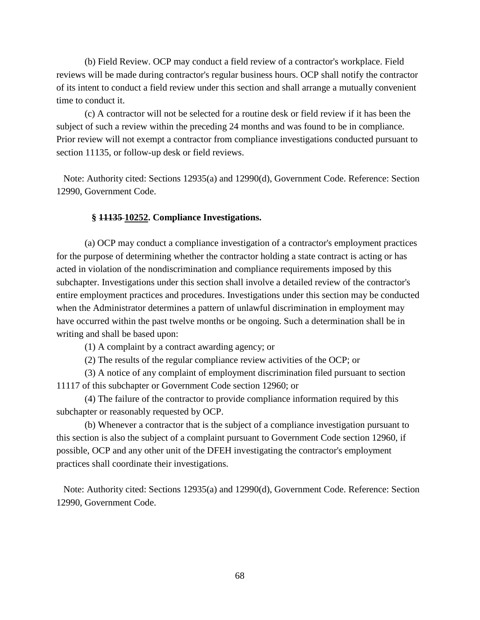(b) Field Review. OCP may conduct a field review of a contractor's workplace. Field reviews will be made during contractor's regular business hours. OCP shall notify the contractor of its intent to conduct a field review under this section and shall arrange a mutually convenient time to conduct it.

(c) A contractor will not be selected for a routine desk or field review if it has been the subject of such a review within the preceding 24 months and was found to be in compliance. Prior review will not exempt a contractor from compliance investigations conducted pursuant to section 11135, or follow-up desk or field reviews.

Note: Authority cited: Sections 12935(a) and 12990(d), Government Code. Reference: Section 12990, Government Code.

### **§ 11135 10252. Compliance Investigations.**

(a) OCP may conduct a compliance investigation of a contractor's employment practices for the purpose of determining whether the contractor holding a state contract is acting or has acted in violation of the nondiscrimination and compliance requirements imposed by this subchapter. Investigations under this section shall involve a detailed review of the contractor's entire employment practices and procedures. Investigations under this section may be conducted when the Administrator determines a pattern of unlawful discrimination in employment may have occurred within the past twelve months or be ongoing. Such a determination shall be in writing and shall be based upon:

(1) A complaint by a contract awarding agency; or

(2) The results of the regular compliance review activities of the OCP; or

(3) A notice of any complaint of employment discrimination filed pursuant to section 11117 of this subchapter or Government Code section 12960; or

(4) The failure of the contractor to provide compliance information required by this subchapter or reasonably requested by OCP.

(b) Whenever a contractor that is the subject of a compliance investigation pursuant to this section is also the subject of a complaint pursuant to Government Code section 12960, if possible, OCP and any other unit of the DFEH investigating the contractor's employment practices shall coordinate their investigations.

Note: Authority cited: Sections 12935(a) and 12990(d), Government Code. Reference: Section 12990, Government Code.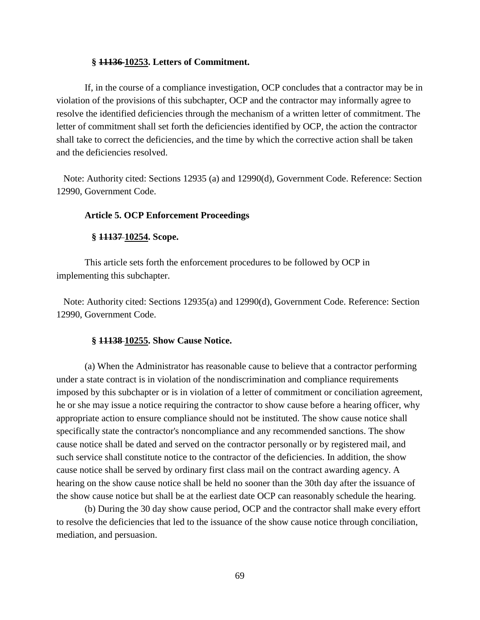#### **§ 11136 10253. Letters of Commitment.**

If, in the course of a compliance investigation, OCP concludes that a contractor may be in violation of the provisions of this subchapter, OCP and the contractor may informally agree to resolve the identified deficiencies through the mechanism of a written letter of commitment. The letter of commitment shall set forth the deficiencies identified by OCP, the action the contractor shall take to correct the deficiencies, and the time by which the corrective action shall be taken and the deficiencies resolved.

Note: Authority cited: Sections 12935 (a) and 12990(d), Government Code. Reference: Section 12990, Government Code.

#### **Article 5. OCP Enforcement Proceedings**

#### **§ 11137 10254. Scope.**

This article sets forth the enforcement procedures to be followed by OCP in implementing this subchapter.

Note: Authority cited: Sections 12935(a) and 12990(d), Government Code. Reference: Section 12990, Government Code.

#### **§ 11138 10255. Show Cause Notice.**

(a) When the Administrator has reasonable cause to believe that a contractor performing under a state contract is in violation of the nondiscrimination and compliance requirements imposed by this subchapter or is in violation of a letter of commitment or conciliation agreement, he or she may issue a notice requiring the contractor to show cause before a hearing officer, why appropriate action to ensure compliance should not be instituted. The show cause notice shall specifically state the contractor's noncompliance and any recommended sanctions. The show cause notice shall be dated and served on the contractor personally or by registered mail, and such service shall constitute notice to the contractor of the deficiencies. In addition, the show cause notice shall be served by ordinary first class mail on the contract awarding agency. A hearing on the show cause notice shall be held no sooner than the 30th day after the issuance of the show cause notice but shall be at the earliest date OCP can reasonably schedule the hearing.

(b) During the 30 day show cause period, OCP and the contractor shall make every effort to resolve the deficiencies that led to the issuance of the show cause notice through conciliation, mediation, and persuasion.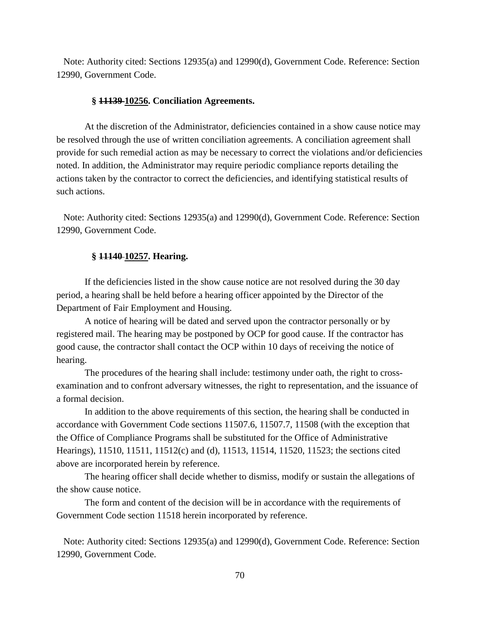Note: Authority cited: Sections 12935(a) and 12990(d), Government Code. Reference: Section 12990, Government Code.

### **§ 11139 10256. Conciliation Agreements.**

At the discretion of the Administrator, deficiencies contained in a show cause notice may be resolved through the use of written conciliation agreements. A conciliation agreement shall provide for such remedial action as may be necessary to correct the violations and/or deficiencies noted. In addition, the Administrator may require periodic compliance reports detailing the actions taken by the contractor to correct the deficiencies, and identifying statistical results of such actions.

Note: Authority cited: Sections 12935(a) and 12990(d), Government Code. Reference: Section 12990, Government Code.

### **§ 11140 10257. Hearing.**

If the deficiencies listed in the show cause notice are not resolved during the 30 day period, a hearing shall be held before a hearing officer appointed by the Director of the Department of Fair Employment and Housing.

A notice of hearing will be dated and served upon the contractor personally or by registered mail. The hearing may be postponed by OCP for good cause. If the contractor has good cause, the contractor shall contact the OCP within 10 days of receiving the notice of hearing.

The procedures of the hearing shall include: testimony under oath, the right to crossexamination and to confront adversary witnesses, the right to representation, and the issuance of a formal decision.

In addition to the above requirements of this section, the hearing shall be conducted in accordance with Government Code sections 11507.6, 11507.7, 11508 (with the exception that the Office of Compliance Programs shall be substituted for the Office of Administrative Hearings), 11510, 11511, 11512(c) and (d), 11513, 11514, 11520, 11523; the sections cited above are incorporated herein by reference.

The hearing officer shall decide whether to dismiss, modify or sustain the allegations of the show cause notice.

The form and content of the decision will be in accordance with the requirements of Government Code section 11518 herein incorporated by reference.

Note: Authority cited: Sections 12935(a) and 12990(d), Government Code. Reference: Section 12990, Government Code.